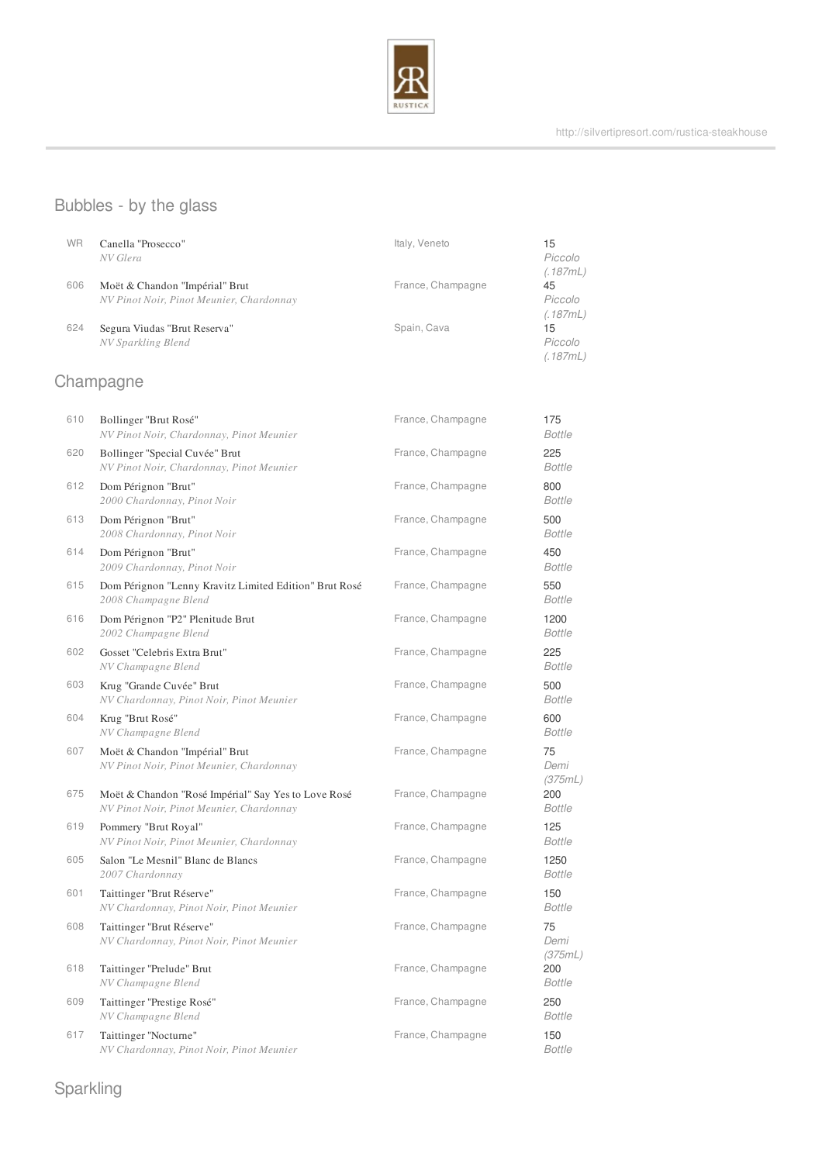

# Bubbles - by the glass

| <b>WR</b> | Canella "Prosecco"<br>NV Glera                                             | Italy, Veneto     | 15<br>Piccolo<br>(.187mL) |
|-----------|----------------------------------------------------------------------------|-------------------|---------------------------|
| 606       | Moët & Chandon "Impérial" Brut<br>NV Pinot Noir, Pinot Meunier, Chardonnay | France, Champagne | 45<br>Piccolo<br>(.187mL) |
| 624       | Segura Viudas "Brut Reserva"<br>NV Sparkling Blend                         | Spain, Cava       | 15<br>Piccolo<br>(.187mL) |

# Champagne

| 610 | Bollinger "Brut Rosé"<br>NV Pinot Noir, Chardonnay, Pinot Meunier                               | France, Champagne | 175<br><b>Bottle</b>  |
|-----|-------------------------------------------------------------------------------------------------|-------------------|-----------------------|
| 620 | Bollinger "Special Cuvée" Brut<br>NV Pinot Noir, Chardonnay, Pinot Meunier                      | France, Champagne | 225<br><b>Bottle</b>  |
| 612 | Dom Pérignon "Brut"<br>2000 Chardonnay, Pinot Noir                                              | France, Champagne | 800<br><b>Bottle</b>  |
| 613 | Dom Pérignon "Brut"<br>2008 Chardonnay, Pinot Noir                                              | France, Champagne | 500<br><b>Bottle</b>  |
| 614 | Dom Pérignon "Brut"<br>2009 Chardonnay, Pinot Noir                                              | France, Champagne | 450<br><b>Bottle</b>  |
| 615 | Dom Pérignon "Lenny Kravitz Limited Edition" Brut Rosé<br>2008 Champagne Blend                  | France, Champagne | 550<br><b>Bottle</b>  |
| 616 | Dom Pérignon "P2" Plenitude Brut<br>2002 Champagne Blend                                        | France, Champagne | 1200<br><b>Bottle</b> |
| 602 | Gosset "Celebris Extra Brut"<br>NV Champagne Blend                                              | France, Champagne | 225<br><b>Bottle</b>  |
| 603 | Krug "Grande Cuvée" Brut<br>NV Chardonnay, Pinot Noir, Pinot Meunier                            | France, Champagne | 500<br><b>Bottle</b>  |
| 604 | Krug "Brut Rosé"<br>NV Champagne Blend                                                          | France, Champagne | 600<br><b>Bottle</b>  |
| 607 | Moët & Chandon "Impérial" Brut<br>NV Pinot Noir, Pinot Meunier, Chardonnay                      | France, Champagne | 75<br>Demi<br>(375mL) |
| 675 | Moët & Chandon "Rosé Impérial" Say Yes to Love Rosé<br>NV Pinot Noir, Pinot Meunier, Chardonnay | France, Champagne | 200<br><b>Bottle</b>  |
| 619 | Pommery "Brut Royal"<br>NV Pinot Noir, Pinot Meunier, Chardonnay                                | France, Champagne | 125<br><b>Bottle</b>  |
| 605 | Salon "Le Mesnil" Blanc de Blancs<br>2007 Chardonnay                                            | France, Champagne | 1250<br><b>Bottle</b> |
| 601 | Taittinger "Brut Réserve"<br>NV Chardonnay, Pinot Noir, Pinot Meunier                           | France, Champagne | 150<br><b>Bottle</b>  |
| 608 | Taittinger "Brut Réserve"<br>NV Chardonnay, Pinot Noir, Pinot Meunier                           | France, Champagne | 75<br>Demi<br>(375mL) |
| 618 | Taittinger "Prelude" Brut<br>NV Champagne Blend                                                 | France, Champagne | 200<br><b>Bottle</b>  |
| 609 | Taittinger "Prestige Rosé"<br>NV Champagne Blend                                                | France, Champagne | 250<br><b>Bottle</b>  |
| 617 | Taittinger "Nocturne"<br>NV Chardonnay, Pinot Noir, Pinot Meunier                               | France, Champagne | 150<br><b>Bottle</b>  |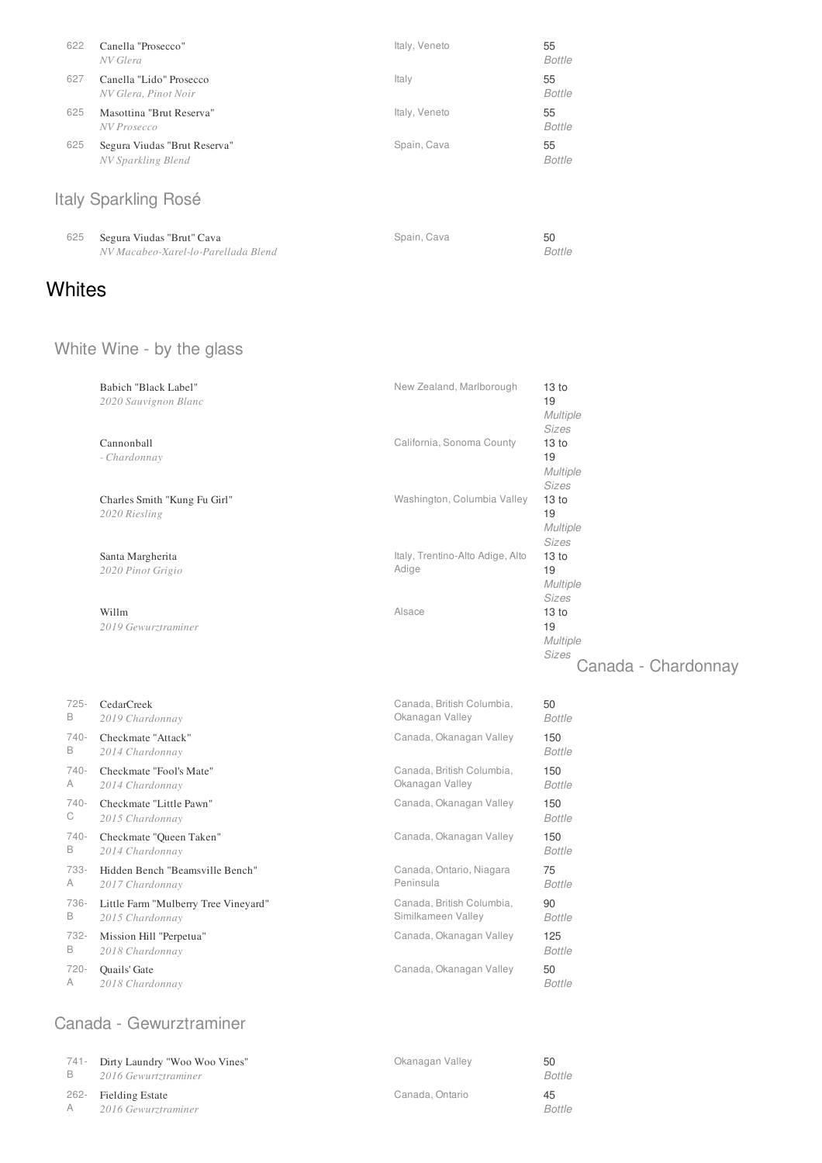| 622 | Canella "Prosecco"<br>NV Glera                     | Italy, Veneto | 55<br><b>Bottle</b> |
|-----|----------------------------------------------------|---------------|---------------------|
| 627 | Canella "Lido" Prosecco<br>NV Glera, Pinot Noir    | Italy         | 55<br><b>Bottle</b> |
| 625 | Masottina "Brut Reserva"<br>NV Prosecco            | Italy, Veneto | 55<br>Bottle        |
| 625 | Segura Viudas "Brut Reserva"<br>NV Sparkling Blend | Spain, Cava   | 55<br><b>Bottle</b> |
|     | Italy Sparkling Rosé                               |               |                     |
| 625 | Segura Viudas "Brut" Cava                          | Spain, Cava   | 50                  |

**Whites** 

# White Wine - by the glass

*NV Macabeo-Xarel-lo-Parellada Blend*

|         | Babich "Black Label"<br>2020 Sauvignon Blanc  | New Zealand, Marlborough                  | 13 to<br>19<br>Multiple<br>Sizes                                   |
|---------|-----------------------------------------------|-------------------------------------------|--------------------------------------------------------------------|
|         | Cannonball<br>- Chardonnay                    | California, Sonoma County                 | 13 <sub>to</sub><br>19<br><b>Multiple</b><br><b>Sizes</b>          |
|         | Charles Smith "Kung Fu Girl"<br>2020 Riesling | Washington, Columbia Valley               | 13 <sub>to</sub><br>19<br><b>Multiple</b><br><b>Sizes</b>          |
|         | Santa Margherita<br>2020 Pinot Grigio         | Italy, Trentino-Alto Adige, Alto<br>Adige | 13 <sub>to</sub><br>19<br><b>Multiple</b><br>Sizes                 |
|         | Willm<br>2019 Gewurztraminer                  | Alsace                                    | 13 <sub>to</sub><br>19<br>Multiple<br>Sizes<br>Canada - Chardonnay |
| $725 -$ | CedarCreek                                    | Canada, British Columbia,                 | 50                                                                 |
| B       | 2019 Chardonnay                               | Okanagan Valley                           | <b>Bottle</b>                                                      |
| $740-$  | Checkmate "Attack"                            | Canada, Okanagan Valley                   | 150                                                                |
| B       | 2014 Chardonnay                               |                                           | <b>Bottle</b>                                                      |
| $740-$  | Checkmate "Fool's Mate"                       | Canada, British Columbia,                 | 150                                                                |
| A       | 2014 Chardonnay                               | Okanagan Valley                           | <b>Bottle</b>                                                      |
| $740-$  | Checkmate "Little Pawn"                       | Canada, Okanagan Valley                   | 150                                                                |
| С       | 2015 Chardonnay                               |                                           | <b>Bottle</b>                                                      |
| $740-$  | Checkmate "Queen Taken"                       | Canada, Okanagan Valley                   | 150                                                                |
| В       | 2014 Chardonnay                               |                                           | <b>Bottle</b>                                                      |
| 733-    | Hidden Bench "Beamsville Bench"               | Canada, Ontario, Niagara                  | 75                                                                 |
| A       | 2017 Chardonnay                               | Peninsula                                 | <b>Bottle</b>                                                      |
| 736-    | Little Farm "Mulberry Tree Vineyard"          | Canada, British Columbia,                 | 90                                                                 |
| B       | 2015 Chardonnay                               | Similkameen Valley                        | <b>Bottle</b>                                                      |
| 732-    | Mission Hill "Perpetua"                       | Canada, Okanagan Valley                   | 125                                                                |
| B       | 2018 Chardonnay                               |                                           | <b>Bottle</b>                                                      |

Canada, Okanagan Valley

*Bottle* 50

*Bottle*

Canada - Gewurztraminer

*2018 Chardonnay*

720- Quails' Gate

A

| В | 741- Dirty Laundry "Woo Woo Vines"<br>2016 Gewurtztraminer | Okanagan Valley | 50<br><b>Bottle</b> |
|---|------------------------------------------------------------|-----------------|---------------------|
|   | 262- Fielding Estate<br>2016 Gewurztraminer                | Canada, Ontario | 45<br><b>Bottle</b> |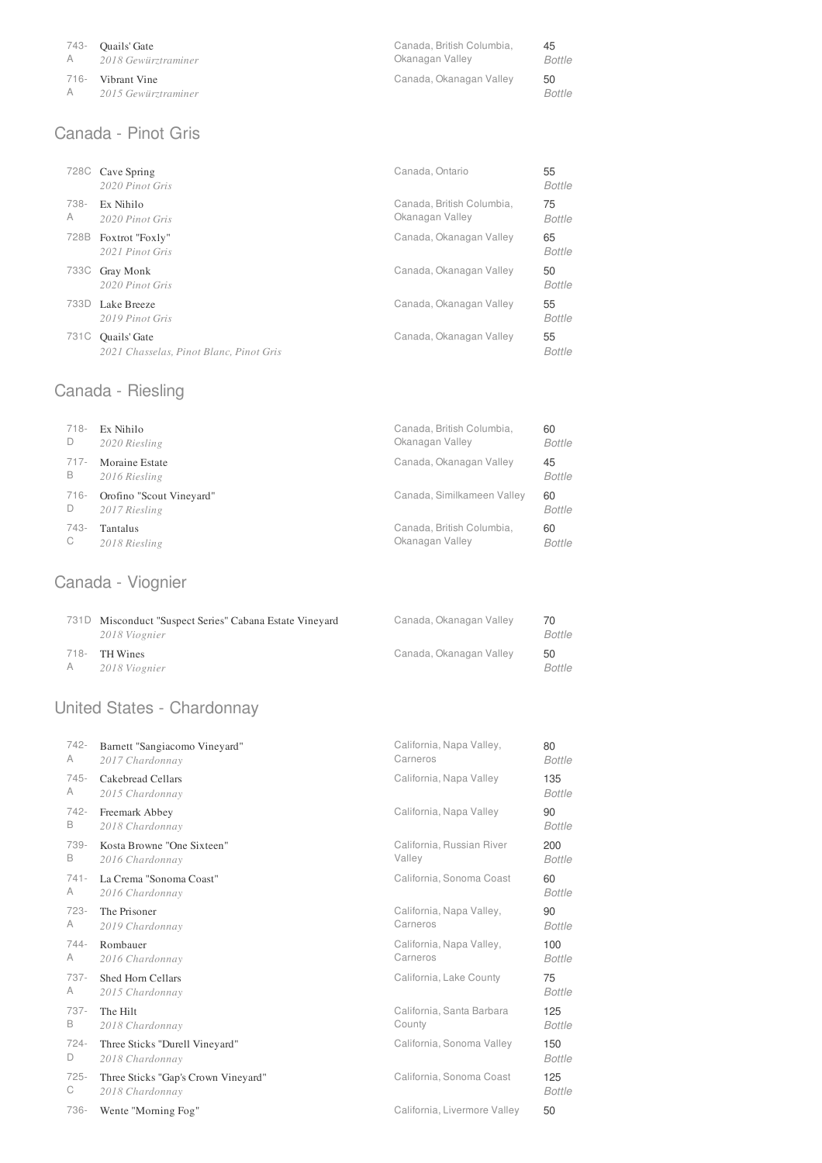| 743- | <b>Ouails' Gate</b>                   | Canada, British Columbia, | 45                  |
|------|---------------------------------------|---------------------------|---------------------|
|      | A 2018 Gewürztraminer                 | Okanagan Valley           | Bottle              |
| 716- | Vibrant Vine<br>A 2015 Gewürztraminer | Canada, Okanagan Valley   | 50<br><b>Bottle</b> |

# Canada - Pinot Gris

| 728C      | Cave Spring<br>2020 Pinot Gris                          | Canada, Ontario                              | 55<br><b>Bottle</b> |
|-----------|---------------------------------------------------------|----------------------------------------------|---------------------|
| 738-<br>A | Ex Nihilo<br>2020 Pinot Gris                            | Canada, British Columbia,<br>Okanagan Valley | 75<br><b>Bottle</b> |
| 728B      | Foxtrot "Foxly"<br>2021 Pinot Gris                      | Canada, Okanagan Valley                      | 65<br><b>Bottle</b> |
| 733C      | Gray Monk<br>2020 Pinot Gris                            | Canada, Okanagan Valley                      | 50<br><b>Bottle</b> |
| 733D      | Lake Breeze<br>2019 Pinot Gris                          | Canada, Okanagan Valley                      | 55<br><b>Bottle</b> |
| 731C      | Quails' Gate<br>2021 Chasselas, Pinot Blanc, Pinot Gris | Canada, Okanagan Valley                      | 55<br>Bottle        |

# Canada - Riesling

| $718 -$ | Ex Nihilo                | Canada, British Columbia,  | 60     |
|---------|--------------------------|----------------------------|--------|
| D       | 2020 Riesling            | Okanagan Valley            | Bottle |
| $717-$  | Moraine Estate           | Canada, Okanagan Valley    | 45     |
| B       | 2016 Riesling            |                            | Bottle |
| 716-    | Orofino "Scout Vineyard" | Canada, Similkameen Valley | 60     |
| D       | 2017 Riesling            |                            | Bottle |
| 743-    | Tantalus                 | Canada, British Columbia,  | 60     |
| С       | 2018 Riesling            | Okanagan Valley            | Bottle |

# Canada - Viognier

| 731D Misconduct "Suspect Series" Cabana Estate Vineyard<br>2018 Viognier | Canada, Okanagan Valley | 70<br>Bottle |
|--------------------------------------------------------------------------|-------------------------|--------------|
| 718- TH Wines<br>2018 Viognier                                           | Canada, Okanagan Valley | 50<br>Bottle |

# United States - Chardonnay

| 742-    | Barnett "Sangiacomo Vineyard"       | California, Napa Valley,     | 80            |
|---------|-------------------------------------|------------------------------|---------------|
| A       | 2017 Chardonnay                     | Carneros                     | <b>Bottle</b> |
| $745 -$ | Cakebread Cellars                   | California, Napa Valley      | 135           |
| A       | 2015 Chardonnay                     |                              | <b>Bottle</b> |
| $742 -$ | Freemark Abbey                      | California, Napa Valley      | 90            |
| B       | 2018 Chardonnay                     |                              | <b>Bottle</b> |
| 739-    | Kosta Browne "One Sixteen"          | California, Russian River    | 200           |
| B       | 2016 Chardonnay                     | Valley                       | <b>Bottle</b> |
| $741 -$ | La Crema "Sonoma Coast"             | California, Sonoma Coast     | 60            |
| A       | 2016 Chardonnay                     |                              | <b>Bottle</b> |
| $723-$  | The Prisoner                        | California, Napa Valley,     | 90            |
| A       | 2019 Chardonnay                     | Carneros                     | <b>Bottle</b> |
| $744 -$ | Rombauer                            | California, Napa Valley,     | 100           |
| A       | 2016 Chardonnay                     | Carneros                     | <b>Bottle</b> |
| $737-$  | Shed Horn Cellars                   | California, Lake County      | 75            |
| A       | 2015 Chardonnay                     |                              | <b>Bottle</b> |
| $737-$  | The Hilt                            | California, Santa Barbara    | 125           |
| B       | 2018 Chardonnay                     | County                       | <b>Bottle</b> |
| $724 -$ | Three Sticks "Durell Vineyard"      | California, Sonoma Valley    | 150           |
| D       | 2018 Chardonnay                     |                              | Bottle        |
| $725 -$ | Three Sticks "Gap's Crown Vineyard" | California, Sonoma Coast     | 125           |
| С       | 2018 Chardonnay                     |                              | <b>Bottle</b> |
| 736-    | Wente "Morning Fog"                 | California, Livermore Valley | 50            |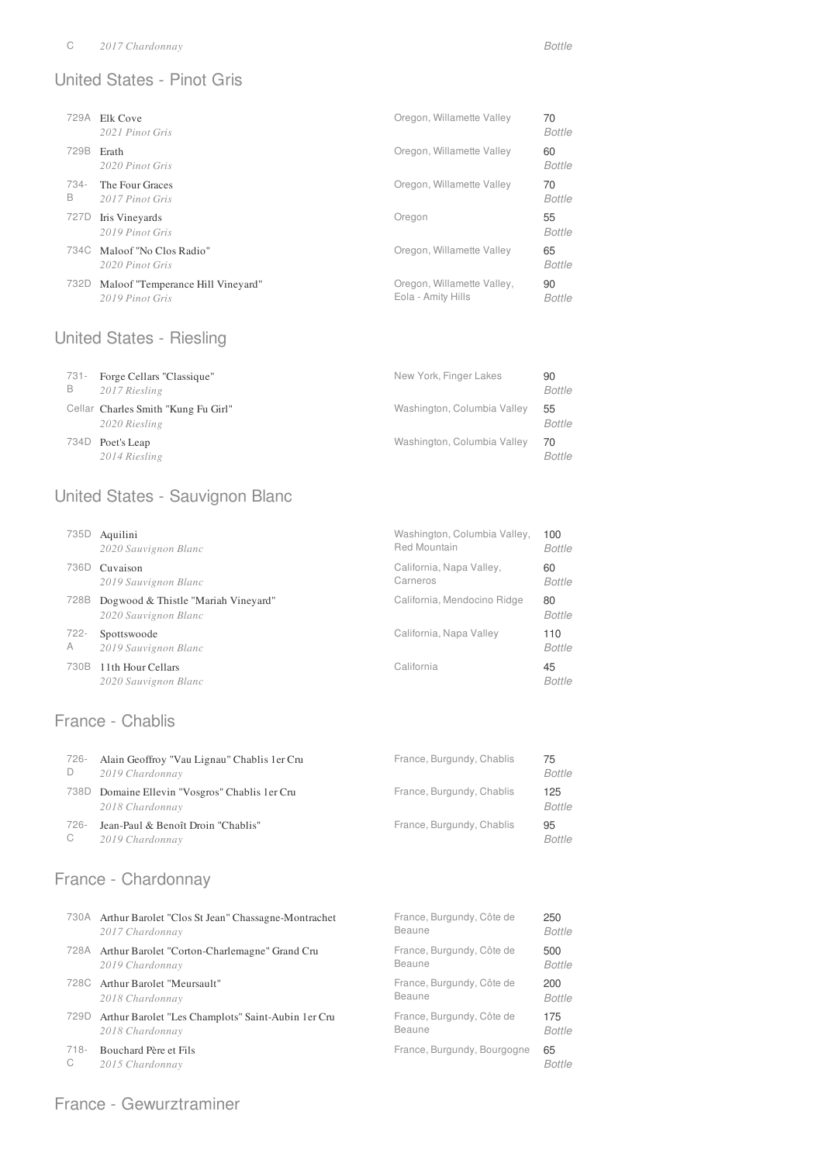#### United States - Pinot Gris

| 729A      | Elk Cove<br>2021 Pinot Gris                    | Oregon, Willamette Valley | 70<br><b>Bottle</b> |
|-----------|------------------------------------------------|---------------------------|---------------------|
| 729B      | Erath<br>2020 Pinot Gris                       | Oregon, Willamette Valley | 60<br><b>Bottle</b> |
| 734-<br>B | The Four Graces<br>2017 Pinot Gris             | Oregon, Willamette Valley | 70<br><b>Bottle</b> |
|           |                                                |                           |                     |
| 727D      | Iris Vineyards<br>2019 Pinot Gris              | Oregon                    | 55<br><b>Bottle</b> |
|           | 734C Maloof "No Clos Radio"<br>2020 Pinot Gris | Oregon, Willamette Valley | 65<br><b>Bottle</b> |

#### United States - Riesling

| 731-<br>B | Forge Cellars "Classique"<br>2017 Riesling           | New York, Finger Lakes      | 90<br><b>Bottle</b> |
|-----------|------------------------------------------------------|-----------------------------|---------------------|
|           | Cellar Charles Smith "Kung Fu Girl"<br>2020 Riesling | Washington, Columbia Valley | 55<br><b>Bottle</b> |
| 734D      | Poet's Leap<br>2014 Riesling                         | Washington, Columbia Valley | 70<br><b>Bottle</b> |

### United States - Sauvignon Blanc

| 735D    | Aquilini                                                    | Washington, Columbia Valley, | 100                 |
|---------|-------------------------------------------------------------|------------------------------|---------------------|
|         | 2020 Sauvignon Blanc                                        | Red Mountain                 | Bottle              |
| 736D    | Cuvaison                                                    | California, Napa Valley,     | 60                  |
|         | 2019 Sauvignon Blanc                                        | Carneros                     | Bottle              |
| 728B    | Dogwood & Thistle "Mariah Vineyard"<br>2020 Sauvignon Blanc | California, Mendocino Ridge  | 80<br><b>Bottle</b> |
| $722 -$ | Spottswoode                                                 | California, Napa Valley      | 110                 |
| A       | 2019 Sauvignon Blanc                                        |                              | <b>Bottle</b>       |
| 730B    | 11th Hour Cellars<br>2020 Sauvignon Blanc                   | California                   | 45<br>Bottle        |

### France - Chablis

| -726 | Alain Geoffroy "Vau Lignau" Chablis 1 er Cru<br>2019 Chardonnay | France, Burgundy, Chablis | 75<br><b>Bottle</b> |
|------|-----------------------------------------------------------------|---------------------------|---------------------|
| 738D | Domaine Ellevin "Vosgros" Chablis 1 er Cru<br>2018 Chardonnay   | France, Burgundy, Chablis | 125<br>Bottle       |
| -726 | Jean-Paul & Benoît Droin "Chablis"<br>2019 Chardonnay           | France, Burgundy, Chablis | 95<br>Bottle        |

### France - Chardonnay

|         | 730A Arthur Barolet "Clos St Jean" Chassagne-Montrachet | France, Burgundy, Côte de   | 250           |
|---------|---------------------------------------------------------|-----------------------------|---------------|
|         | 2017 Chardonnay                                         | Beaune                      | <b>Bottle</b> |
| 728A    | Arthur Barolet "Corton-Charlemagne" Grand Cru           | France, Burgundy, Côte de   | 500           |
|         | 2019 Chardonnay                                         | Beaune                      | Bottle        |
|         | 728C Arthur Barolet "Meursault"                         | France, Burgundy, Côte de   | 200           |
|         | 2018 Chardonnay                                         | Beaune                      | Bottle        |
| 729D    | Arthur Barolet "Les Champlots" Saint-Aubin 1 er Cru     | France, Burgundy, Côte de   | 175           |
|         | 2018 Chardonnay                                         | Beaune                      | <b>Bottle</b> |
| $718 -$ | Bouchard Père et Fils                                   | France, Burgundy, Bourgogne | 65            |
| С       | 2015 Chardonnay                                         |                             | <b>Bottle</b> |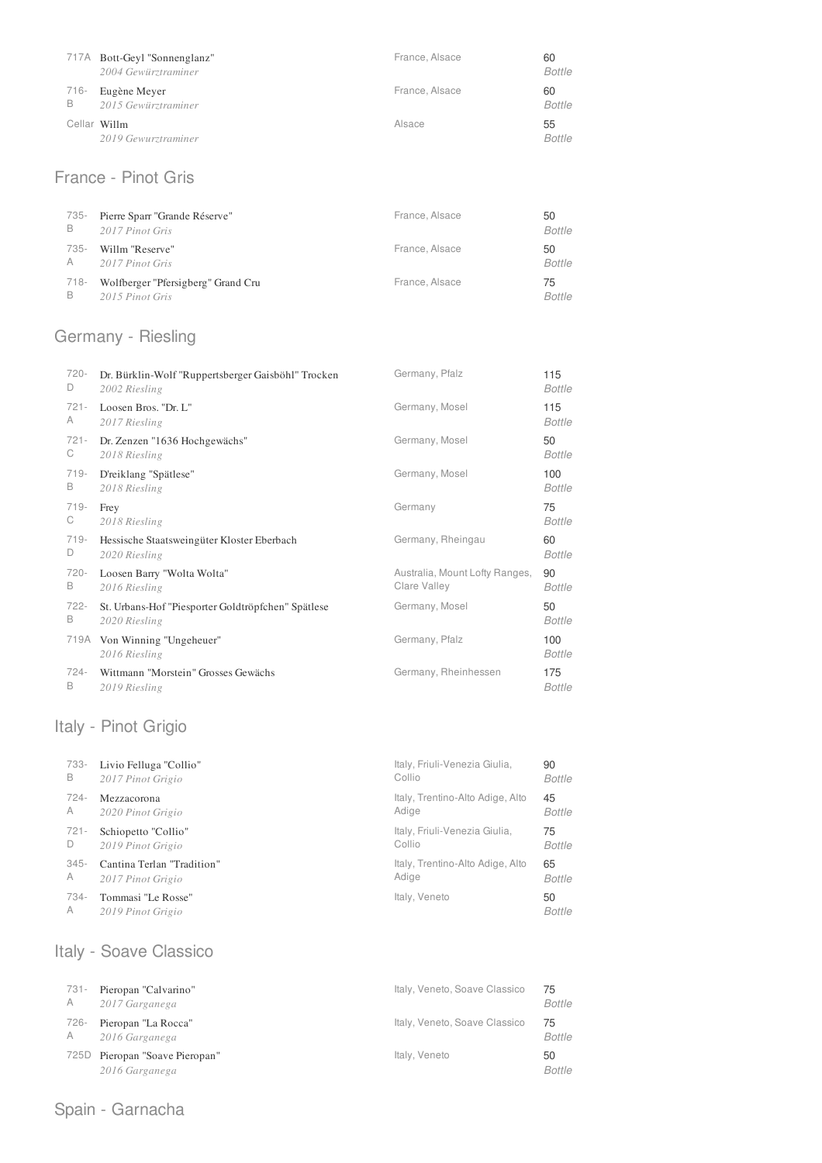|           | 717A Bott-Geyl "Sonnenglanz"<br>2004 Gewürztraminer | France, Alsace | 60<br><b>Bottle</b> |
|-----------|-----------------------------------------------------|----------------|---------------------|
| 716-<br>B | Eugène Meyer<br>2015 Gewürztraminer                 | France, Alsace | 60<br><b>Bottle</b> |
|           | Cellar Willm<br>2019 Gewurztraminer                 | Alsace         | 55<br><b>Bottle</b> |

### France - Pinot Gris

| 735- | Pierre Sparr "Grande Réserve"      | France, Alsace | 50     |
|------|------------------------------------|----------------|--------|
| В    | 2017 Pinot Gris                    |                | Bottle |
| 735- | Willm "Reserve"                    | France, Alsace | 50     |
| A    | 2017 Pinot Gris                    |                | Bottle |
| 718- | Wolfberger "Pfersigberg" Grand Cru | France, Alsace | 75     |
| в    | 2015 Pinot Gris                    |                | Bottle |

# Germany - Riesling

| $720 -$ | Dr. Bürklin-Wolf "Ruppertsberger Gaisböhl" Trocken | Germany, Pfalz                 | 115           |
|---------|----------------------------------------------------|--------------------------------|---------------|
| D       | 2002 Riesling                                      |                                | Bottle        |
| $721 -$ | Loosen Bros. "Dr. L"                               | Germany, Mosel                 | 115           |
| A       | 2017 Riesling                                      |                                | Bottle        |
| $721 -$ | Dr. Zenzen "1636 Hochgewächs"                      | Germany, Mosel                 | 50            |
| C.      | 2018 Riesling                                      |                                | Bottle        |
| $719 -$ | D'reiklang "Spätlese"                              | Germany, Mosel                 | 100           |
| В       | 2018 Riesling                                      |                                | Bottle        |
| $719-$  | Frey                                               | Germany                        | 75            |
| С       | 2018 Riesling                                      |                                | Bottle        |
| $719-$  | Hessische Staatsweingüter Kloster Eberbach         | Germany, Rheingau              | 60            |
| D       | 2020 Riesling                                      |                                | Bottle        |
| 720-    | Loosen Barry "Wolta Wolta"                         | Australia, Mount Lofty Ranges, | 90            |
| в       | 2016 Riesling                                      | Clare Valley                   | Bottle        |
| $722 -$ | St. Urbans-Hof "Piesporter Goldtröpfchen" Spätlese | Germany, Mosel                 | 50            |
| В       | 2020 Riesling                                      |                                | Bottle        |
|         | 719A Von Winning "Ungeheuer"<br>2016 Riesling      | Germany, Pfalz                 | 100<br>Bottle |
| $724 -$ | Wittmann "Morstein" Grosses Gewächs                | Germany, Rheinhessen           | 175           |
| В       | 2019 Riesling                                      |                                | Bottle        |

# Italy - Pinot Grigio

| 733-    | Livio Felluga "Collio"     | Italy, Friuli-Venezia Giulia,    | 90            |
|---------|----------------------------|----------------------------------|---------------|
| B       | 2017 Pinot Grigio          | Collio                           | Bottle        |
| 724-    | Mezzacorona                | Italy, Trentino-Alto Adige, Alto | 45            |
| A       | 2020 Pinot Grigio          | Adige                            | Bottle        |
| $721 -$ | Schiopetto "Collio"        | Italy, Friuli-Venezia Giulia,    | 75            |
| D       | 2019 Pinot Grigio          | Collio                           | Bottle        |
| $345 -$ | Cantina Terlan "Tradition" | Italy, Trentino-Alto Adige, Alto | 65            |
| A       | 2017 Pinot Grigio          | Adige                            | Bottle        |
| 734-    | Tommasi "Le Rosse"         | Italy, Veneto                    | 50            |
| A       | 2019 Pinot Grigio          |                                  | <b>Bottle</b> |

# Italy - Soave Classico

| 731- | Pieropan "Calvarino"                        | Italy, Veneto, Soave Classico | 75           |
|------|---------------------------------------------|-------------------------------|--------------|
| A    | 2017 Garganega                              |                               | Bottle       |
| -726 | Pieropan "La Rocca"                         | Italy, Veneto, Soave Classico | 75           |
| A    | 2016 Garganega                              |                               | Bottle       |
| 725D | Pieropan "Soave Pieropan"<br>2016 Garganega | Italy, Veneto                 | 50<br>Bottle |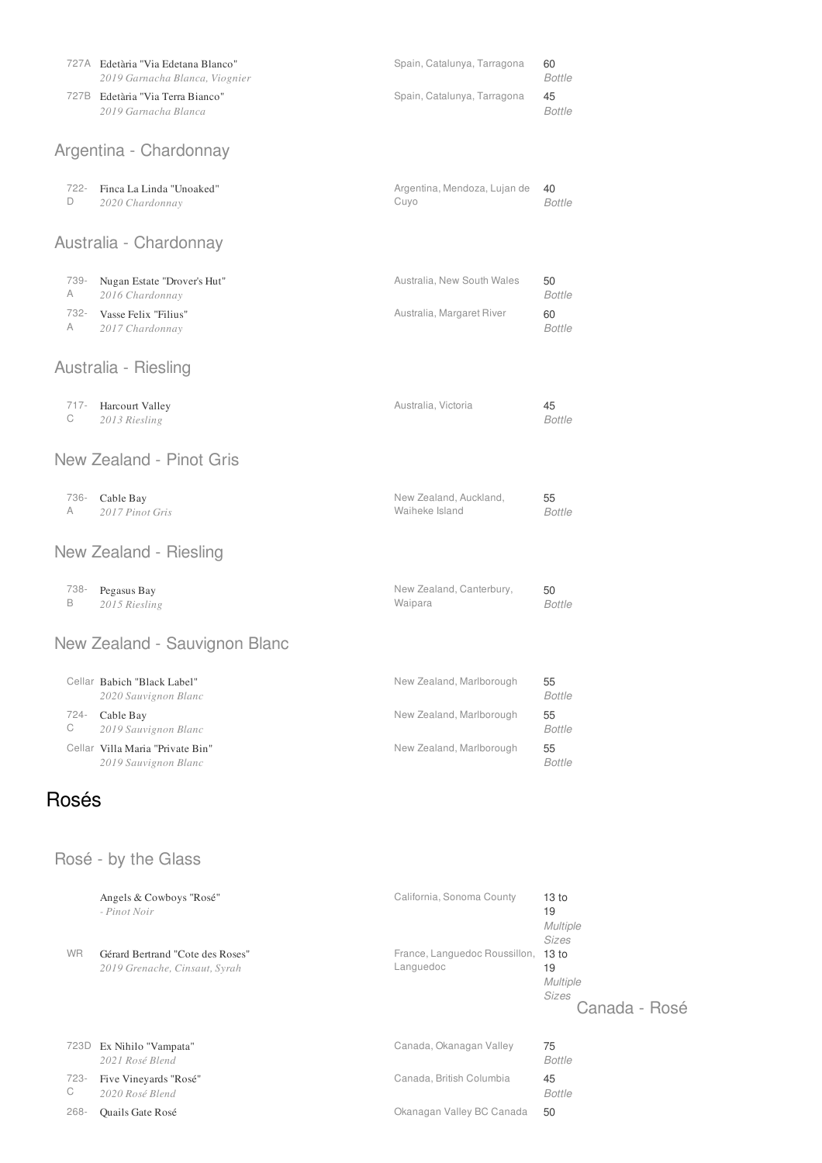|           | 727A Edetària "Via Edetana Blanco"<br>2019 Garnacha Blanca, Viognier | Spain, Catalunya, Tarragona              | 60<br><b>Bottle</b> |
|-----------|----------------------------------------------------------------------|------------------------------------------|---------------------|
|           | 727B Edetària "Via Terra Bianco"<br>2019 Garnacha Blanca             | Spain, Catalunya, Tarragona              | 45<br><b>Bottle</b> |
|           | Argentina - Chardonnay                                               |                                          |                     |
|           |                                                                      |                                          |                     |
| 722-<br>D | Finca La Linda "Unoaked"<br>2020 Chardonnay                          | Argentina, Mendoza, Lujan de<br>Cuyo     | 40<br><b>Bottle</b> |
|           | Australia - Chardonnay                                               |                                          |                     |
| 739-<br>A | Nugan Estate "Drover's Hut"<br>2016 Chardonnay                       | Australia, New South Wales               | 50<br><b>Bottle</b> |
| 732-<br>A | Vasse Felix "Filius"<br>2017 Chardonnay                              | Australia, Margaret River                | 60<br><b>Bottle</b> |
|           | Australia - Riesling                                                 |                                          |                     |
| 717-<br>C | Harcourt Valley<br>2013 Riesling                                     | Australia, Victoria                      | 45<br><b>Bottle</b> |
|           | New Zealand - Pinot Gris                                             |                                          |                     |
| 736-<br>A | Cable Bay<br>2017 Pinot Gris                                         | New Zealand, Auckland,<br>Waiheke Island | 55<br><b>Bottle</b> |
|           | New Zealand - Riesling                                               |                                          |                     |
| 738-<br>B | Pegasus Bay<br>2015 Riesling                                         | New Zealand, Canterbury,<br>Waipara      | 50<br><b>Bottle</b> |
|           | New Zealand - Sauvignon Blanc                                        |                                          |                     |
|           | Cellar Babich "Black Label"<br>2020 Sauvignon Blanc                  | New Zealand, Marlborough                 | 55<br><b>Bottle</b> |
| 724-<br>С | Cable Bay<br>2019 Sauvignon Blanc                                    | New Zealand, Marlborough                 | 55<br>Bottle        |
|           | Cellar Villa Maria "Private Bin"<br>2019 Sauvignon Blanc             | New Zealand, Marlborough                 | 55<br><b>Bottle</b> |
| Rosés     |                                                                      |                                          |                     |

# Rosé - by the Glass

|           | Angels & Cowboys "Rosé"<br>- Pinot Noir                           | California, Sonoma County                  | 13 <sub>to</sub><br>19<br><b>Multiple</b><br>Sizes                  |
|-----------|-------------------------------------------------------------------|--------------------------------------------|---------------------------------------------------------------------|
| <b>WR</b> | Gérard Bertrand "Cote des Roses"<br>2019 Grenache, Cinsaut, Syrah | France, Languedoc Roussillon,<br>Languedoc | 13 <sub>to</sub><br>19<br><b>Multiple</b><br>Sizes<br>Canada - Rosé |
| 723D      | Ex Nihilo "Vampata"<br>2021 Rosé Blend                            | Canada, Okanagan Valley                    | 75<br><b>Bottle</b>                                                 |
| 723-<br>C | Five Vineyards "Rosé"<br>2020 Rosé Blend                          | Canada, British Columbia                   | 45<br><b>Bottle</b>                                                 |
| $268 -$   | Quails Gate Rosé                                                  | Okanagan Valley BC Canada                  | 50                                                                  |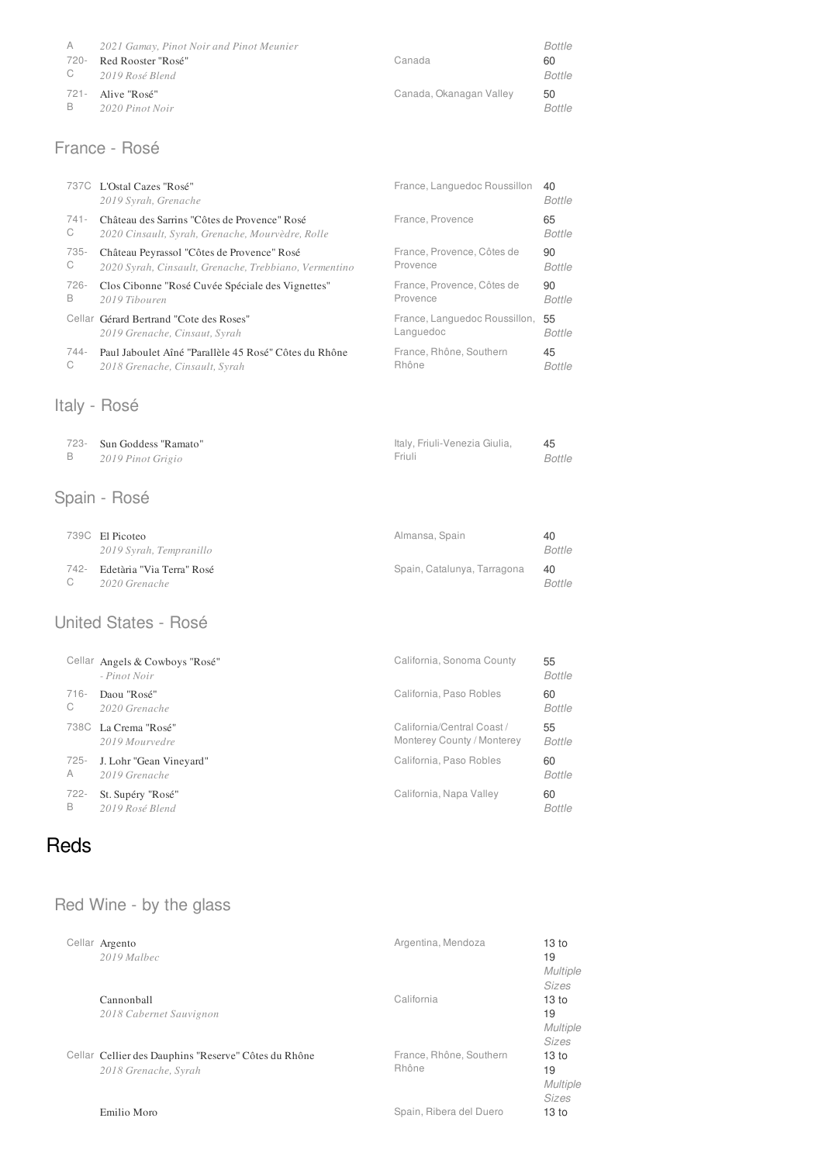| A    | 2021 Gamay, Pinot Noir and Pinot Meunier |                         | Bottle |
|------|------------------------------------------|-------------------------|--------|
| 720- | Red Rooster "Rosé"                       | Canada                  | 60     |
|      | C 2019 Rosé Blend                        |                         | Bottle |
|      | 721 - Alive "Rosé"                       | Canada, Okanagan Valley | 50     |
| B.   | 2020 Pinot Noir                          |                         | Bottle |

### France - Rosé

|         | 737C L'Ostal Cazes "Rosé"<br>2019 Syrah, Grenache     | France, Languedoc Roussillon  | 40<br>Bottle  |
|---------|-------------------------------------------------------|-------------------------------|---------------|
| $741 -$ | Château des Sarrins "Côtes de Provence" Rosé          | France, Provence              | 65            |
| C       | 2020 Cinsault, Syrah, Grenache, Mourvèdre, Rolle      |                               | Bottle        |
| 735-    | Château Peyrassol "Côtes de Provence" Rosé            | France, Provence, Côtes de    | 90            |
| C       | 2020 Syrah, Cinsault, Grenache, Trebbiano, Vermentino | Provence                      | <b>Bottle</b> |
| 726-    | Clos Cibonne "Rosé Cuvée Spéciale des Vignettes"      | France, Provence, Côtes de    | 90            |
| B       | 2019 Tibouren                                         | Provence                      | <b>Bottle</b> |
|         | Cellar Gérard Bertrand "Cote des Roses"               | France, Languedoc Roussillon, | 55            |
|         | 2019 Grenache, Cinsaut, Syrah                         | Languedoc                     | Bottle        |
| 744-    | Paul Jaboulet Aîné "Parallèle 45 Rosé" Côtes du Rhône | France, Rhône, Southern       | 45            |
| C       | 2018 Grenache, Cinsault, Syrah                        | Rhône                         | <b>Bottle</b> |

### Italy - Rosé

| 723- Sun Goddess "Ramato" | Italy, Friuli-Venezia Giulia, |        |
|---------------------------|-------------------------------|--------|
| 2019 Pinot Grigio         | Friuli                        | Bottle |

# Spain - Rosé

|    | 739C El Picoteo                | Almansa, Spain              | 40            |
|----|--------------------------------|-----------------------------|---------------|
|    | 2019 Syrah, Tempranillo        |                             | Bottle        |
|    | 742- Edetària "Via Terra" Rosé | Spain, Catalunya, Tarragona | 40            |
| C. | 2020 Grenache                  |                             | <i>Bottle</i> |

#### United States - Rosé

|         | Cellar Angels & Cowboys "Rosé"<br>- Pinot Noir | California, Sonoma County  | 55<br>Bottle  |
|---------|------------------------------------------------|----------------------------|---------------|
| $716 -$ | Daou "Rosé"                                    | California, Paso Robles    | 60            |
| C       | 2020 Grenache                                  |                            | Bottle        |
| 738C    | La Crema "Rosé"                                | California/Central Coast / | 55            |
|         | 2019 Mourvedre                                 | Monterey County / Monterey | <b>Bottle</b> |
| $725 -$ | J. Lohr "Gean Vineyard"                        | California, Paso Robles    | 60            |
| A       | 2019 Grenache                                  |                            | Bottle        |
| $722 -$ | St. Supéry "Rosé"                              | California, Napa Valley    | 60            |
| B       | 2019 Rosé Blend                                |                            | <b>Bottle</b> |

# Reds

# Red Wine - by the glass

| Cellar Argento                                       | Argentina, Mendoza      | 13 <sub>to</sub> |
|------------------------------------------------------|-------------------------|------------------|
| 2019 Malbec                                          |                         | 19               |
|                                                      |                         | <b>Multiple</b>  |
|                                                      |                         | Sizes            |
| Cannonball                                           | California              | 13 <sub>to</sub> |
| 2018 Cabernet Sauvignon                              |                         | 19               |
|                                                      |                         | <b>Multiple</b>  |
|                                                      |                         | <b>Sizes</b>     |
| Cellar Cellier des Dauphins "Reserve" Côtes du Rhône | France, Rhône, Southern | 13 <sub>to</sub> |
| 2018 Grenache, Syrah                                 | Rhône                   | 19               |
|                                                      |                         | <b>Multiple</b>  |
|                                                      |                         | <b>Sizes</b>     |
| Emilio Moro                                          | Spain, Ribera del Duero | 13 <sub>to</sub> |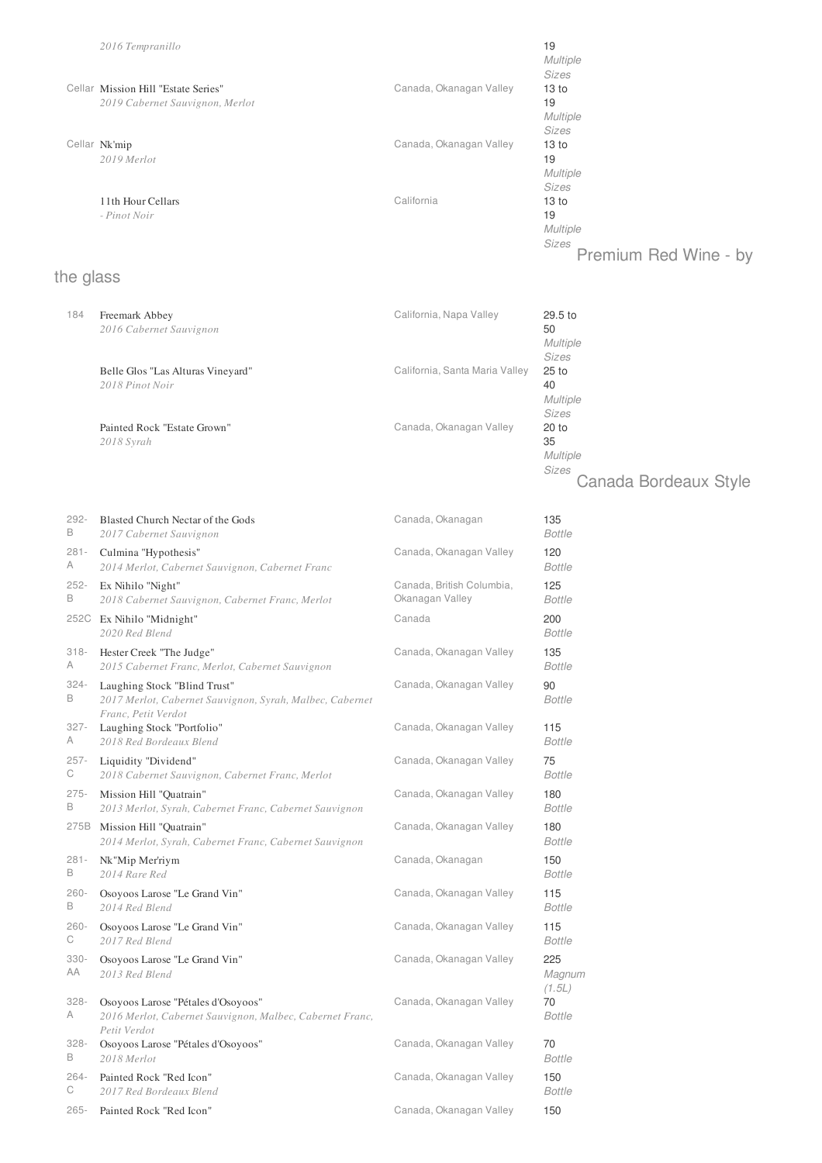|           | 2016 Tempranillo<br>Cellar Mission Hill "Estate Series"<br>2019 Cabernet Sauvignon, Merlot | Canada, Okanagan Valley        | 19<br><b>Multiple</b><br>Sizes<br>13 to<br>19<br><b>Multiple</b>     |
|-----------|--------------------------------------------------------------------------------------------|--------------------------------|----------------------------------------------------------------------|
|           | Cellar Nk'mip<br>2019 Merlot                                                               | Canada, Okanagan Valley        | <b>Sizes</b><br>13 <sub>to</sub><br>19<br><b>Multiple</b><br>Sizes   |
|           | 11th Hour Cellars<br>- Pinot Noir                                                          | California                     | 13 <sub>to</sub><br>19<br>Multiple<br>Sizes<br>Premium Red Wine - by |
| the glass |                                                                                            |                                |                                                                      |
| 184       | Freemark Abbey<br>2016 Cabernet Sauvignon                                                  | California, Napa Valley        | 29.5 to<br>50<br>Multiple<br>Sizes                                   |
|           | Belle Glos "Las Alturas Vineyard"<br>2018 Pinot Noir                                       | California, Santa Maria Valley | $25$ to<br>40<br><b>Multiple</b><br>Sizes                            |
|           | Painted Rock "Estate Grown"<br>2018 Syrah                                                  | Canada, Okanagan Valley        | $20$ to<br>35                                                        |

*Multiple*

*Sizes* Canada Bordeaux Style

| 292-          | Blasted Church Nectar of the Gods                                                                               | Canada, Okanagan          | 135                     |
|---------------|-----------------------------------------------------------------------------------------------------------------|---------------------------|-------------------------|
| B             | 2017 Cabernet Sauvignon                                                                                         |                           | <b>Bottle</b>           |
| $281 -$       | Culmina "Hypothesis"                                                                                            | Canada, Okanagan Valley   | 120                     |
| A             | 2014 Merlot, Cabernet Sauvignon, Cabernet Franc                                                                 |                           | <b>Bottle</b>           |
| $252 -$       | Ex Nihilo "Night"                                                                                               | Canada, British Columbia, | 125                     |
| B             | 2018 Cabernet Sauvignon, Cabernet Franc, Merlot                                                                 | Okanagan Valley           | <b>Bottle</b>           |
|               | 252C Ex Nihilo "Midnight"<br>2020 Red Blend                                                                     | Canada                    | 200<br><b>Bottle</b>    |
| $318 -$       | Hester Creek "The Judge"                                                                                        | Canada, Okanagan Valley   | 135                     |
| A             | 2015 Cabernet Franc, Merlot, Cabernet Sauvignon                                                                 |                           | <b>Bottle</b>           |
| $324 -$<br>B  | Laughing Stock "Blind Trust"<br>2017 Merlot, Cabernet Sauvignon, Syrah, Malbec, Cabernet<br>Franc, Petit Verdot | Canada, Okanagan Valley   | 90<br><b>Bottle</b>     |
| $327 -$       | Laughing Stock "Portfolio"                                                                                      | Canada, Okanagan Valley   | 115                     |
| A             | 2018 Red Bordeaux Blend                                                                                         |                           | <b>Bottle</b>           |
| $257 -$       | Liquidity "Dividend"                                                                                            | Canada, Okanagan Valley   | 75                      |
| С             | 2018 Cabernet Sauvignon, Cabernet Franc, Merlot                                                                 |                           | <b>Bottle</b>           |
| $275 -$       | Mission Hill "Quatrain"                                                                                         | Canada, Okanagan Valley   | 180                     |
| B             | 2013 Merlot, Syrah, Cabernet Franc, Cabernet Sauvignon                                                          |                           | <b>Bottle</b>           |
| 275B          | Mission Hill "Quatrain"<br>2014 Merlot, Syrah, Cabernet Franc, Cabernet Sauvignon                               | Canada, Okanagan Valley   | 180<br><b>Bottle</b>    |
| $281 -$       | Nk"Mip Mer'riym                                                                                                 | Canada, Okanagan          | 150                     |
| В             | 2014 Rare Red                                                                                                   |                           | <b>Bottle</b>           |
| $260 -$       | Osoyoos Larose "Le Grand Vin"                                                                                   | Canada, Okanagan Valley   | 115                     |
| B             | 2014 Red Blend                                                                                                  |                           | <b>Bottle</b>           |
| $260 -$       | Osoyoos Larose "Le Grand Vin"                                                                                   | Canada, Okanagan Valley   | 115                     |
| С             | 2017 Red Blend                                                                                                  |                           | <b>Bottle</b>           |
| $330 -$<br>AA | Osoyoos Larose "Le Grand Vin"<br>2013 Red Blend                                                                 | Canada, Okanagan Valley   | 225<br>Magnum<br>(1.5L) |
| $328 -$<br>A  | Osoyoos Larose "Pétales d'Osoyoos"<br>2016 Merlot, Cabernet Sauvignon, Malbec, Cabernet Franc,<br>Petit Verdot  | Canada, Okanagan Valley   | 70<br><b>Bottle</b>     |
| $328 -$       | Osoyoos Larose "Pétales d'Osoyoos"                                                                              | Canada, Okanagan Valley   | 70                      |
| B             | 2018 Merlot                                                                                                     |                           | <b>Bottle</b>           |
| $264 -$       | Painted Rock "Red Icon"                                                                                         | Canada, Okanagan Valley   | 150                     |
| С             | 2017 Red Bordeaux Blend                                                                                         |                           | <b>Bottle</b>           |
| $265 -$       | Painted Rock "Red Icon"                                                                                         | Canada, Okanagan Valley   | 150                     |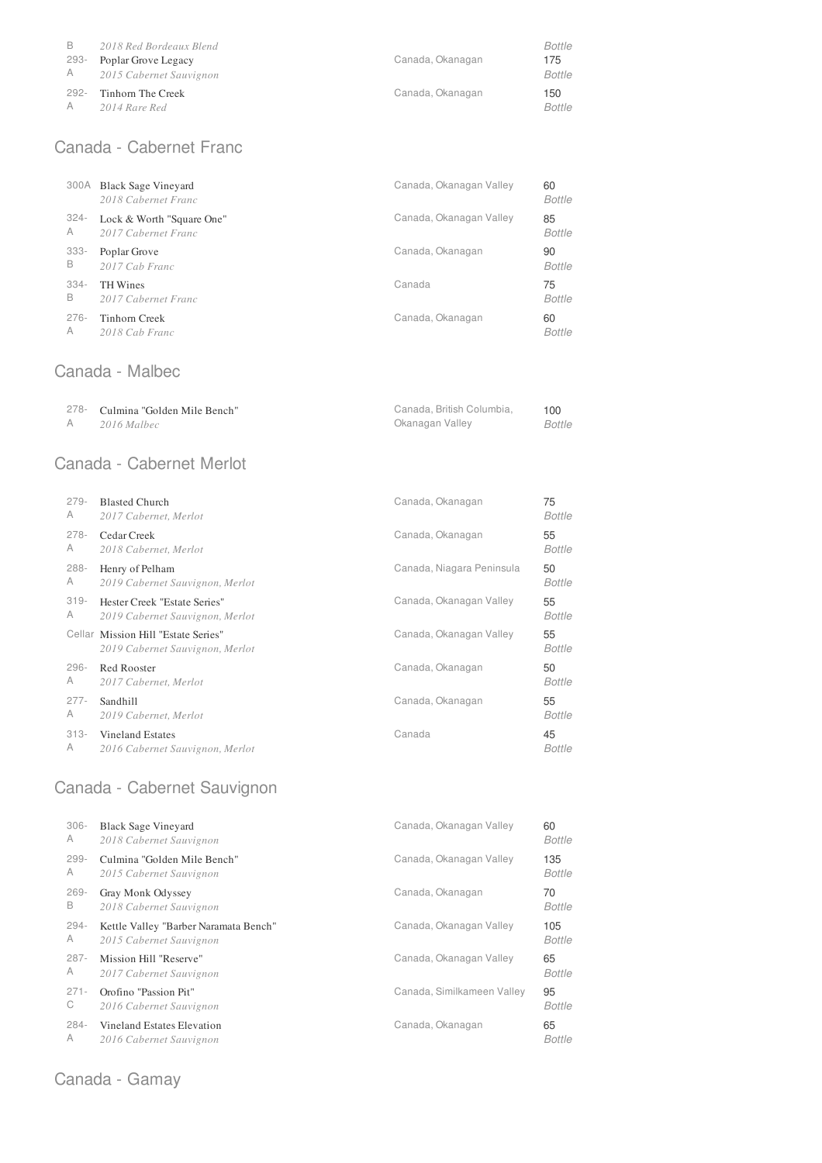| B    | 2018 Red Bordeaux Blend            | Canada, Okanagan | Bottle               |
|------|------------------------------------|------------------|----------------------|
| 293- | Poplar Grove Legacy                |                  | 175                  |
| A    | 2015 Cabernet Sauvignon            |                  | <b>Bottle</b>        |
| 292- | Tinhorn The Creek<br>2014 Rare Red | Canada, Okanagan | 150<br><b>Bottle</b> |

# Canada - Cabernet Franc

|         | 300A Black Sage Vineyard<br>2018 Cabernet Franc | Canada, Okanagan Valley | 60<br>Bottle  |
|---------|-------------------------------------------------|-------------------------|---------------|
| $324 -$ | Lock & Worth "Square One"                       | Canada, Okanagan Valley | 85            |
| A       | 2017 Cabernet Franc                             |                         | <b>Bottle</b> |
| $333 -$ | Poplar Grove                                    | Canada, Okanagan        | 90            |
| B       | 2017 Cab Franc                                  |                         | Bottle        |
| $334 -$ | <b>TH</b> Wines                                 | Canada                  | 75            |
| B       | 2017 Cabernet Franc                             |                         | Bottle        |
| $276 -$ | Tinhorn Creek                                   | Canada, Okanagan        | 60            |
| A       | 2018 Cab Franc                                  |                         | <b>Bottle</b> |

### Canada - Malbec

| 278- Culmina "Golden Mile Bench" | Canada, British Columbia. | 100    |
|----------------------------------|---------------------------|--------|
| 2016 Malbec                      | Okanagan Valley           | Bottle |

### Canada - Cabernet Merlot

| $279 -$ | <b>Blasted Church</b>                                                  | Canada, Okanagan          | 75            |
|---------|------------------------------------------------------------------------|---------------------------|---------------|
| A       | 2017 Cabernet, Merlot                                                  |                           | Bottle        |
| $278 -$ | Cedar Creek                                                            | Canada, Okanagan          | 55            |
| A       | 2018 Cabernet, Merlot                                                  |                           | Bottle        |
| $288 -$ | Henry of Pelham                                                        | Canada, Niagara Peninsula | 50            |
| A       | 2019 Cabernet Sauvignon, Merlot                                        |                           | Bottle        |
| $319 -$ | Hester Creek "Estate Series"                                           | Canada, Okanagan Valley   | 55            |
| A       | 2019 Cabernet Sauvignon, Merlot                                        |                           | Bottle        |
|         | Cellar Mission Hill "Estate Series"<br>2019 Cabernet Sauvignon, Merlot | Canada, Okanagan Valley   | 55<br>Bottle  |
| $296 -$ | Red Rooster                                                            | Canada, Okanagan          | 50            |
| A       | 2017 Cabernet, Merlot                                                  |                           | Bottle        |
| $277 -$ | Sandhill                                                               | Canada, Okanagan          | 55            |
| A       | 2019 Cabernet, Merlot                                                  |                           | Bottle        |
| $313 -$ | Vineland Estates                                                       | Canada                    | 45            |
| A       | 2016 Cabernet Sauvignon, Merlot                                        |                           | <b>Bottle</b> |

# Canada - Cabernet Sauvignon

| $306 -$ | <b>Black Sage Vineyard</b>            | Canada, Okanagan Valley    | 60            |
|---------|---------------------------------------|----------------------------|---------------|
| A       | 2018 Cabernet Sauvignon               |                            | Bottle        |
| $299 -$ | Culmina "Golden Mile Bench"           | Canada, Okanagan Valley    | 135           |
| A       | 2015 Cabernet Sauvignon               |                            | Bottle        |
| $269 -$ | Gray Monk Odyssey                     | Canada, Okanagan           | 70            |
| B       | 2018 Cabernet Sauvignon               |                            | <b>Bottle</b> |
| $294 -$ | Kettle Valley "Barber Naramata Bench" | Canada, Okanagan Valley    | 105           |
| A       | 2015 Cabernet Sauvignon               |                            | <b>Bottle</b> |
| $287 -$ | Mission Hill "Reserve"                | Canada, Okanagan Valley    | 65            |
| A       | 2017 Cabernet Sauvignon               |                            | <b>Bottle</b> |
| $271 -$ | Orofino "Passion Pit"                 | Canada, Similkameen Valley | 95            |
| С       | 2016 Cabernet Sauvignon               |                            | <b>Bottle</b> |
| $284 -$ | Vineland Estates Elevation            | Canada, Okanagan           | 65            |
| A       | 2016 Cabernet Sauvignon               |                            | <b>Bottle</b> |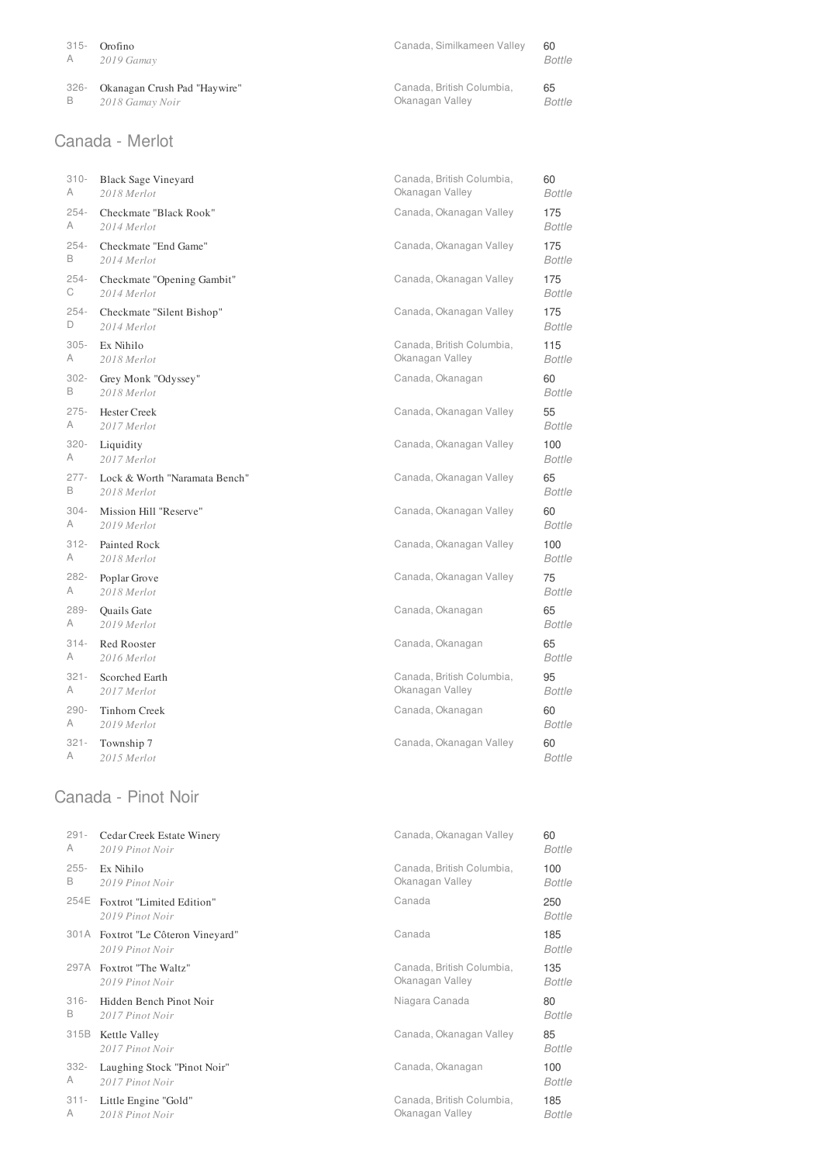| 315-                    | Orofino                      | Canada, Similkameen Valley | 60            |
|-------------------------|------------------------------|----------------------------|---------------|
| $\overline{\mathsf{A}}$ | 2019 Gamay                   |                            | <b>Bottle</b> |
| 326-                    | Okanagan Crush Pad "Haywire" | Canada, British Columbia.  | 65            |
| в                       | 2018 Gamay Noir              | Okanagan Valley            | Bottle        |

### Canada - Merlot

| $310 -$ | <b>Black Sage Vineyard</b>    | Canada, British Columbia, | 60            |
|---------|-------------------------------|---------------------------|---------------|
| A       | 2018 Merlot                   | Okanagan Valley           | <b>Bottle</b> |
| $254 -$ | Checkmate "Black Rook"        | Canada, Okanagan Valley   | 175           |
| A       | 2014 Merlot                   |                           | <b>Bottle</b> |
| $254 -$ | Checkmate "End Game"          | Canada, Okanagan Valley   | 175           |
| B       | 2014 Merlot                   |                           | <b>Bottle</b> |
| $254 -$ | Checkmate "Opening Gambit"    | Canada, Okanagan Valley   | 175           |
| С       | 2014 Merlot                   |                           | <b>Bottle</b> |
| $254 -$ | Checkmate "Silent Bishop"     | Canada, Okanagan Valley   | 175           |
| D       | 2014 Merlot                   |                           | <b>Bottle</b> |
| $305 -$ | Ex Nihilo                     | Canada, British Columbia, | 115           |
| A       | 2018 Merlot                   | Okanagan Valley           | <b>Bottle</b> |
| $302 -$ | Grey Monk "Odyssey"           | Canada, Okanagan          | 60            |
| B       | 2018 Merlot                   |                           | <b>Bottle</b> |
| $275 -$ | <b>Hester Creek</b>           | Canada, Okanagan Valley   | 55            |
| A       | 2017 Merlot                   |                           | <b>Bottle</b> |
| $320 -$ | Liquidity                     | Canada, Okanagan Valley   | 100           |
| A       | 2017 Merlot                   |                           | <b>Bottle</b> |
| $277 -$ | Lock & Worth "Naramata Bench" | Canada, Okanagan Valley   | 65            |
| B       | 2018 Merlot                   |                           | <b>Bottle</b> |
| $304 -$ | Mission Hill "Reserve"        | Canada, Okanagan Valley   | 60            |
| A       | 2019 Merlot                   |                           | <b>Bottle</b> |
| $312 -$ | Painted Rock                  | Canada, Okanagan Valley   | 100           |
| A       | 2018 Merlot                   |                           | <b>Bottle</b> |
| $282 -$ | Poplar Grove                  | Canada, Okanagan Valley   | 75            |
| A       | 2018 Merlot                   |                           | <b>Bottle</b> |
| 289-    | Quails Gate                   | Canada, Okanagan          | 65            |
| A       | 2019 Merlot                   |                           | <b>Bottle</b> |
| $314 -$ | Red Rooster                   | Canada, Okanagan          | 65            |
| A       | 2016 Merlot                   |                           | <b>Bottle</b> |
| $321 -$ | Scorched Earth                | Canada, British Columbia, | 95            |
| A       | 2017 Merlot                   | Okanagan Valley           | <b>Bottle</b> |
| $290 -$ | <b>Tinhorn Creek</b>          | Canada, Okanagan          | 60            |
| А       | 2019 Merlot                   |                           | <b>Bottle</b> |
| $321 -$ | Township 7                    | Canada, Okanagan Valley   | 60            |
| A       | 2015 Merlot                   |                           | <b>Bottle</b> |

### Canada - Pinot Noir

| $291 -$ | Cedar Creek Estate Winery                             | Canada, Okanagan Valley   | 60                   |
|---------|-------------------------------------------------------|---------------------------|----------------------|
| A       | 2019 Pinot Noir                                       |                           | <b>Bottle</b>        |
| $255 -$ | Ex Nihilo                                             | Canada, British Columbia, | 100                  |
| B       | 2019 Pinot Noir                                       | Okanagan Valley           | <b>Bottle</b>        |
| 254E    | Foxtrot "Limited Edition"<br>2019 Pinot Noir          | Canada                    | 250<br><b>Bottle</b> |
|         | 301A Foxtrot "Le Côteron Vineyard"<br>2019 Pinot Noir | Canada                    | 185<br>Bottle        |
| 297A    | Foxtrot "The Waltz"                                   | Canada, British Columbia, | 135                  |
|         | 2019 Pinot Noir                                       | Okanagan Valley           | <b>Bottle</b>        |
| $316 -$ | Hidden Bench Pinot Noir                               | Niagara Canada            | 80                   |
| B       | 2017 Pinot Noir                                       |                           | <b>Bottle</b>        |
| 315B    | <b>Kettle Valley</b><br>2017 Pinot Noir               | Canada, Okanagan Valley   | 85<br><b>Bottle</b>  |
| $332 -$ | Laughing Stock "Pinot Noir"                           | Canada, Okanagan          | 100                  |
| A       | 2017 Pinot Noir                                       |                           | <b>Bottle</b>        |
| $311 -$ | Little Engine "Gold"                                  | Canada, British Columbia, | 185                  |
| A       | 2018 Pinot Noir                                       | Okanagan Valley           | Bottle               |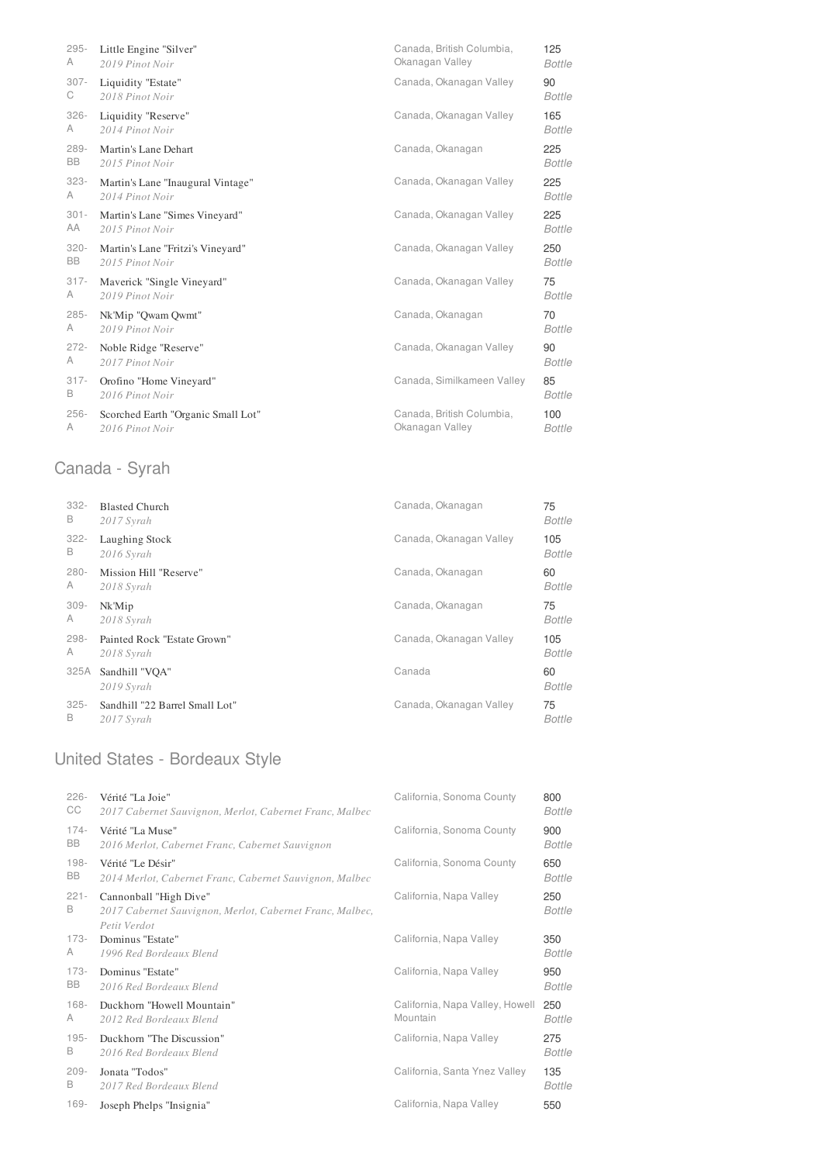| $295 -$ | Little Engine "Silver"             | Canada, British Columbia,  | 125           |
|---------|------------------------------------|----------------------------|---------------|
| A       | 2019 Pinot Noir                    | Okanagan Valley            | <b>Bottle</b> |
| $307 -$ | Liquidity "Estate"                 | Canada, Okanagan Valley    | 90            |
| С       | 2018 Pinot Noir                    |                            | <b>Bottle</b> |
| $326 -$ | Liquidity "Reserve"                | Canada, Okanagan Valley    | 165           |
| A       | 2014 Pinot Noir                    |                            | Bottle        |
| $289 -$ | Martin's Lane Dehart               | Canada, Okanagan           | 225           |
| BB      | 2015 Pinot Noir                    |                            | <b>Bottle</b> |
| $323 -$ | Martin's Lane "Inaugural Vintage"  | Canada, Okanagan Valley    | 225           |
| A       | 2014 Pinot Noir                    |                            | <b>Bottle</b> |
| $301 -$ | Martin's Lane "Simes Vineyard"     | Canada, Okanagan Valley    | 225           |
| AA      | 2015 Pinot Noir                    |                            | <b>Bottle</b> |
| $320 -$ | Martin's Lane "Fritzi's Vineyard"  | Canada, Okanagan Valley    | 250           |
| BB      | 2015 Pinot Noir                    |                            | <b>Bottle</b> |
| $317 -$ | Maverick "Single Vineyard"         | Canada, Okanagan Valley    | 75            |
| A       | 2019 Pinot Noir                    |                            | <b>Bottle</b> |
| $285 -$ | Nk'Mip "Qwam Qwmt"                 | Canada, Okanagan           | 70            |
| A       | 2019 Pinot Noir                    |                            | <b>Bottle</b> |
| $272 -$ | Noble Ridge "Reserve"              | Canada, Okanagan Valley    | 90            |
| A       | 2017 Pinot Noir                    |                            | <b>Bottle</b> |
| $317 -$ | Orofino "Home Vineyard"            | Canada, Similkameen Valley | 85            |
| В       | 2016 Pinot Noir                    |                            | <b>Bottle</b> |
| $256 -$ | Scorched Earth "Organic Small Lot" | Canada, British Columbia,  | 100           |
| A       | 2016 Pinot Noir                    | Okanagan Valley            | <b>Bottle</b> |

# Canada - Syrah

| $332 -$ | <b>Blasted Church</b>          | Canada, Okanagan        | 75            |
|---------|--------------------------------|-------------------------|---------------|
| B       | 2017 Syrah                     |                         | Bottle        |
| $322 -$ | Laughing Stock                 | Canada, Okanagan Valley | 105           |
| B       | 2016 Syrah                     |                         | <b>Bottle</b> |
| $280 -$ | Mission Hill "Reserve"         | Canada, Okanagan        | 60            |
| A       | 2018 Syrah                     |                         | <b>Bottle</b> |
| $309 -$ | Nk'Mip                         | Canada, Okanagan        | 75            |
| A       | 2018 Syrah                     |                         | Bottle        |
| $298 -$ | Painted Rock "Estate Grown"    | Canada, Okanagan Valley | 105           |
| A       | 2018 Syrah                     |                         | Bottle        |
| 325A    | Sandhill "VOA"<br>2019 Syrah   | Canada                  | 60<br>Bottle  |
| $325 -$ | Sandhill "22 Barrel Small Lot" | Canada, Okanagan Valley | 75            |
| B       | 2017 Syrah                     |                         | Bottle        |

# United States - Bordeaux Style

| $226 -$      | Vérité "La Joie"                                                                                   | California, Sonoma County       | 800                  |
|--------------|----------------------------------------------------------------------------------------------------|---------------------------------|----------------------|
| CC           | 2017 Cabernet Sauvignon, Merlot, Cabernet Franc, Malbec                                            |                                 | <b>Bottle</b>        |
| $174 -$      | Vérité "La Muse"                                                                                   | California, Sonoma County       | 900                  |
| BB           | 2016 Merlot, Cabernet Franc, Cabernet Sauvignon                                                    |                                 | <b>Bottle</b>        |
| $198 -$      | Vérité "Le Désir"                                                                                  | California, Sonoma County       | 650                  |
| BB           | 2014 Merlot, Cabernet Franc, Cabernet Sauvignon, Malbec                                            |                                 | <b>Bottle</b>        |
| $221 -$<br>B | Cannonball "High Dive"<br>2017 Cabernet Sauvignon, Merlot, Cabernet Franc, Malbec,<br>Petit Verdot | California, Napa Valley         | 250<br><b>Bottle</b> |
| $173-$       | Dominus "Estate"                                                                                   | California, Napa Valley         | 350                  |
| A            | 1996 Red Bordeaux Blend                                                                            |                                 | <b>Bottle</b>        |
| $173-$       | Dominus "Estate"                                                                                   | California, Napa Valley         | 950                  |
| BB           | 2016 Red Bordeaux Blend                                                                            |                                 | <b>Bottle</b>        |
| $168 -$      | Duckhorn "Howell Mountain"                                                                         | California, Napa Valley, Howell | 250                  |
| A            | 2012 Red Bordeaux Blend                                                                            | Mountain                        | Bottle               |
| $195 -$      | Duckhorn "The Discussion"                                                                          | California, Napa Valley         | 275                  |
| B            | 2016 Red Bordeaux Blend                                                                            |                                 | <b>Bottle</b>        |
| $209 -$      | Jonata "Todos"                                                                                     | California, Santa Ynez Valley   | 135                  |
| B            | 2017 Red Bordeaux Blend                                                                            |                                 | <b>Bottle</b>        |
| $169 -$      | Joseph Phelps "Insignia"                                                                           | California, Napa Valley         | 550                  |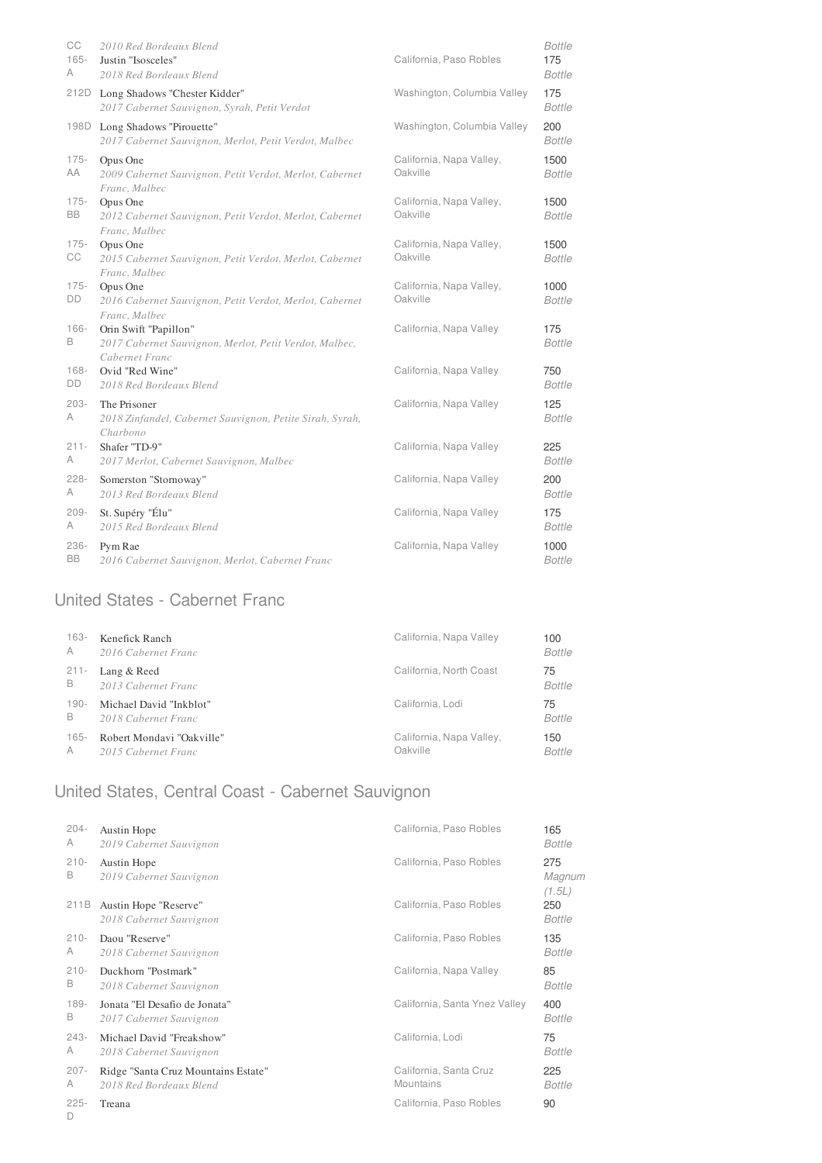| CC<br>$165 -$<br>A | 2010 Red Bordeaux Blend<br>Justin "Isosceles"<br>2018 Red Bordeaux Blend                          | California, Paso Robles              | Bottle<br>175<br><b>Bottle</b> |
|--------------------|---------------------------------------------------------------------------------------------------|--------------------------------------|--------------------------------|
| 212D               | Long Shadows "Chester Kidder"<br>2017 Cabernet Sauvignon, Syrah, Petit Verdot                     | Washington, Columbia Valley          | 175<br><b>Bottle</b>           |
| 198D               | Long Shadows "Pirouette"<br>2017 Cabernet Sauvignon, Merlot, Petit Verdot, Malbec                 | Washington, Columbia Valley          | 200<br><b>Bottle</b>           |
| $175 -$<br>AA      | Opus One<br>2009 Cabernet Sauvignon, Petit Verdot, Merlot, Cabernet<br>Franc, Malbec              | California, Napa Valley,<br>Oakville | 1500<br><b>Bottle</b>          |
| $175 -$<br>BB      | Opus One<br>2012 Cabernet Sauvignon, Petit Verdot, Merlot, Cabernet<br>Franc, Malbec              | California, Napa Valley,<br>Oakville | 1500<br><b>Bottle</b>          |
| $175 -$<br>СC      | Opus One<br>2015 Cabernet Sauvignon, Petit Verdot, Merlot, Cabernet<br>Franc, Malbec              | California, Napa Valley,<br>Oakville | 1500<br><b>Bottle</b>          |
| $175 -$<br>DD      | Opus One<br>2016 Cabernet Sauvignon, Petit Verdot, Merlot, Cabernet<br>Franc, Malbec              | California, Napa Valley,<br>Oakville | 1000<br><b>Bottle</b>          |
| $166 -$<br>B       | Orin Swift "Papillon"<br>2017 Cabernet Sauvignon, Merlot, Petit Verdot, Malbec,<br>Cabernet Franc | California, Napa Valley              | 175<br><b>Bottle</b>           |
| $168 -$<br>DD      | Ovid "Red Wine"<br>2018 Red Bordeaux Blend                                                        | California, Napa Valley              | 750<br><b>Bottle</b>           |
| $203 -$<br>A       | The Prisoner<br>2018 Zinfandel, Cabernet Sauvignon, Petite Sirah, Syrah,<br>Charbono              | California, Napa Valley              | 125<br><b>Bottle</b>           |
| $211 -$<br>A       | Shafer "TD-9"<br>2017 Merlot, Cabernet Sauvignon, Malbec                                          | California, Napa Valley              | 225<br><b>Bottle</b>           |
| $228 -$<br>A       | Somerston "Stornoway"<br>2013 Red Bordeaux Blend                                                  | California, Napa Valley              | 200<br><b>Bottle</b>           |
| $209 -$<br>A       | St. Supéry "Élu"<br>2015 Red Bordeaux Blend                                                       | California, Napa Valley              | 175<br><b>Bottle</b>           |
| 236-<br>BB         | Pym Rae<br>2016 Cabernet Sauvignon, Merlot, Cabernet Franc                                        | California, Napa Valley              | 1000<br><b>Bottle</b>          |

# United States - Cabernet Franc

| 163-    | Kenefick Ranch            | California, Napa Valley  | 100           |
|---------|---------------------------|--------------------------|---------------|
| A       | 2016 Cabernet Franc       |                          | <b>Bottle</b> |
| $211 -$ | Lang & Reed               | California, North Coast  | 75            |
| B       | 2013 Cabernet Franc       |                          | <b>Bottle</b> |
| 190-    | Michael David "Inkblot"   | California, Lodi         | 75            |
| B       | 2018 Cabernet Franc       |                          | <b>Bottle</b> |
| $165 -$ | Robert Mondavi "Oakville" | California, Napa Valley, | 150           |
| A       | 2015 Cabernet Franc       | Oakville                 | Bottle        |

# United States, Central Coast - Cabernet Sauvignon

| $204 -$      | Austin Hope                                      | California, Paso Robles       | 165                     |
|--------------|--------------------------------------------------|-------------------------------|-------------------------|
| A            | 2019 Cabernet Sauvignon                          |                               | <b>Bottle</b>           |
| $210 -$<br>B | Austin Hope<br>2019 Cabernet Sauvignon           | California, Paso Robles       | 275<br>Magnum<br>(1.5L) |
| 211B         | Austin Hope "Reserve"<br>2018 Cabernet Sauvignon | California, Paso Robles       | 250<br><b>Bottle</b>    |
| $210 -$      | Daou "Reserve"                                   | California, Paso Robles       | 135                     |
| A            | 2018 Cabernet Sauvignon                          |                               | <b>Bottle</b>           |
| $210 -$      | Duckhorn "Postmark"                              | California, Napa Valley       | 85                      |
| B            | 2018 Cabernet Sauvignon                          |                               | <b>Bottle</b>           |
| $189 -$      | Jonata "El Desafio de Jonata"                    | California, Santa Ynez Valley | 400                     |
| В            | 2017 Cabernet Sauvignon                          |                               | <b>Bottle</b>           |
| $243-$       | Michael David "Freakshow"                        | California, Lodi              | 75                      |
| A            | 2018 Cabernet Sauvignon                          |                               | <b>Bottle</b>           |
| $207 -$      | Ridge "Santa Cruz Mountains Estate"              | California, Santa Cruz        | 225                     |
| A            | 2018 Red Bordeaux Blend                          | <b>Mountains</b>              | <b>Bottle</b>           |
| $225 -$<br>D | Treana                                           | California, Paso Robles       | 90                      |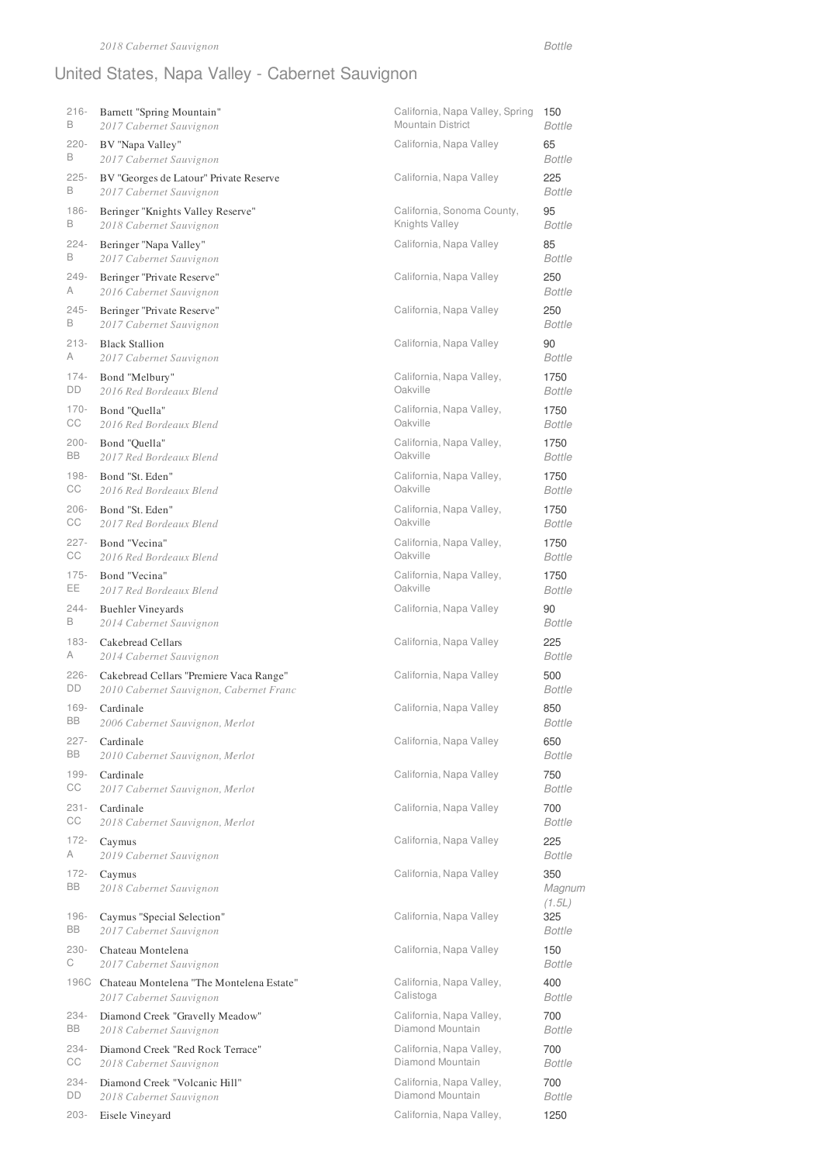# United States, Napa Valley - Cabernet Sauvignon

| $216 -$       | Barnett "Spring Mountain"                             | California, Napa Valley, Spring | 150                            |
|---------------|-------------------------------------------------------|---------------------------------|--------------------------------|
| B             | 2017 Cabernet Sauvignon                               | Mountain District               | <b>Bottle</b>                  |
| $220 -$       | BV "Napa Valley"                                      | California, Napa Valley         | 65                             |
| B             | 2017 Cabernet Sauvignon                               |                                 | <b>Bottle</b>                  |
| $225 -$       | BV "Georges de Latour" Private Reserve                | California, Napa Valley         | 225                            |
| B             | 2017 Cabernet Sauvignon                               |                                 | <b>Bottle</b>                  |
| $186 -$       | Beringer "Knights Valley Reserve"                     | California, Sonoma County,      | 95                             |
| В             | 2018 Cabernet Sauvignon                               | Knights Valley                  | <b>Bottle</b>                  |
| $224 -$       | Beringer "Napa Valley"                                | California, Napa Valley         | 85                             |
| В             | 2017 Cabernet Sauvignon                               |                                 | <b>Bottle</b>                  |
| $249 -$       | Beringer "Private Reserve"                            | California, Napa Valley         | 250                            |
| A             | 2016 Cabernet Sauvignon                               |                                 | <b>Bottle</b>                  |
| $245 -$       | Beringer "Private Reserve"                            | California, Napa Valley         | 250                            |
| В             | 2017 Cabernet Sauvignon                               |                                 | <b>Bottle</b>                  |
| $213 -$       | <b>Black Stallion</b>                                 | California, Napa Valley         | 90                             |
| A             | 2017 Cabernet Sauvignon                               |                                 | <b>Bottle</b>                  |
| $174 -$       | Bond "Melbury"                                        | California, Napa Valley,        | 1750                           |
| DD            | 2016 Red Bordeaux Blend                               | Oakville                        | <b>Bottle</b>                  |
| $170 -$       | Bond "Quella"                                         | California, Napa Valley,        | 1750                           |
| СC            | 2016 Red Bordeaux Blend                               | Oakville                        | <b>Bottle</b>                  |
| $200 -$       | Bond "Quella"                                         | California, Napa Valley,        | 1750                           |
| BB            | 2017 Red Bordeaux Blend                               | Oakville                        | <b>Bottle</b>                  |
| $198 -$       | Bond "St. Eden"                                       | California, Napa Valley,        | 1750                           |
| СC            | 2016 Red Bordeaux Blend                               | Oakville                        | <b>Bottle</b>                  |
| $206 -$       | Bond "St. Eden"                                       | California, Napa Valley,        | 1750                           |
| CС            | 2017 Red Bordeaux Blend                               | Oakville                        | Bottle                         |
| $227 -$       | Bond "Vecina"                                         | California, Napa Valley,        | 1750                           |
| CС            | 2016 Red Bordeaux Blend                               | Oakville                        | Bottle                         |
| $175 -$       | Bond "Vecina"                                         | California, Napa Valley,        | 1750                           |
| EE.           | 2017 Red Bordeaux Blend                               | Oakville                        | <b>Bottle</b>                  |
| $244 -$       | <b>Buehler Vineyards</b>                              | California, Napa Valley         | 90                             |
| В             | 2014 Cabernet Sauvignon                               |                                 | <b>Bottle</b>                  |
| $183 -$       | Cakebread Cellars                                     | California, Napa Valley         | 225                            |
| A             | 2014 Cabernet Sauvignon                               |                                 | <b>Bottle</b>                  |
| $226 -$       | Cakebread Cellars "Premiere Vaca Range"               | California, Napa Valley         | 500                            |
| DD            | 2010 Cabernet Sauvignon, Cabernet Franc               |                                 | <b>Bottle</b>                  |
| $169 -$       | Cardinale                                             | California, Napa Valley         | 850                            |
| BB            | 2006 Cabernet Sauvignon, Merlot                       |                                 | <b>Bottle</b>                  |
| $227 -$       | Cardinale                                             | California, Napa Valley         | 650                            |
| BB            | 2010 Cabernet Sauvignon, Merlot                       |                                 | <b>Bottle</b>                  |
| $199 -$       | Cardinale                                             | California, Napa Valley         | 750                            |
| CС            | 2017 Cabernet Sauvignon, Merlot                       |                                 | <b>Bottle</b>                  |
| $231 -$       | Cardinale                                             | California, Napa Valley         | 700                            |
| CС            | 2018 Cabernet Sauvignon, Merlot                       |                                 | <b>Bottle</b>                  |
| $172 -$       | Caymus                                                | California, Napa Valley         | 225                            |
| A             | 2019 Cabernet Sauvignon                               |                                 | <b>Bottle</b>                  |
| $172 -$       | Caymus                                                | California, Napa Valley         | 350                            |
| BB            | 2018 Cabernet Sauvignon                               |                                 | Magnum                         |
| $196 -$<br>BB | Caymus "Special Selection"<br>2017 Cabernet Sauvignon | California, Napa Valley         | (1.5L)<br>325<br><b>Bottle</b> |
| $230 -$       | Chateau Montelena                                     | California, Napa Valley         | 150                            |
| С             | 2017 Cabernet Sauvignon                               |                                 | <b>Bottle</b>                  |
| 196C          | Chateau Montelena "The Montelena Estate"              | California, Napa Valley,        | 400                            |
|               | 2017 Cabernet Sauvignon                               | Calistoga                       | <b>Bottle</b>                  |
| 234-          | Diamond Creek "Gravelly Meadow"                       | California, Napa Valley,        | 700                            |
| BB            | 2018 Cabernet Sauvignon                               | Diamond Mountain                | <b>Bottle</b>                  |
| 234-          | Diamond Creek "Red Rock Terrace"                      | California, Napa Valley,        | 700                            |
| CС            | 2018 Cabernet Sauvignon                               | Diamond Mountain                | <b>Bottle</b>                  |
| 234-          | Diamond Creek "Volcanic Hill"                         | California, Napa Valley,        | 700                            |
| DD            | 2018 Cabernet Sauvignon                               | Diamond Mountain                | <b>Bottle</b>                  |
| $203 -$       | Eisele Vineyard                                       | California, Napa Valley,        | 1250                           |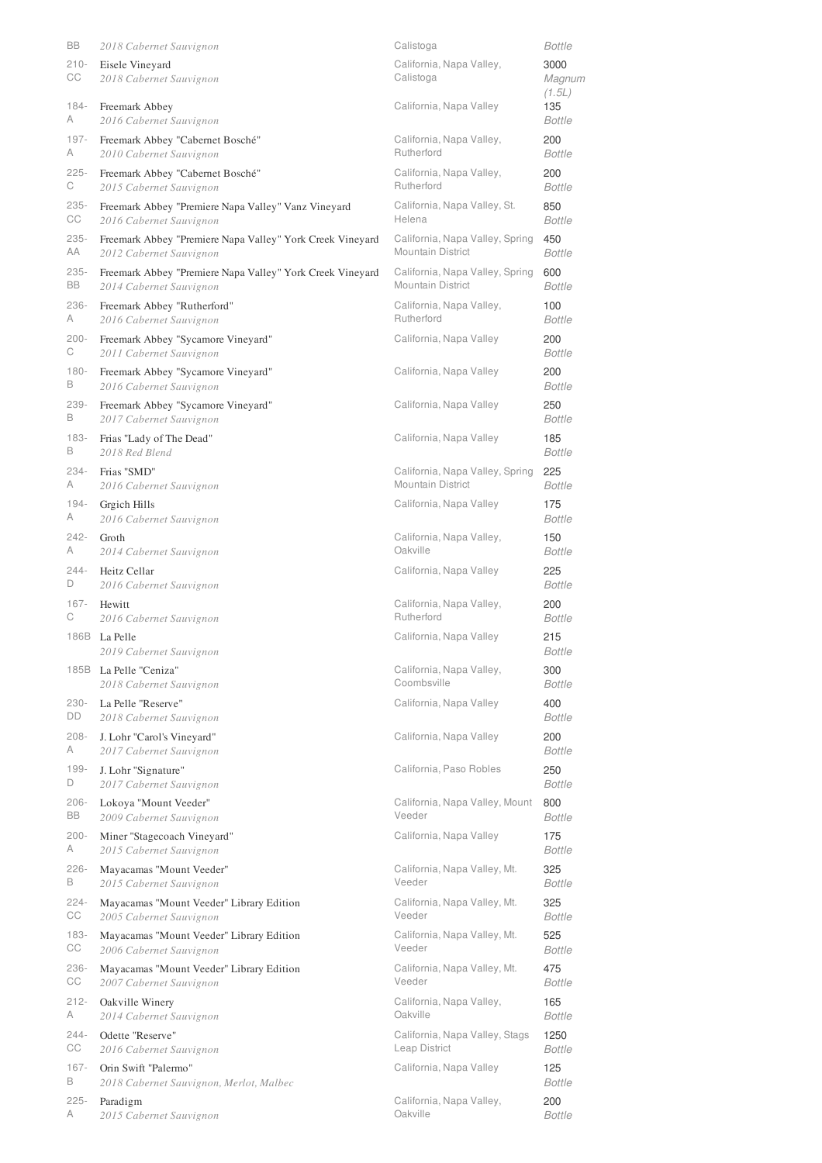| BB            | 2018 Cabernet Sauvignon                                   | Calistoga                             | Bottle                   |
|---------------|-----------------------------------------------------------|---------------------------------------|--------------------------|
| $210 -$<br>CС | Eisele Vineyard<br>2018 Cabernet Sauvignon                | California, Napa Valley,<br>Calistoga | 3000<br>Magnum<br>(1.5L) |
| 184-          | Freemark Abbey                                            | California, Napa Valley               | 135                      |
| A             | 2016 Cabernet Sauvignon                                   |                                       | Bottle                   |
| 197-          | Freemark Abbey "Cabernet Bosché"                          | California, Napa Valley,              | 200                      |
| A             | 2010 Cabernet Sauvignon                                   | Rutherford                            | Bottle                   |
| $225 -$       | Freemark Abbey "Cabernet Bosché"                          | California, Napa Valley,              | 200                      |
| С             | 2015 Cabernet Sauvignon                                   | Rutherford                            | Bottle                   |
| $235 -$       | Freemark Abbey "Premiere Napa Valley" Vanz Vineyard       | California, Napa Valley, St.          | 850                      |
| CС            | 2016 Cabernet Sauvignon                                   | Helena                                | Bottle                   |
| $235 -$       | Freemark Abbey "Premiere Napa Valley" York Creek Vineyard | California, Napa Valley, Spring       | 450                      |
| АA            | 2012 Cabernet Sauvignon                                   | <b>Mountain District</b>              | Bottle                   |
| $235 -$       | Freemark Abbey "Premiere Napa Valley" York Creek Vineyard | California, Napa Valley, Spring       | 600                      |
| BB            | 2014 Cabernet Sauvignon                                   | <b>Mountain District</b>              | Bottle                   |
| 236-          | Freemark Abbey "Rutherford"                               | California, Napa Valley,              | 100                      |
| A             | 2016 Cabernet Sauvignon                                   | Rutherford                            | Bottle                   |
| $200 -$       | Freemark Abbey "Sycamore Vineyard"                        | California, Napa Valley               | 200                      |
| С             | 2011 Cabernet Sauvignon                                   |                                       | Bottle                   |
| $180 -$       | Freemark Abbey "Sycamore Vineyard"                        | California, Napa Valley               | 200                      |
| B             | 2016 Cabernet Sauvignon                                   |                                       | Bottle                   |
| 239-          | Freemark Abbey "Sycamore Vineyard"                        | California, Napa Valley               | 250                      |
| B             | 2017 Cabernet Sauvignon                                   |                                       | Bottle                   |
| $183 -$       | Frias "Lady of The Dead"                                  | California, Napa Valley               | 185                      |
| B             | 2018 Red Blend                                            |                                       | Bottle                   |
| 234-          | Frias "SMD"                                               | California, Napa Valley, Spring       | 225                      |
| A             | 2016 Cabernet Sauvignon                                   | <b>Mountain District</b>              | Bottle                   |
| 194-          | Grgich Hills                                              | California, Napa Valley               | 175                      |
| A             | 2016 Cabernet Sauvignon                                   |                                       | Bottle                   |
| 242-          | Groth                                                     | California, Napa Valley,              | 150                      |
| A             | 2014 Cabernet Sauvignon                                   | Oakville                              | Bottle                   |
| $244 -$       | Heitz Cellar                                              | California, Napa Valley               | 225                      |
| D             | 2016 Cabernet Sauvignon                                   |                                       | Bottle                   |
| $167 -$       | Hewitt                                                    | California, Napa Valley,              | 200                      |
| С             | 2016 Cabernet Sauvignon                                   | Rutherford                            | Bottle                   |
|               | 186B La Pelle<br>2019 Cabernet Sauvignon                  | California, Napa Valley               | 215<br><b>Bottle</b>     |
|               | 185B La Pelle "Ceniza"                                    | California, Napa Valley,              | 300                      |
|               | 2018 Cabernet Sauvignon                                   | Coombsville                           | <b>Bottle</b>            |
| 230-          | La Pelle "Reserve"                                        | California, Napa Valley               | 400                      |
| DD            | 2018 Cabernet Sauvignon                                   |                                       | Bottle                   |
| $208 -$       | J. Lohr "Carol's Vineyard"                                | California, Napa Valley               | 200                      |
| А             | 2017 Cabernet Sauvignon                                   |                                       | Bottle                   |
| $199 -$       | J. Lohr "Signature"                                       | California, Paso Robles               | 250                      |
| D             | 2017 Cabernet Sauvignon                                   |                                       | Bottle                   |
| $206 -$       | Lokoya "Mount Veeder"                                     | California, Napa Valley, Mount        | 800                      |
| BB            | 2009 Cabernet Sauvignon                                   | Veeder                                | Bottle                   |
| $200 -$       | Miner "Stagecoach Vineyard"                               | California, Napa Valley               | 175                      |
| A             | 2015 Cabernet Sauvignon                                   |                                       | Bottle                   |
| $226 -$       | Mayacamas "Mount Veeder"                                  | California, Napa Valley, Mt.          | 325                      |
| B             | 2015 Cabernet Sauvignon                                   | Veeder                                | Bottle                   |
| $224 -$       | Mayacamas "Mount Veeder" Library Edition                  | California, Napa Valley, Mt.          | 325                      |
| CС            | 2005 Cabernet Sauvignon                                   | Veeder                                | Bottle                   |
| $183 -$       | Mayacamas "Mount Veeder" Library Edition                  | California, Napa Valley, Mt.          | 525                      |
| СC            | 2006 Cabernet Sauvignon                                   | Veeder                                | Bottle                   |
| 236-          | Mayacamas "Mount Veeder" Library Edition                  | California, Napa Valley, Mt.          | 475                      |
| CС            | 2007 Cabernet Sauvignon                                   | Veeder                                | Bottle                   |
| $212 -$       | Oakville Winery                                           | California, Napa Valley,              | 165                      |
| А             | 2014 Cabernet Sauvignon                                   | Oakville                              | Bottle                   |
| $244 -$       | Odette "Reserve"                                          | California, Napa Valley, Stags        | 1250                     |
| CС            | 2016 Cabernet Sauvignon                                   | Leap District                         | Bottle                   |
| $167 -$       | Orin Swift "Palermo"                                      | California, Napa Valley               | 125                      |
| В             | 2018 Cabernet Sauvignon, Merlot, Malbec                   |                                       | Bottle                   |
| $225 -$       | Paradigm                                                  | California, Napa Valley,              | 200                      |
| А             | 2015 Cabernet Sauvignon                                   | Oakville                              | <b>Bottle</b>            |
|               |                                                           |                                       |                          |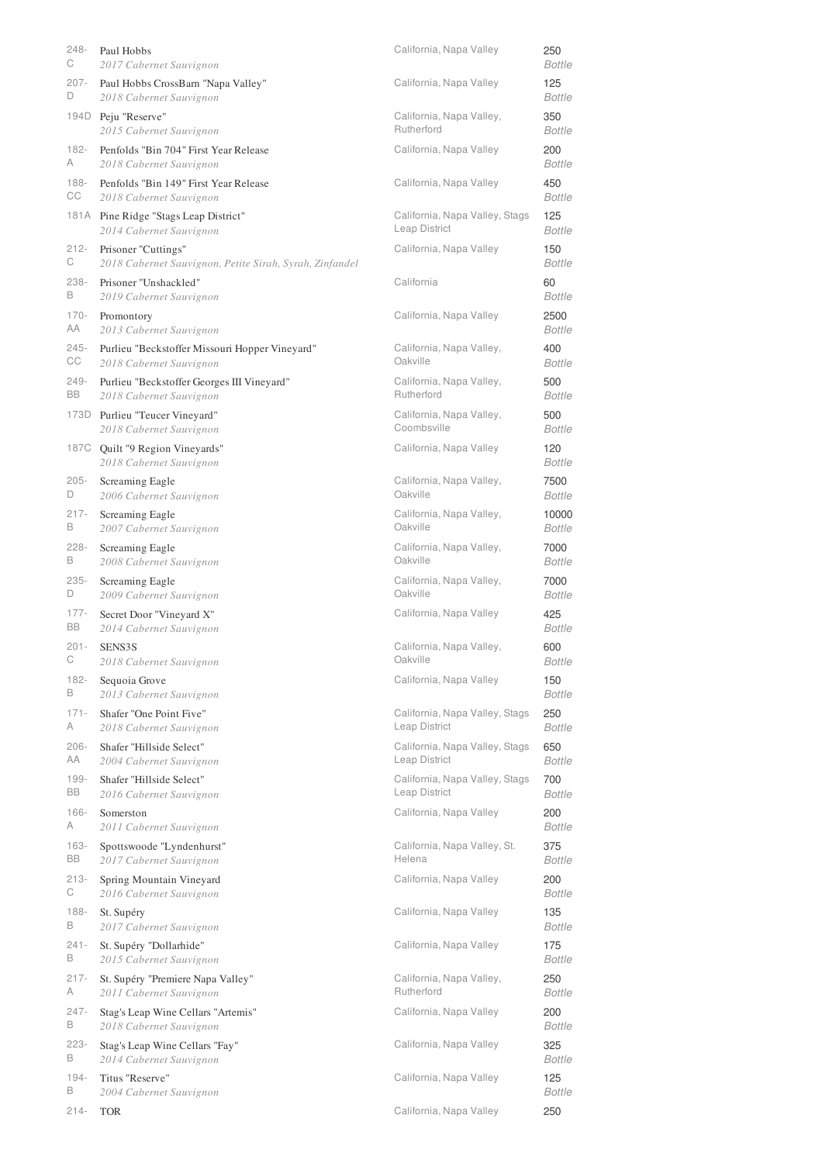| 248-    | Paul Hobbs                                                 | California, Napa Valley        | 250                  |
|---------|------------------------------------------------------------|--------------------------------|----------------------|
| С       | 2017 Cabernet Sauvignon                                    |                                | <b>Bottle</b>        |
| $207 -$ | Paul Hobbs CrossBarn "Napa Valley"                         | California, Napa Valley        | 125                  |
| D       | 2018 Cabernet Sauvignon                                    |                                | <b>Bottle</b>        |
| 194D    | Peju "Reserve"                                             | California, Napa Valley,       | 350                  |
|         | 2015 Cabernet Sauvignon                                    | Rutherford                     | <b>Bottle</b>        |
| $182 -$ | Penfolds "Bin 704" First Year Release                      | California, Napa Valley        | 200                  |
| A       | 2018 Cabernet Sauvignon                                    |                                | <b>Bottle</b>        |
| $188 -$ | Penfolds "Bin 149" First Year Release                      | California, Napa Valley        | 450                  |
| CС      | 2018 Cabernet Sauvignon                                    |                                | <b>Bottle</b>        |
|         | 181A Pine Ridge "Stags Leap District"                      | California, Napa Valley, Stags | 125                  |
|         | 2014 Cabernet Sauvignon                                    | Leap District                  | Bottle               |
| $212 -$ | Prisoner "Cuttings"                                        | California, Napa Valley        | 150                  |
| С       | 2018 Cabernet Sauvignon, Petite Sirah, Syrah, Zinfandel    |                                | Bottle               |
| 238-    | Prisoner "Unshackled"                                      | California                     | 60                   |
| B       | 2019 Cabernet Sauvignon                                    |                                | Bottle               |
| $170 -$ | Promontory                                                 | California, Napa Valley        | 2500                 |
| AA      | 2013 Cabernet Sauvignon                                    |                                | <b>Bottle</b>        |
| $245 -$ | Purlieu "Beckstoffer Missouri Hopper Vineyard"             | California, Napa Valley,       | 400                  |
| CС      | 2018 Cabernet Sauvignon                                    | Oakville                       | <b>Bottle</b>        |
| $249 -$ | Purlieu "Beckstoffer Georges III Vineyard"                 | California, Napa Valley,       | 500                  |
| BB      | 2018 Cabernet Sauvignon                                    | Rutherford                     | <b>Bottle</b>        |
|         | 173D Purlieu "Teucer Vineyard"                             | California, Napa Valley,       | 500                  |
|         | 2018 Cabernet Sauvignon                                    | Coombsville                    | <b>Bottle</b>        |
|         | 187C Quilt "9 Region Vineyards"<br>2018 Cabernet Sauvignon | California, Napa Valley        | 120<br><b>Bottle</b> |
| $205 -$ | Screaming Eagle                                            | California, Napa Valley,       | 7500                 |
| D       | 2006 Cabernet Sauvignon                                    | Oakville                       | <b>Bottle</b>        |
| $217 -$ | Screaming Eagle                                            | California, Napa Valley,       | 10000                |
| B       | 2007 Cabernet Sauvignon                                    | Oakville                       | <b>Bottle</b>        |
| $228 -$ | Screaming Eagle                                            | California, Napa Valley,       | 7000                 |
| В       | 2008 Cabernet Sauvignon                                    | Oakville                       | <b>Bottle</b>        |
| $235 -$ | Screaming Eagle                                            | California, Napa Valley,       | 7000                 |
| D       | 2009 Cabernet Sauvignon                                    | Oakville                       | <b>Bottle</b>        |
| $177 -$ | Secret Door "Vineyard X"                                   | California, Napa Valley        | 425                  |
| BB      | 2014 Cabernet Sauvignon                                    |                                | <b>Bottle</b>        |
| $201 -$ | SENS3S                                                     | California, Napa Valley,       | 600                  |
| С       | 2018 Cabernet Sauvignon                                    | Oakville                       | Bottle               |
| $182 -$ | Sequoia Grove                                              | California, Napa Valley        | 150                  |
| B       | 2013 Cabernet Sauvignon                                    |                                | <b>Bottle</b>        |
| $171 -$ | Shafer "One Point Five"                                    | California, Napa Valley, Stags | 250                  |
| A       | 2018 Cabernet Sauvignon                                    | Leap District                  | <b>Bottle</b>        |
| $206 -$ | Shafer "Hillside Select"                                   | California, Napa Valley, Stags | 650                  |
| AA      | 2004 Cabernet Sauvignon                                    | Leap District                  | <b>Bottle</b>        |
| $199 -$ | Shafer "Hillside Select"                                   | California, Napa Valley, Stags | 700                  |
| BB      | 2016 Cabernet Sauvignon                                    | Leap District                  | <b>Bottle</b>        |
| $166 -$ | Somerston                                                  | California, Napa Valley        | 200                  |
| A       | 2011 Cabernet Sauvignon                                    |                                | <b>Bottle</b>        |
| $163 -$ | Spottswoode "Lyndenhurst"                                  | California, Napa Valley, St.   | 375                  |
| BB      | 2017 Cabernet Sauvignon                                    | Helena                         | <b>Bottle</b>        |
| $213 -$ | Spring Mountain Vineyard                                   | California, Napa Valley        | 200                  |
| С       | 2016 Cabernet Sauvignon                                    |                                | <b>Bottle</b>        |
| $188 -$ | St. Supéry                                                 | California, Napa Valley        | 135                  |
| B       | 2017 Cabernet Sauvignon                                    |                                | <b>Bottle</b>        |
| $241 -$ | St. Supéry "Dollarhide"                                    | California, Napa Valley        | 175                  |
| B       | 2015 Cabernet Sauvignon                                    |                                | <b>Bottle</b>        |
| $217 -$ | St. Supéry "Premiere Napa Valley"                          | California, Napa Valley,       | 250                  |
| A       | 2011 Cabernet Sauvignon                                    | Rutherford                     | <b>Bottle</b>        |
| $247 -$ | Stag's Leap Wine Cellars "Artemis"                         | California, Napa Valley        | 200                  |
| B       | 2018 Cabernet Sauvignon                                    |                                | <b>Bottle</b>        |
| $223 -$ | Stag's Leap Wine Cellars "Fay"                             | California, Napa Valley        | 325                  |
| В       | 2014 Cabernet Sauvignon                                    |                                | <b>Bottle</b>        |
| $194 -$ | Titus "Reserve"                                            | California, Napa Valley        | 125                  |
| В       | 2004 Cabernet Sauvignon                                    |                                | <b>Bottle</b>        |
| $214 -$ | <b>TOR</b>                                                 | California, Napa Valley        | 250                  |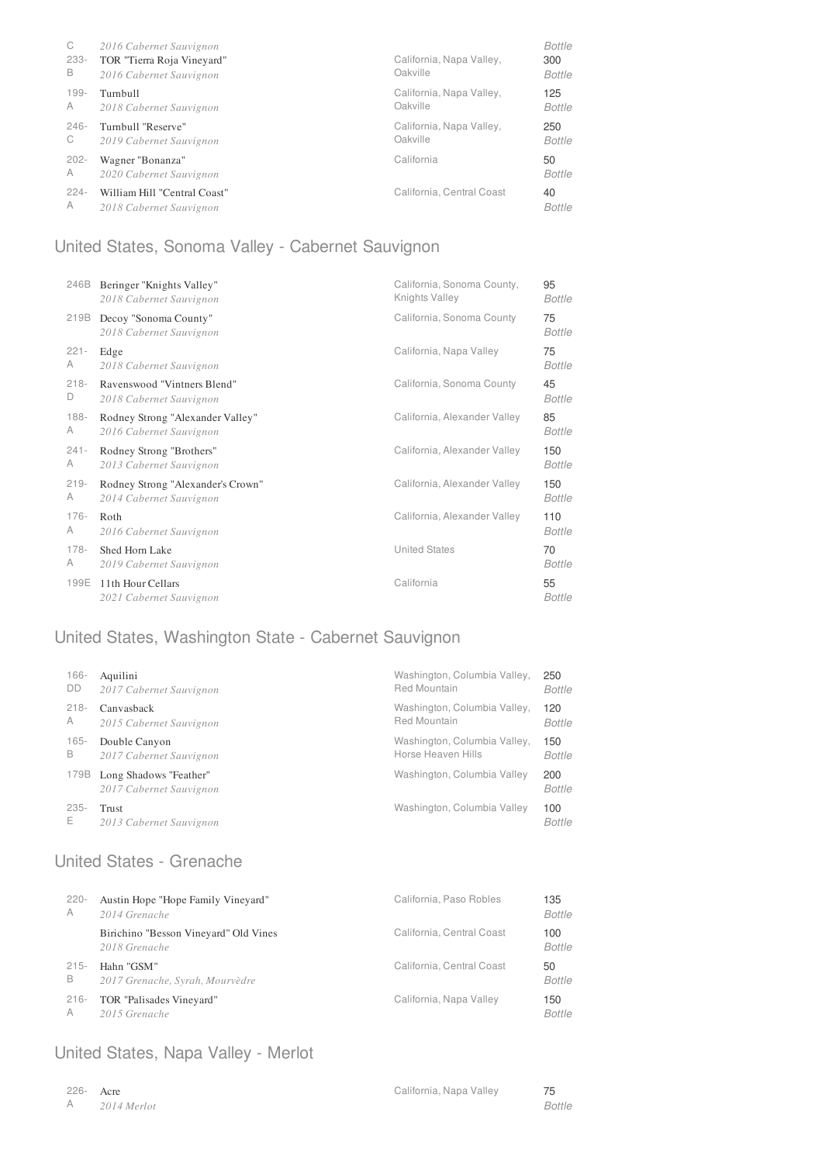| C<br>$233 -$<br>B | 2016 Cabernet Sauvignon<br>TOR "Tierra Roja Vineyard"<br>2016 Cabernet Sauvignon | California, Napa Valley,<br>Oakville | Bottle<br>300<br>Bottle |
|-------------------|----------------------------------------------------------------------------------|--------------------------------------|-------------------------|
| $199 -$           | Turnbull                                                                         | California, Napa Valley,             | 125                     |
| A                 | 2018 Cabernet Sauvignon                                                          | Oakville                             | Bottle                  |
| $246 -$           | Turnbull "Reserve"                                                               | California, Napa Valley,             | 250                     |
| C                 | 2019 Cabernet Sauvignon                                                          | Oakville                             | Bottle                  |
| $202 -$           | Wagner "Bonanza"                                                                 | California                           | 50                      |
| A                 | 2020 Cabernet Sauvignon                                                          |                                      | Bottle                  |
| $224 -$           | William Hill "Central Coast"                                                     | California, Central Coast            | 40                      |
| A                 | 2018 Cabernet Sauvignon                                                          |                                      | Bottle                  |

# United States, Sonoma Valley - Cabernet Sauvignon

| 246B    | Beringer "Knights Valley"                        | California, Sonoma County,   | 95                  |
|---------|--------------------------------------------------|------------------------------|---------------------|
|         | 2018 Cabernet Sauvignon                          | Knights Valley               | <b>Bottle</b>       |
| 219B    | Decoy "Sonoma County"<br>2018 Cabernet Sauvignon | California, Sonoma County    | 75<br><b>Bottle</b> |
| $221 -$ | Edge                                             | California, Napa Valley      | 75                  |
| A       | 2018 Cabernet Sauvignon                          |                              | Bottle              |
| $218 -$ | Ravenswood "Vintners Blend"                      | California, Sonoma County    | 45                  |
| D       | 2018 Cabernet Sauvignon                          |                              | <b>Bottle</b>       |
| 188-    | Rodney Strong "Alexander Valley"                 | California, Alexander Valley | 85                  |
| A       | 2016 Cabernet Sauvignon                          |                              | <b>Bottle</b>       |
| $241 -$ | Rodney Strong "Brothers"                         | California, Alexander Valley | 150                 |
| A       | 2013 Cabernet Sauvignon                          |                              | Bottle              |
| $219 -$ | Rodney Strong "Alexander's Crown"                | California, Alexander Valley | 150                 |
| A       | 2014 Cabernet Sauvignon                          |                              | <b>Bottle</b>       |
| $176 -$ | Roth                                             | California, Alexander Valley | 110                 |
| A       | 2016 Cabernet Sauvignon                          |                              | Bottle              |
| $178 -$ | Shed Horn Lake                                   | <b>United States</b>         | 70                  |
| A       | 2019 Cabernet Sauvignon                          |                              | <b>Bottle</b>       |
| 199E    | 11th Hour Cellars<br>2021 Cabernet Sauvignon     | California                   | 55<br><b>Bottle</b> |

# United States, Washington State - Cabernet Sauvignon

| $166 -$   | Aquilini                                          | Washington, Columbia Valley, | 250                  |
|-----------|---------------------------------------------------|------------------------------|----------------------|
| <b>DD</b> | 2017 Cabernet Sauvignon                           | <b>Red Mountain</b>          | Bottle               |
| $218 -$   | Canvasback                                        | Washington, Columbia Valley, | 120                  |
| A         | 2015 Cabernet Sauvignon                           | <b>Red Mountain</b>          | Bottle               |
| $165 -$   | Double Canyon                                     | Washington, Columbia Valley, | 150                  |
| B         | 2017 Cabernet Sauvignon                           | Horse Heaven Hills           | <b>Bottle</b>        |
| 179B      | Long Shadows "Feather"<br>2017 Cabernet Sauvignon | Washington, Columbia Valley  | 200<br><b>Bottle</b> |
| $235 -$   | Trust                                             | Washington, Columbia Valley  | 100                  |
| E.        | 2013 Cabernet Sauvignon                           |                              | <b>Bottle</b>        |

# United States - Grenache

| $220 -$ | Austin Hope "Hope Family Vineyard"                     | California, Paso Robles   | 135                  |
|---------|--------------------------------------------------------|---------------------------|----------------------|
| A       | 2014 Grenache                                          |                           | <b>Bottle</b>        |
|         | Birichino "Besson Vineyard" Old Vines<br>2018 Grenache | California, Central Coast | 100<br><b>Bottle</b> |
| $215 -$ | Hahn "GSM"                                             | California, Central Coast | 50                   |
| B       | 2017 Grenache, Syrah, Mourvèdre                        |                           | <b>Bottle</b>        |
| $216 -$ | TOR "Palisades Vineyard"                               | California, Napa Valley   | 150                  |
| A       | 2015 Grenache                                          |                           | <b>Bottle</b>        |

### United States, Napa Valley - Merlot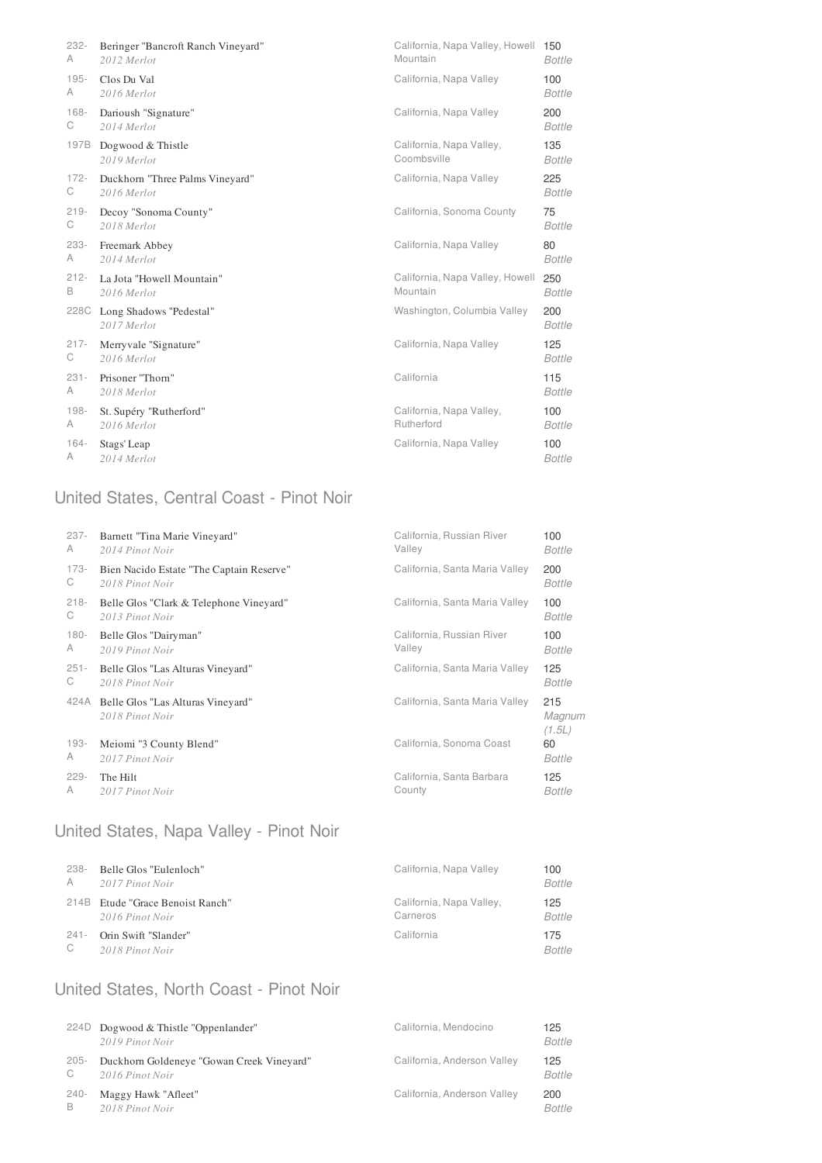| 232-    | Beringer "Bancroft Ranch Vineyard"          | California, Napa Valley, Howell 150 | <b>Bottle</b>        |
|---------|---------------------------------------------|-------------------------------------|----------------------|
| A       | 2012 Merlot                                 | Mountain                            |                      |
| $195 -$ | Clos Du Val                                 | California, Napa Valley             | 100                  |
| A       | 2016 Merlot                                 |                                     | <b>Bottle</b>        |
| $168 -$ | Darioush "Signature"                        | California, Napa Valley             | 200                  |
| С       | 2014 Merlot                                 |                                     | <b>Bottle</b>        |
| 197B    | Dogwood & Thistle                           | California, Napa Valley,            | 135                  |
|         | 2019 Merlot                                 | Coombsville                         | <b>Bottle</b>        |
| $172 -$ | Duckhorn "Three Palms Vineyard"             | California, Napa Valley             | 225                  |
| С       | 2016 Merlot                                 |                                     | <b>Bottle</b>        |
| $219 -$ | Decoy "Sonoma County"                       | California, Sonoma County           | 75                   |
| С       | 2018 Merlot                                 |                                     | <b>Bottle</b>        |
| 233-    | Freemark Abbey                              | California, Napa Valley             | 80                   |
| А       | 2014 Merlot                                 |                                     | <b>Bottle</b>        |
| $212 -$ | La Jota "Howell Mountain"                   | California, Napa Valley, Howell     | 250                  |
| B       | 2016 Merlot                                 | Mountain                            | <b>Bottle</b>        |
|         | 228C Long Shadows "Pedestal"<br>2017 Merlot | Washington, Columbia Valley         | 200<br><b>Bottle</b> |
| $217 -$ | Merryvale "Signature"                       | California, Napa Valley             | 125                  |
| С       | 2016 Merlot                                 |                                     | <b>Bottle</b>        |
| $231 -$ | Prisoner "Thorn"                            | California                          | 115                  |
| A       | 2018 Merlot                                 |                                     | <b>Bottle</b>        |
| $198 -$ | St. Supéry "Rutherford"                     | California, Napa Valley,            | 100                  |
| A       | 2016 Merlot                                 | Rutherford                          | <b>Bottle</b>        |
| 164-    | Stags' Leap                                 | California, Napa Valley             | 100                  |
| A       | 2014 Merlot                                 |                                     | <b>Bottle</b>        |

# United States, Central Coast - Pinot Noir

| $237 -$ | Barnett "Tina Marie Vineyard"                        | California, Russian River      | 100                     |
|---------|------------------------------------------------------|--------------------------------|-------------------------|
| A       | 2014 Pinot Noir                                      | Valley                         | Bottle                  |
| 173-    | Bien Nacido Estate "The Captain Reserve"             | California, Santa Maria Valley | 200                     |
| С       | 2018 Pinot Noir                                      |                                | <b>Bottle</b>           |
| $218 -$ | Belle Glos "Clark & Telephone Vineyard"              | California, Santa Maria Valley | 100                     |
| С       | 2013 Pinot Noir                                      |                                | Bottle                  |
| $180 -$ | Belle Glos "Dairyman"                                | California, Russian River      | 100                     |
| A       | 2019 Pinot Noir                                      | Valley                         | Bottle                  |
| $251 -$ | Belle Glos "Las Alturas Vineyard"                    | California, Santa Maria Valley | 125                     |
| C       | 2018 Pinot Noir                                      |                                | Bottle                  |
| 424A    | Belle Glos "Las Alturas Vineyard"<br>2018 Pinot Noir | California, Santa Maria Valley | 215<br>Magnum<br>(1.5L) |
| $193 -$ | Meiomi "3 County Blend"                              | California, Sonoma Coast       | 60                      |
| A       | 2017 Pinot Noir                                      |                                | Bottle                  |
| $229 -$ | The Hilt                                             | California, Santa Barbara      | 125                     |
| A       | 2017 Pinot Noir                                      | County                         | Bottle                  |

# United States, Napa Valley - Pinot Noir

| 238-        | Belle Glos "Eulenloch"           | California, Napa Valley  | 100           |
|-------------|----------------------------------|--------------------------|---------------|
| A           | 2017 Pinot Noir                  |                          | <b>Bottle</b> |
|             | 214B Etude "Grace Benoist Ranch" | California, Napa Valley, | 125           |
|             | 2016 Pinot Noir                  | Carneros                 | <b>Bottle</b> |
| 241-        | Orin Swift "Slander"             | California               | 175           |
| $\mathbb C$ | 2018 Pinot Noir                  |                          | <b>Bottle</b> |

### United States, North Coast - Pinot Noir

|         | 224D Dogwood & Thistle "Oppenlander"<br>2019 Pinot Noir | California, Mendocino       | 125<br><b>Bottle</b> |
|---------|---------------------------------------------------------|-----------------------------|----------------------|
| $205 -$ | Duckhorn Goldeneye "Gowan Creek Vineyard"               | California, Anderson Valley | 125                  |
| C       | 2016 Pinot Noir                                         |                             | <b>Bottle</b>        |
| 240-    | Maggy Hawk "Afleet"                                     | California, Anderson Valley | 200                  |
| B       | 2018 Pinot Noir                                         |                             | <b>Bottle</b>        |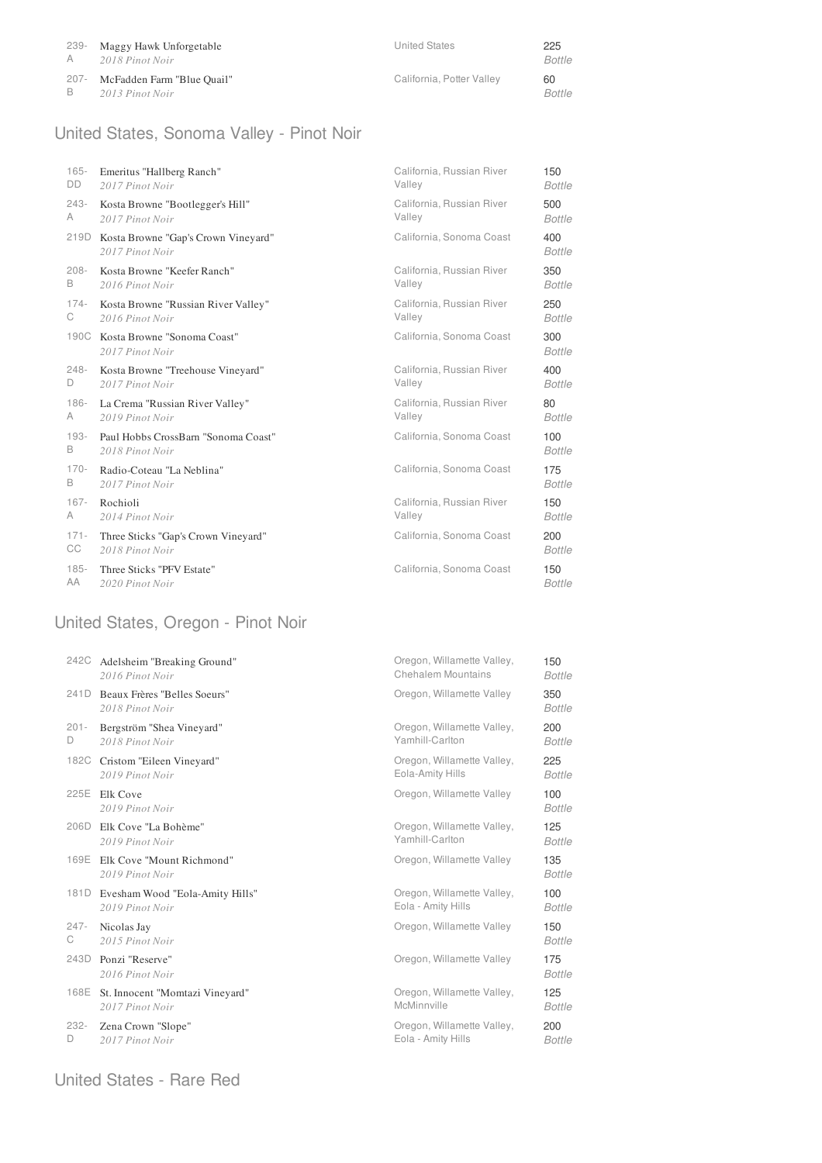| 239-  | Maggy Hawk Unforgetable    | <b>United States</b>      | 225           |
|-------|----------------------------|---------------------------|---------------|
| A     | 2018 Pinot Noir            |                           | Bottle        |
| -207- | McFadden Farm "Blue Quail" | California, Potter Valley | 60            |
| B     | 2013 Pinot Noir            |                           | <i>Bottle</i> |

# United States, Sonoma Valley - Pinot Noir

| $165 -$   | Emeritus "Hallberg Ranch"                              | California, Russian River | 150                  |
|-----------|--------------------------------------------------------|---------------------------|----------------------|
| <b>DD</b> | 2017 Pinot Noir                                        | Valley                    | <b>Bottle</b>        |
| $243-$    | Kosta Browne "Bootlegger's Hill"                       | California, Russian River | 500                  |
| A         | 2017 Pinot Noir                                        | Valley                    | <b>Bottle</b>        |
| 219D      | Kosta Browne "Gap's Crown Vineyard"<br>2017 Pinot Noir | California, Sonoma Coast  | 400<br><b>Bottle</b> |
| $208 -$   | Kosta Browne "Keefer Ranch"                            | California, Russian River | 350                  |
| B         | 2016 Pinot Noir                                        | Valley                    | Bottle               |
| $174 -$   | Kosta Browne "Russian River Valley"                    | California, Russian River | 250                  |
| C         | 2016 Pinot Noir                                        | Valley                    | Bottle               |
|           | 190C Kosta Browne "Sonoma Coast"<br>2017 Pinot Noir    | California, Sonoma Coast  | 300<br><b>Bottle</b> |
| $248 -$   | Kosta Browne "Treehouse Vineyard"                      | California, Russian River | 400                  |
| D         | 2017 Pinot Noir                                        | Valley                    | <b>Bottle</b>        |
| $186 -$   | La Crema "Russian River Valley"                        | California, Russian River | 80                   |
| A         | 2019 Pinot Noir                                        | Valley                    | <b>Bottle</b>        |
| $193 -$   | Paul Hobbs CrossBarn "Sonoma Coast"                    | California, Sonoma Coast  | 100                  |
| B         | 2018 Pinot Noir                                        |                           | <b>Bottle</b>        |
| $170-$    | Radio-Coteau "La Neblina"                              | California, Sonoma Coast  | 175                  |
| B         | 2017 Pinot Noir                                        |                           | Bottle               |
| $167 -$   | Rochioli                                               | California, Russian River | 150                  |
| A         | 2014 Pinot Noir                                        | Valley                    | Bottle               |
| $171 -$   | Three Sticks "Gap's Crown Vineyard"                    | California, Sonoma Coast  | 200                  |
| CC        | 2018 Pinot Noir                                        |                           | Bottle               |
| $185 -$   | Three Sticks "PFV Estate"                              | California, Sonoma Coast  | 150                  |
| AA        | 2020 Pinot Noir                                        |                           | Bottle               |

# United States, Oregon - Pinot Noir

| 242C    | Adelsheim "Breaking Ground"                     | Oregon, Willamette Valley, | 150                  |
|---------|-------------------------------------------------|----------------------------|----------------------|
|         | 2016 Pinot Noir                                 | <b>Chehalem Mountains</b>  | <b>Bottle</b>        |
| 241D    | Beaux Frères "Belles Soeurs"<br>2018 Pinot Noir | Oregon, Willamette Valley  | 350<br><b>Bottle</b> |
| $201 -$ | Bergström "Shea Vineyard"                       | Oregon, Willamette Valley, | 200                  |
| D       | 2018 Pinot Noir                                 | Yamhill-Carlton            | <b>Bottle</b>        |
| 182C    | Cristom "Eileen Vineyard"                       | Oregon, Willamette Valley, | 225                  |
|         | 2019 Pinot Noir                                 | Eola-Amity Hills           | <b>Bottle</b>        |
| 225E    | Elk Cove<br>2019 Pinot Noir                     | Oregon, Willamette Valley  | 100<br><b>Bottle</b> |
| 206D    | Elk Cove "La Bohème"                            | Oregon, Willamette Valley, | 125                  |
|         | 2019 Pinot Noir                                 | Yamhill-Carlton            | <b>Bottle</b>        |
| 169E    | Elk Cove "Mount Richmond"<br>2019 Pinot Noir    | Oregon, Willamette Valley  | 135<br><b>Bottle</b> |
| 181D    | Evesham Wood "Eola-Amity Hills"                 | Oregon, Willamette Valley, | 100                  |
|         | 2019 Pinot Noir                                 | Eola - Amity Hills         | <b>Bottle</b>        |
| $247 -$ | Nicolas Jay                                     | Oregon, Willamette Valley  | 150                  |
| C       | 2015 Pinot Noir                                 |                            | <b>Bottle</b>        |
| 243D    | Ponzi "Reserve"<br>2016 Pinot Noir              | Oregon, Willamette Valley  | 175<br><b>Bottle</b> |
| 168E    | St. Innocent "Momtazi Vineyard"                 | Oregon, Willamette Valley, | 125                  |
|         | 2017 Pinot Noir                                 | McMinnville                | <b>Bottle</b>        |
| $232 -$ | Zena Crown "Slope"                              | Oregon, Willamette Valley, | 200                  |
| D       | 2017 Pinot Noir                                 | Eola - Amity Hills         | <b>Bottle</b>        |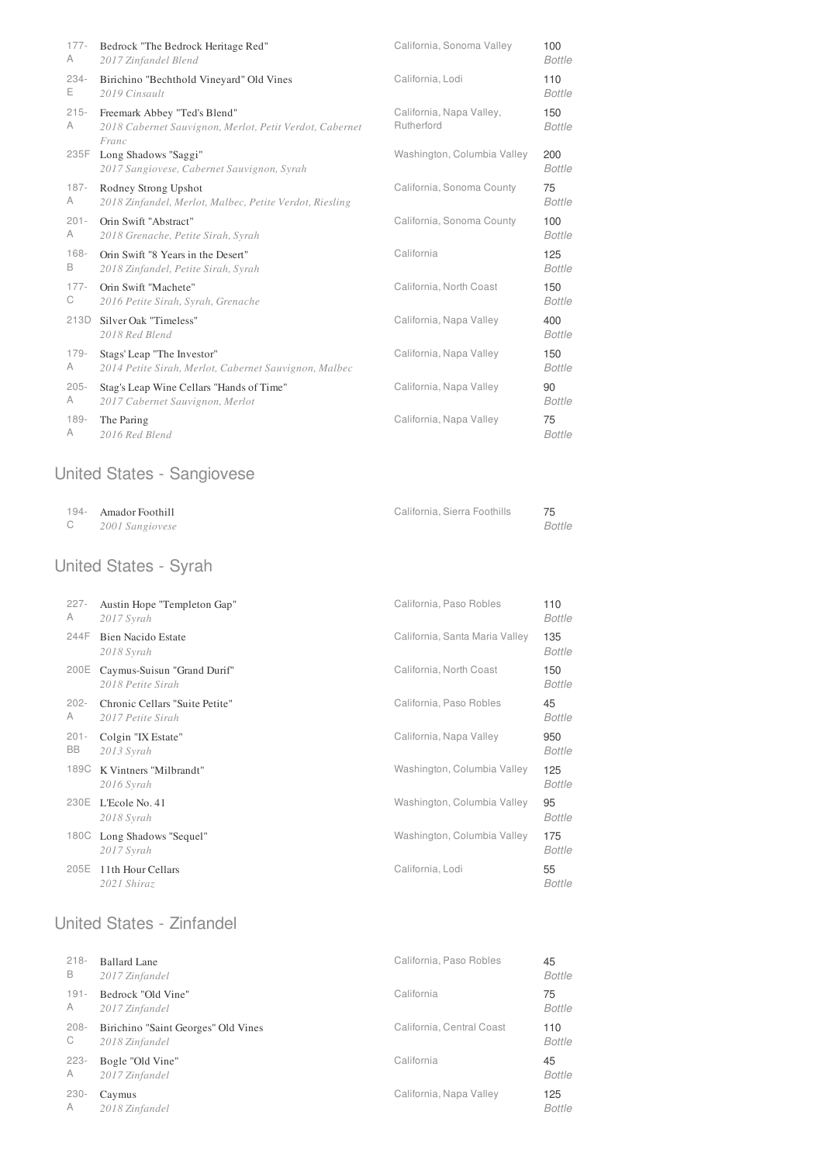| $177 -$      | Bedrock "The Bedrock Heritage Red"                                                               | California, Sonoma Valley              | 100                  |
|--------------|--------------------------------------------------------------------------------------------------|----------------------------------------|----------------------|
| A            | 2017 Zinfandel Blend                                                                             |                                        | <b>Bottle</b>        |
| 234-         | Birichino "Bechthold Vineyard" Old Vines                                                         | California, Lodi                       | 110                  |
| E            | 2019 Cinsault                                                                                    |                                        | <b>Bottle</b>        |
| $215 -$<br>A | Freemark Abbey "Ted's Blend"<br>2018 Cabernet Sauvignon, Merlot, Petit Verdot, Cabernet<br>Franc | California, Napa Valley,<br>Rutherford | 150<br><b>Bottle</b> |
| 235F         | Long Shadows "Saggi"<br>2017 Sangiovese, Cabernet Sauvignon, Syrah                               | Washington, Columbia Valley            | 200<br><b>Bottle</b> |
| $187 -$      | Rodney Strong Upshot                                                                             | California, Sonoma County              | 75                   |
| A            | 2018 Zinfandel, Merlot, Malbec, Petite Verdot, Riesling                                          |                                        | <b>Bottle</b>        |
| $201 -$      | Orin Swift "Abstract"                                                                            | California, Sonoma County              | 100                  |
| A            | 2018 Grenache, Petite Sirah, Syrah                                                               |                                        | <b>Bottle</b>        |
| $168 -$      | Orin Swift "8 Years in the Desert"                                                               | California                             | 125                  |
| B            | 2018 Zinfandel, Petite Sirah, Syrah                                                              |                                        | <b>Bottle</b>        |
| $177 -$      | Orin Swift "Machete"                                                                             | California, North Coast                | 150                  |
| С            | 2016 Petite Sirah, Syrah, Grenache                                                               |                                        | <b>Bottle</b>        |
| 213D         | Silver Oak "Timeless"<br>2018 Red Blend                                                          | California, Napa Valley                | 400<br><b>Bottle</b> |
| $179 -$      | Stags' Leap "The Investor"                                                                       | California, Napa Valley                | 150                  |
| A            | 2014 Petite Sirah, Merlot, Cabernet Sauvignon, Malbec                                            |                                        | <b>Bottle</b>        |
| $205 -$      | Stag's Leap Wine Cellars "Hands of Time"                                                         | California, Napa Valley                | 90                   |
| A            | 2017 Cabernet Sauvignon, Merlot                                                                  |                                        | <b>Bottle</b>        |
| 189-         | The Paring                                                                                       | California, Napa Valley                | 75                   |
| A            | 2016 Red Blend                                                                                   |                                        | <b>Bottle</b>        |

#### United States - Sangiovese

| 194- Amador Foothill | California, Sierra Foothills |        |
|----------------------|------------------------------|--------|
| 2001 Sangiovese      |                              | Bottle |

### United States - Syrah

| $227 -$<br>A  | Austin Hope "Templeton Gap"<br>2017 Syrah           | California, Paso Robles        | 110<br><b>Bottle</b> |
|---------------|-----------------------------------------------------|--------------------------------|----------------------|
| 244F          | <b>Bien Nacido Estate</b><br>2018 Syrah             | California, Santa Maria Valley | 135<br>Bottle        |
| 200E          | Caymus-Suisun "Grand Durif"<br>2018 Petite Sirah    | California, North Coast        | 150<br><b>Bottle</b> |
| $202 -$<br>A  | Chronic Cellars "Suite Petite"<br>2017 Petite Sirah | California, Paso Robles        | 45<br>Bottle         |
| $201 -$<br>BB | Colgin "IX Estate"<br>$2013$ Syrah                  | California, Napa Valley        | 950<br>Bottle        |
| 189C          | K Vintners "Milbrandt"<br>$2016$ Syrah              | Washington, Columbia Valley    | 125<br>Bottle        |
| 230E          | L'Ecole No. 41<br>2018 Syrah                        | Washington, Columbia Valley    | 95<br><b>Bottle</b>  |
| 180C          | Long Shadows "Sequel"<br>2017 Syrah                 | Washington, Columbia Valley    | 175<br><b>Bottle</b> |
| 205E          | 11th Hour Cellars<br>2021 Shiraz                    | California, Lodi               | 55<br>Bottle         |

# United States - Zinfandel

| $218 -$ | Ballard Lane                        | California, Paso Robles   | 45            |
|---------|-------------------------------------|---------------------------|---------------|
| В       | 2017 Zinfandel                      |                           | Bottle        |
| $191 -$ | Bedrock "Old Vine"                  | California                | 75            |
| A       | 2017 Zinfandel                      |                           | Bottle        |
| $208 -$ | Birichino "Saint Georges" Old Vines | California, Central Coast | 110           |
| C       | 2018 Zinfandel                      |                           | <b>Bottle</b> |
| $223 -$ | Bogle "Old Vine"                    | California                | 45            |
| A       | 2017 Zinfandel                      |                           | <b>Bottle</b> |
| $230 -$ | Caymus                              | California, Napa Valley   | 125           |
| A       | 2018 Zinfandel                      |                           | <b>Bottle</b> |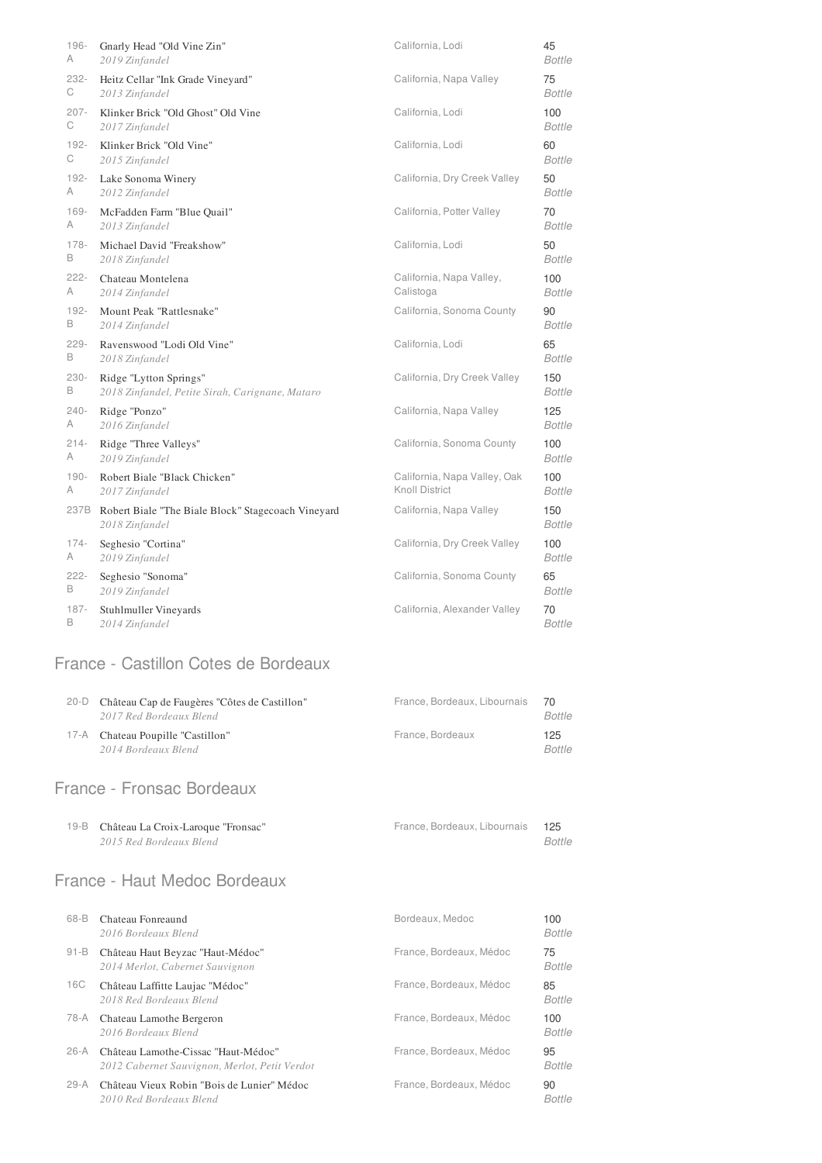| 196-    | Gnarly Head "Old Vine Zin"                                           | California, Lodi             | 45                   |
|---------|----------------------------------------------------------------------|------------------------------|----------------------|
| A       | 2019 Zinfandel                                                       |                              | <b>Bottle</b>        |
| 232-    | Heitz Cellar "Ink Grade Vineyard"                                    | California, Napa Valley      | 75                   |
| С       | 2013 Zinfandel                                                       |                              | <b>Bottle</b>        |
| 207-    | Klinker Brick "Old Ghost" Old Vine                                   | California, Lodi             | 100                  |
| С       | 2017 Zinfandel                                                       |                              | Bottle               |
| 192-    | Klinker Brick "Old Vine"                                             | California, Lodi             | 60                   |
| С       | 2015 Zinfandel                                                       |                              | <b>Bottle</b>        |
| 192-    | Lake Sonoma Winery                                                   | California, Dry Creek Valley | 50                   |
| Α       | 2012 Zinfandel                                                       |                              | <b>Bottle</b>        |
| 169-    | McFadden Farm "Blue Quail"                                           | California, Potter Valley    | 70                   |
| Α       | 2013 Zinfandel                                                       |                              | <b>Bottle</b>        |
| 178-    | Michael David "Freakshow"                                            | California, Lodi             | 50                   |
| В       | 2018 Zinfandel                                                       |                              | <b>Bottle</b>        |
| 222-    | Chateau Montelena                                                    | California, Napa Valley,     | 100                  |
| Α       | 2014 Zinfandel                                                       | Calistoga                    | <b>Bottle</b>        |
| 192-    | Mount Peak "Rattlesnake"                                             | California, Sonoma County    | 90                   |
| В       | 2014 Zinfandel                                                       |                              | <b>Bottle</b>        |
| 229-    | Ravenswood "Lodi Old Vine"                                           | California, Lodi             | 65                   |
| В       | 2018 Zinfandel                                                       |                              | <b>Bottle</b>        |
| 230-    | Ridge "Lytton Springs"                                               | California, Dry Creek Valley | 150                  |
| В       | 2018 Zinfandel, Petite Sirah, Carignane, Mataro                      |                              | Bottle               |
| 240-    | Ridge "Ponzo"                                                        | California, Napa Valley      | 125                  |
| Α       | 2016 Zinfandel                                                       |                              | <b>Bottle</b>        |
| $214-$  | Ridge "Three Valleys"                                                | California, Sonoma County    | 100                  |
| A       | 2019 Zinfandel                                                       |                              | <b>Bottle</b>        |
| $190 -$ | Robert Biale "Black Chicken"                                         | California, Napa Valley, Oak | 100                  |
| A       | 2017 Zinfandel                                                       | Knoll District               | Bottle               |
| 237B    | Robert Biale "The Biale Block" Stagecoach Vineyard<br>2018 Zinfandel | California, Napa Valley      | 150<br><b>Bottle</b> |
| 174-    | Seghesio "Cortina"                                                   | California, Dry Creek Valley | 100                  |
| Α       | 2019 Zinfandel                                                       |                              | Bottle               |
| 222-    | Seghesio "Sonoma"                                                    | California, Sonoma County    | 65                   |
| В       | 2019 Zinfandel                                                       |                              | <b>Bottle</b>        |
| 187-    | Stuhlmuller Vineyards                                                | California, Alexander Valley | 70                   |
| В       | 2014 Zinfandel                                                       |                              | <b>Bottle</b>        |

### France - Castillon Cotes de Bordeaux

| 20-D | Château Cap de Faugères "Côtes de Castillon" | France, Bordeaux, Libournais 70 |        |
|------|----------------------------------------------|---------------------------------|--------|
|      | 2017 Red Bordeaux Blend                      |                                 | Bottle |
|      | 17-A Chateau Poupille "Castillon"            | France, Bordeaux                | 125    |
|      | 2014 Bordeaux Blend                          |                                 | Bottle |

### France - Fronsac Bordeaux

| 19-B Château La Croix-Laroque "Fronsac" | France, Bordeaux, Libournais 125 |               |
|-----------------------------------------|----------------------------------|---------------|
| 2015 Red Bordeaux Blend                 |                                  | <b>Bottle</b> |

### France - Haut Medoc Bordeaux

| 68-B     | Chateau Fonreaund<br>2016 Bordeaux Blend                                             | Bordeaux, Medoc         | 100<br><b>Bottle</b> |
|----------|--------------------------------------------------------------------------------------|-------------------------|----------------------|
| $91 - B$ | Château Haut Beyzac "Haut-Médoc"<br>2014 Merlot, Cabernet Sauvignon                  | France, Bordeaux, Médoc | 75<br><b>Bottle</b>  |
| 16C      | Château Laffitte Laujac "Médoc"<br>2018 Red Bordeaux Blend                           | France, Bordeaux, Médoc | 85<br><b>Bottle</b>  |
| 78-A     | Chateau Lamothe Bergeron<br>2016 Bordeaux Blend                                      | France, Bordeaux, Médoc | 100<br><b>Bottle</b> |
| $26-A$   | Château Lamothe-Cissac "Haut-Médoc"<br>2012 Cabernet Sauvignon, Merlot, Petit Verdot | France, Bordeaux, Médoc | 95<br><b>Bottle</b>  |
| $29-A$   | Château Vieux Robin "Bois de Lunier" Médoc<br>2010 Red Bordeaux Blend                | France, Bordeaux, Médoc | 90<br><b>Bottle</b>  |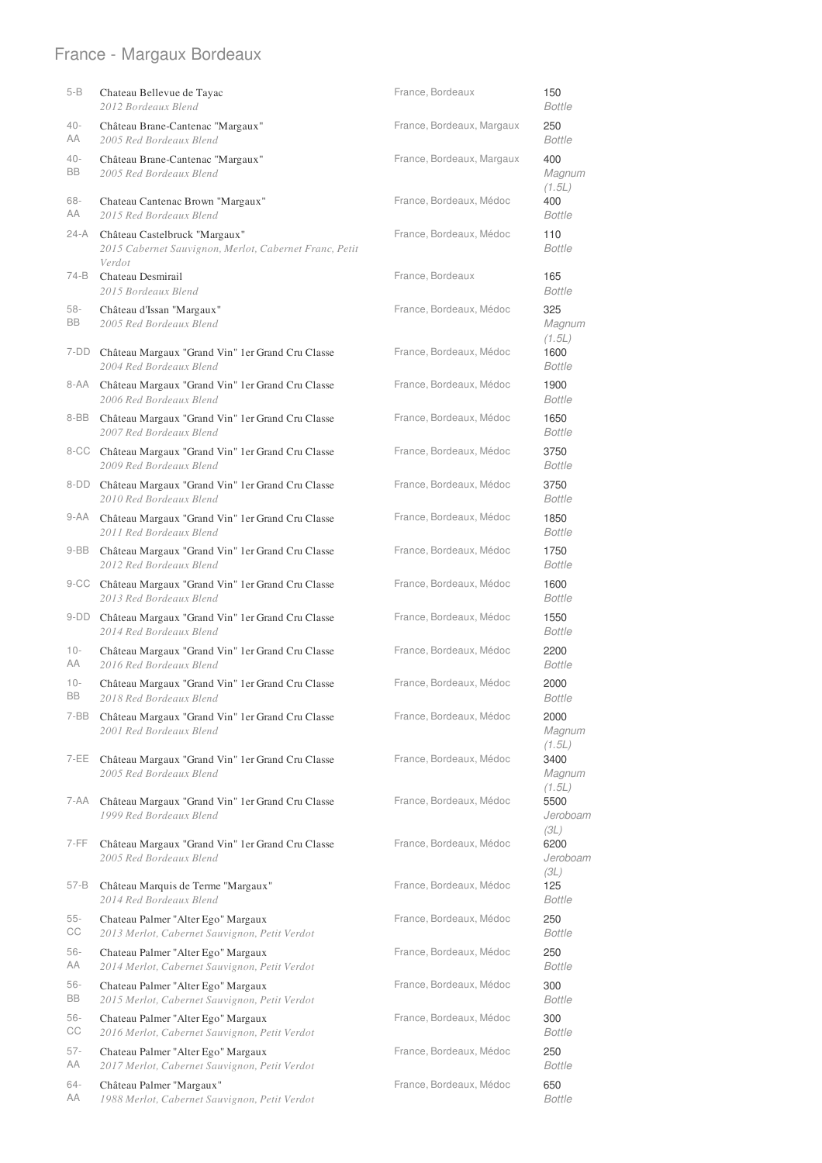# France - Margaux Bordeaux

| 5-B          | Chateau Bellevue de Tayac<br>2012 Bordeaux Blend                                        | France, Bordeaux          | 150<br><b>Bottle</b>            |
|--------------|-----------------------------------------------------------------------------------------|---------------------------|---------------------------------|
| 40-<br>AA    | Château Brane-Cantenac "Margaux"<br>2005 Red Bordeaux Blend                             | France, Bordeaux, Margaux | 250<br><b>Bottle</b>            |
| 40-<br>BB    | Château Brane-Cantenac "Margaux"<br>2005 Red Bordeaux Blend                             | France, Bordeaux, Margaux | 400<br>Magnum<br>(1.5L)         |
| 68-<br>AA    | Chateau Cantenac Brown "Margaux"<br>2015 Red Bordeaux Blend                             | France, Bordeaux, Médoc   | 400<br><b>Bottle</b>            |
| 24-A         | Château Castelbruck "Margaux"<br>2015 Cabernet Sauvignon, Merlot, Cabernet Franc, Petit | France, Bordeaux, Médoc   | 110<br><b>Bottle</b>            |
| 74-B         | Verdot<br>Chateau Desmirail<br>2015 Bordeaux Blend                                      | France, Bordeaux          | 165<br><b>Bottle</b>            |
| 58-<br>BB    | Château d'Issan "Margaux"<br>2005 Red Bordeaux Blend                                    | France, Bordeaux, Médoc   | 325<br>Magnum                   |
| 7-DD         | Château Margaux "Grand Vin" 1er Grand Cru Classe<br>2004 Red Bordeaux Blend             | France, Bordeaux, Médoc   | (1.5L)<br>1600<br><b>Bottle</b> |
| 8-AA         | Château Margaux "Grand Vin" 1er Grand Cru Classe<br>2006 Red Bordeaux Blend             | France, Bordeaux, Médoc   | 1900<br><b>Bottle</b>           |
| 8-BB         | Château Margaux "Grand Vin" 1er Grand Cru Classe<br>2007 Red Bordeaux Blend             | France, Bordeaux, Médoc   | 1650<br><b>Bottle</b>           |
|              | 8-CC Château Margaux "Grand Vin" 1er Grand Cru Classe<br>2009 Red Bordeaux Blend        | France, Bordeaux, Médoc   | 3750<br><b>Bottle</b>           |
| 8-DD         | Château Margaux "Grand Vin" 1er Grand Cru Classe<br>2010 Red Bordeaux Blend             | France, Bordeaux, Médoc   | 3750<br><b>Bottle</b>           |
| 9-AA         | Château Margaux "Grand Vin" 1er Grand Cru Classe<br>2011 Red Bordeaux Blend             | France, Bordeaux, Médoc   | 1850<br><b>Bottle</b>           |
| 9-BB         | Château Margaux "Grand Vin" 1 er Grand Cru Classe<br>2012 Red Bordeaux Blend            | France, Bordeaux, Médoc   | 1750<br><b>Bottle</b>           |
|              | 9-CC Château Margaux "Grand Vin" 1 er Grand Cru Classe<br>2013 Red Bordeaux Blend       | France, Bordeaux, Médoc   | 1600<br><b>Bottle</b>           |
| 9-DD         | Château Margaux "Grand Vin" 1 er Grand Cru Classe<br>2014 Red Bordeaux Blend            | France, Bordeaux, Médoc   | 1550<br><b>Bottle</b>           |
| $10 -$<br>AΑ | Château Margaux "Grand Vin" 1 er Grand Cru Classe<br>2016 Red Bordeaux Blend            | France, Bordeaux, Médoc   | 2200<br><b>Bottle</b>           |
| $10 -$<br>BB | Château Margaux "Grand Vin" 1er Grand Cru Classe<br>2018 Red Bordeaux Blend             | France, Bordeaux, Médoc   | 2000<br>Bottle                  |
| 7-BB         | Château Margaux "Grand Vin" 1er Grand Cru Classe<br>2001 Red Bordeaux Blend             | France, Bordeaux, Médoc   | 2000<br>Magnum<br>(1.5L)        |
| 7-EE         | Château Margaux "Grand Vin" 1er Grand Cru Classe<br>2005 Red Bordeaux Blend             | France, Bordeaux, Médoc   | 3400<br>Magnum                  |
| 7-AA         | Château Margaux "Grand Vin" 1 er Grand Cru Classe<br>1999 Red Bordeaux Blend            | France, Bordeaux, Médoc   | (1.5L)<br>5500<br>Jeroboam      |
| 7-FF         | Château Margaux "Grand Vin" 1er Grand Cru Classe<br>2005 Red Bordeaux Blend             | France, Bordeaux, Médoc   | (3L)<br>6200<br>Jeroboam        |
| 57-B         | Château Marquis de Terme "Margaux"<br>2014 Red Bordeaux Blend                           | France, Bordeaux, Médoc   | (3L)<br>125<br>Bottle           |
| 55-<br>CС    | Chateau Palmer "Alter Ego" Margaux<br>2013 Merlot, Cabernet Sauvignon, Petit Verdot     | France, Bordeaux, Médoc   | 250<br>Bottle                   |
| 56-<br>AA    | Chateau Palmer "Alter Ego" Margaux<br>2014 Merlot, Cabernet Sauvignon, Petit Verdot     | France, Bordeaux, Médoc   | 250<br>Bottle                   |
| 56-<br>BB    | Chateau Palmer "Alter Ego" Margaux<br>2015 Merlot, Cabernet Sauvignon, Petit Verdot     | France, Bordeaux, Médoc   | 300<br>Bottle                   |
| 56-<br>CС    | Chateau Palmer "Alter Ego" Margaux<br>2016 Merlot, Cabernet Sauvignon, Petit Verdot     | France, Bordeaux, Médoc   | 300<br>Bottle                   |
| 57-<br>AA    | Chateau Palmer "Alter Ego" Margaux<br>2017 Merlot, Cabernet Sauvignon, Petit Verdot     | France, Bordeaux, Médoc   | 250<br>Bottle                   |
| 64-<br>AA    | Château Palmer "Margaux"<br>1988 Merlot, Cabernet Sauvignon, Petit Verdot               | France, Bordeaux, Médoc   | 650<br>Bottle                   |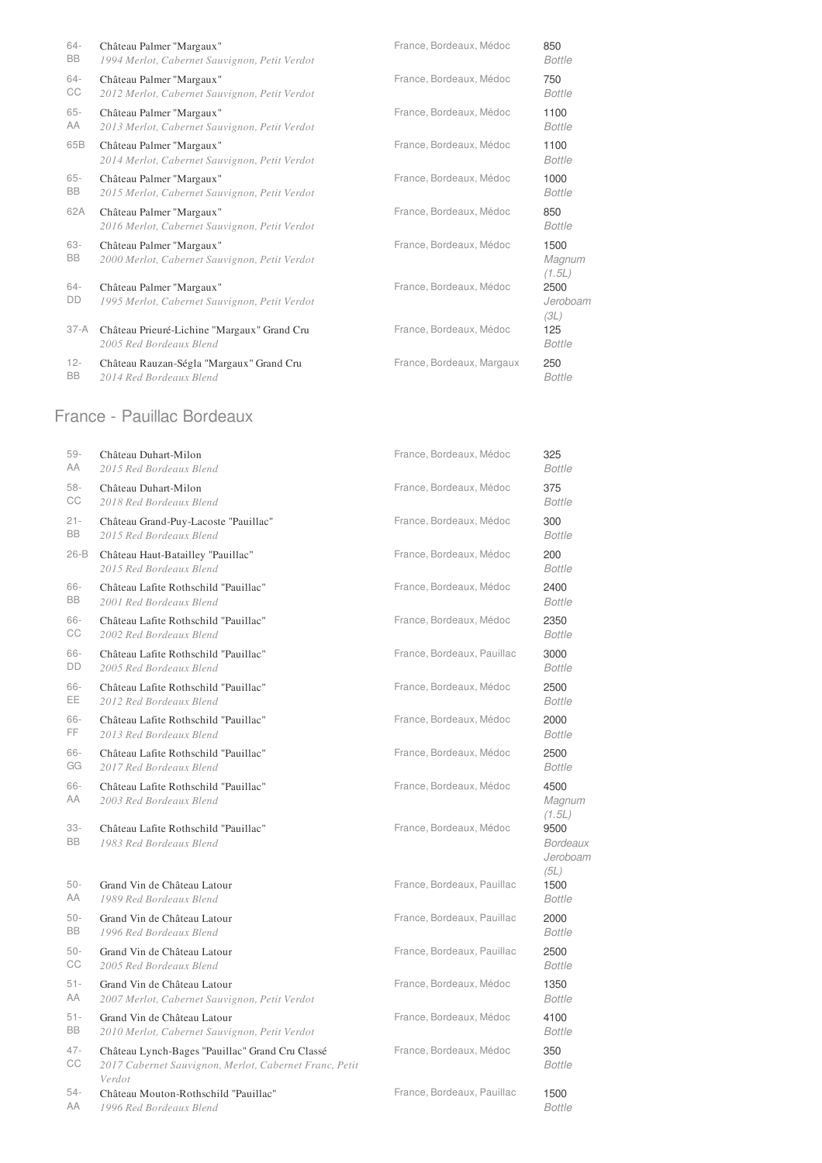| $64 -$           | Château Palmer "Margaux"                                                  | France, Bordeaux, Médoc   | 850                      |
|------------------|---------------------------------------------------------------------------|---------------------------|--------------------------|
| BB               | 1994 Merlot, Cabernet Sauvignon, Petit Verdot                             |                           | <b>Bottle</b>            |
| 64-              | Château Palmer "Margaux"                                                  | France, Bordeaux, Médoc   | 750                      |
| CC               | 2012 Merlot, Cabernet Sauvignon, Petit Verdot                             |                           | <b>Bottle</b>            |
| 65-              | Château Palmer "Margaux"                                                  | France, Bordeaux, Médoc   | 1100                     |
| AA               | 2013 Merlot, Cabernet Sauvignon, Petit Verdot                             |                           | <b>Bottle</b>            |
| 65B              | Château Palmer "Margaux"<br>2014 Merlot, Cabernet Sauvignon, Petit Verdot | France, Bordeaux, Médoc   | 1100<br><b>Bottle</b>    |
| $65 -$           | Château Palmer "Margaux"                                                  | France, Bordeaux, Médoc   | 1000                     |
| BB               | 2015 Merlot, Cabernet Sauvignon, Petit Verdot                             |                           | <b>Bottle</b>            |
| 62A              | Château Palmer "Margaux"<br>2016 Merlot, Cabernet Sauvignon, Petit Verdot | France, Bordeaux, Médoc   | 850<br><b>Bottle</b>     |
| 63-<br><b>BB</b> | Château Palmer "Margaux"<br>2000 Merlot, Cabernet Sauvignon, Petit Verdot | France, Bordeaux, Médoc   | 1500<br>Magnum<br>(1.5L) |
| $64-$<br>DD      | Château Palmer "Margaux"<br>1995 Merlot, Cabernet Sauvignon, Petit Verdot | France, Bordeaux, Médoc   | 2500<br>Jeroboam<br>(3L) |
| $37-A$           | Château Prieuré-Lichine "Margaux" Grand Cru<br>2005 Red Bordeaux Blend    | France, Bordeaux, Médoc   | 125<br><b>Bottle</b>     |
| $12 -$           | Château Rauzan-Ségla "Margaux" Grand Cru                                  | France, Bordeaux, Margaux | 250                      |
| <b>BB</b>        | 2014 Red Bordeaux Blend                                                   |                           | <b>Bottle</b>            |

#### France - Pauillac Bordeaux

| 59-          | Château Duhart-Milon                                                                                                | France, Bordeaux, Médoc    | 325                                         |
|--------------|---------------------------------------------------------------------------------------------------------------------|----------------------------|---------------------------------------------|
| AA           | 2015 Red Bordeaux Blend                                                                                             |                            | <b>Bottle</b>                               |
| 58-          | Château Duhart-Milon                                                                                                | France, Bordeaux, Médoc    | 375                                         |
| CС           | 2018 Red Bordeaux Blend                                                                                             |                            | <b>Bottle</b>                               |
| $21 -$       | Château Grand-Puy-Lacoste "Pauillac"                                                                                | France, Bordeaux, Médoc    | 300                                         |
| BB           | 2015 Red Bordeaux Blend                                                                                             |                            | <b>Bottle</b>                               |
| 26-B         | Château Haut-Batailley "Pauillac"<br>2015 Red Bordeaux Blend                                                        | France, Bordeaux, Médoc    | 200<br><b>Bottle</b>                        |
| 66-          | Château Lafite Rothschild "Pauillac"                                                                                | France, Bordeaux, Médoc    | 2400                                        |
| BB           | 2001 Red Bordeaux Blend                                                                                             |                            | <b>Bottle</b>                               |
| 66-          | Château Lafite Rothschild "Pauillac"                                                                                | France, Bordeaux, Médoc    | 2350                                        |
| СC           | 2002 Red Bordeaux Blend                                                                                             |                            | Bottle                                      |
| 66-          | Château Lafite Rothschild "Pauillac"                                                                                | France, Bordeaux, Pauillac | 3000                                        |
| DD           | 2005 Red Bordeaux Blend                                                                                             |                            | <b>Bottle</b>                               |
| 66-          | Château Lafite Rothschild "Pauillac"                                                                                | France, Bordeaux, Médoc    | 2500                                        |
| EE.          | 2012 Red Bordeaux Blend                                                                                             |                            | <b>Bottle</b>                               |
| 66-          | Château Lafite Rothschild "Pauillac"                                                                                | France, Bordeaux, Médoc    | 2000                                        |
| FF.          | 2013 Red Bordeaux Blend                                                                                             |                            | <b>Bottle</b>                               |
| 66-          | Château Lafite Rothschild "Pauillac"                                                                                | France, Bordeaux, Médoc    | 2500                                        |
| GG           | 2017 Red Bordeaux Blend                                                                                             |                            | <b>Bottle</b>                               |
| 66-<br>AA    | Château Lafite Rothschild "Pauillac"<br>2003 Red Bordeaux Blend                                                     | France, Bordeaux, Médoc    | 4500<br>Magnum<br>(1.5L)                    |
| 33-<br>BB    | Château Lafite Rothschild "Pauillac"<br>1983 Red Bordeaux Blend                                                     | France, Bordeaux, Médoc    | 9500<br><b>Bordeaux</b><br>Jeroboam<br>(5L) |
| 50-          | Grand Vin de Château Latour                                                                                         | France, Bordeaux, Pauillac | 1500                                        |
| AA           | 1989 Red Bordeaux Blend                                                                                             |                            | <b>Bottle</b>                               |
| $50 -$       | Grand Vin de Château Latour                                                                                         | France, Bordeaux, Pauillac | 2000                                        |
| BB           | 1996 Red Bordeaux Blend                                                                                             |                            | <b>Bottle</b>                               |
| 50-          | Grand Vin de Château Latour                                                                                         | France, Bordeaux, Pauillac | 2500                                        |
| СC           | 2005 Red Bordeaux Blend                                                                                             |                            | <b>Bottle</b>                               |
| $51 -$       | Grand Vin de Château Latour                                                                                         | France, Bordeaux, Médoc    | 1350                                        |
| AA           | 2007 Merlot, Cabernet Sauvignon, Petit Verdot                                                                       |                            | <b>Bottle</b>                               |
| $51 -$       | Grand Vin de Château Latour                                                                                         | France, Bordeaux, Médoc    | 4100                                        |
| BB           | 2010 Merlot, Cabernet Sauvignon, Petit Verdot                                                                       |                            | <b>Bottle</b>                               |
| $47 -$<br>СC | Château Lynch-Bages "Pauillac" Grand Cru Classé<br>2017 Cabernet Sauvignon, Merlot, Cabernet Franc, Petit<br>Verdot | France, Bordeaux, Médoc    | 350<br><b>Bottle</b>                        |
| $54-$        | Château Mouton-Rothschild "Pauillac"                                                                                | France, Bordeaux, Pauillac | 1500                                        |
| AA           | 1996 Red Bordeaux Blend                                                                                             |                            | <b>Bottle</b>                               |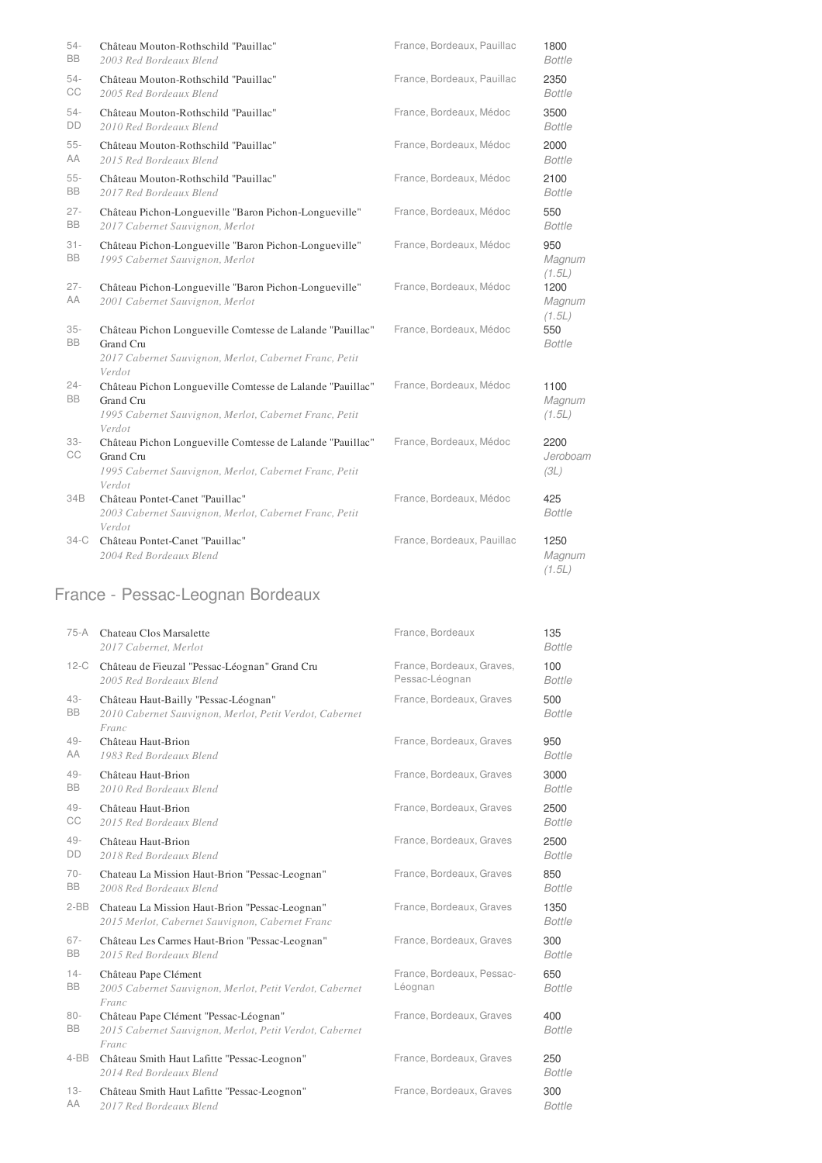| $54 -$<br>BB  | Château Mouton-Rothschild "Pauillac"<br>2003 Red Bordeaux Blend                                                                                      | France, Bordeaux, Pauillac | 1800<br><b>Bottle</b>    |
|---------------|------------------------------------------------------------------------------------------------------------------------------------------------------|----------------------------|--------------------------|
| $54-$<br>CC   | Château Mouton-Rothschild "Pauillac"<br>2005 Red Bordeaux Blend                                                                                      | France, Bordeaux, Pauillac | 2350<br><b>Bottle</b>    |
| $54-$<br>DD   | Château Mouton-Rothschild "Pauillac"<br>2010 Red Bordeaux Blend                                                                                      | France, Bordeaux, Médoc    | 3500<br>Bottle           |
| $55 -$<br>AA  | Château Mouton-Rothschild "Pauillac"<br>2015 Red Bordeaux Blend                                                                                      | France, Bordeaux, Médoc    | 2000<br><b>Bottle</b>    |
| $55 -$<br>BB  | Château Mouton-Rothschild "Pauillac"<br>2017 Red Bordeaux Blend                                                                                      | France, Bordeaux, Médoc    | 2100<br><b>Bottle</b>    |
| $27 -$<br>BB  | Château Pichon-Longueville "Baron Pichon-Longueville"<br>2017 Cabernet Sauvignon, Merlot                                                             | France, Bordeaux, Médoc    | 550<br><b>Bottle</b>     |
| $31 -$<br>BB  | Château Pichon-Longueville "Baron Pichon-Longueville"<br>1995 Cabernet Sauvignon, Merlot                                                             | France, Bordeaux, Médoc    | 950<br>Magnum<br>(1.5L)  |
| $27 -$<br>AA  | Château Pichon-Longueville "Baron Pichon-Longueville"<br>2001 Cabernet Sauvignon, Merlot                                                             | France, Bordeaux, Médoc    | 1200<br>Magnum<br>(1.5L) |
| $35 -$<br>BB  | Château Pichon Longueville Comtesse de Lalande "Pauillac"<br>Grand Cru<br>2017 Cabernet Sauvignon, Merlot, Cabernet Franc, Petit                     | France, Bordeaux, Médoc    | 550<br><b>Bottle</b>     |
| $24 -$<br>BB. | Verdot<br>Château Pichon Longueville Comtesse de Lalande "Pauillac"<br>Grand Cru<br>1995 Cabernet Sauvignon, Merlot, Cabernet Franc, Petit<br>Verdot | France, Bordeaux, Médoc    | 1100<br>Magnum<br>(1.5L) |
| $33 -$<br>CC  | Château Pichon Longueville Comtesse de Lalande "Pauillac"<br>Grand Cru<br>1995 Cabernet Sauvignon, Merlot, Cabernet Franc, Petit<br>Verdot           | France, Bordeaux, Médoc    | 2200<br>Jeroboam<br>(3L) |
| 34B           | Château Pontet-Canet "Pauillac"<br>2003 Cabernet Sauvignon, Merlot, Cabernet Franc, Petit<br>Verdot                                                  | France, Bordeaux, Médoc    | 425<br><b>Bottle</b>     |
| 34-C          | Château Pontet-Canet "Pauillac"<br>2004 Red Bordeaux Blend                                                                                           | France, Bordeaux, Pauillac | 1250<br>Magnum<br>(1.5L) |

# France - Pessac-Leognan Bordeaux

| 75-A                | Chateau Clos Marsalette<br>2017 Cabernet, Merlot                                                          | France, Bordeaux                     | 135<br><b>Bottle</b>  |
|---------------------|-----------------------------------------------------------------------------------------------------------|--------------------------------------|-----------------------|
| $12-C$              | Château de Fieuzal "Pessac-Léognan" Grand Cru                                                             | France, Bordeaux, Graves,            | 100                   |
|                     | 2005 Red Bordeaux Blend                                                                                   | Pessac-Léognan                       | <b>Bottle</b>         |
| $43 -$<br><b>BB</b> | Château Haut-Bailly "Pessac-Léognan"<br>2010 Cabernet Sauvignon, Merlot, Petit Verdot, Cabernet<br>Franc  | France, Bordeaux, Graves             | 500<br><b>Bottle</b>  |
| $49 -$              | Château Haut-Brion                                                                                        | France, Bordeaux, Graves             | 950                   |
| AA                  | 1983 Red Bordeaux Blend                                                                                   |                                      | <b>Bottle</b>         |
| $49 -$              | Château Haut-Brion                                                                                        | France, Bordeaux, Graves             | 3000                  |
| <b>BB</b>           | 2010 Red Bordeaux Blend                                                                                   |                                      | <b>Bottle</b>         |
| $49 -$              | Château Haut-Brion                                                                                        | France, Bordeaux, Graves             | 2500                  |
| CC                  | 2015 Red Bordeaux Blend                                                                                   |                                      | <b>Bottle</b>         |
| $49 -$              | Château Haut-Brion                                                                                        | France, Bordeaux, Graves             | 2500                  |
| DD                  | 2018 Red Bordeaux Blend                                                                                   |                                      | <b>Bottle</b>         |
| $70-$               | Chateau La Mission Haut-Brion "Pessac-Leognan"                                                            | France, Bordeaux, Graves             | 850                   |
| <b>BB</b>           | 2008 Red Bordeaux Blend                                                                                   |                                      | <b>Bottle</b>         |
| $2-BB$              | Chateau La Mission Haut-Brion "Pessac-Leognan"<br>2015 Merlot, Cabernet Sauvignon, Cabernet Franc         | France, Bordeaux, Graves             | 1350<br><b>Bottle</b> |
| $67 -$              | Château Les Carmes Haut-Brion "Pessac-Leognan"                                                            | France, Bordeaux, Graves             | 300                   |
| <b>BB</b>           | 2015 Red Bordeaux Blend                                                                                   |                                      | <b>Bottle</b>         |
| $14 -$<br><b>BB</b> | Château Pape Clément<br>2005 Cabernet Sauvignon, Merlot, Petit Verdot, Cabernet<br>Franc                  | France, Bordeaux, Pessac-<br>Léognan | 650<br><b>Bottle</b>  |
| $80 -$<br><b>BB</b> | Château Pape Clément "Pessac-Léognan"<br>2015 Cabernet Sauvignon, Merlot, Petit Verdot, Cabernet<br>Franc | France, Bordeaux, Graves             | 400<br><b>Bottle</b>  |
| $4 - BB$            | Château Smith Haut Lafitte "Pessac-Leognon"<br>2014 Red Bordeaux Blend                                    | France, Bordeaux, Graves             | 250<br><b>Bottle</b>  |
| $13 -$              | Château Smith Haut Lafitte "Pessac-Leognon"                                                               | France, Bordeaux, Graves             | 300                   |
| AA                  | 2017 Red Bordeaux Blend                                                                                   |                                      | <b>Bottle</b>         |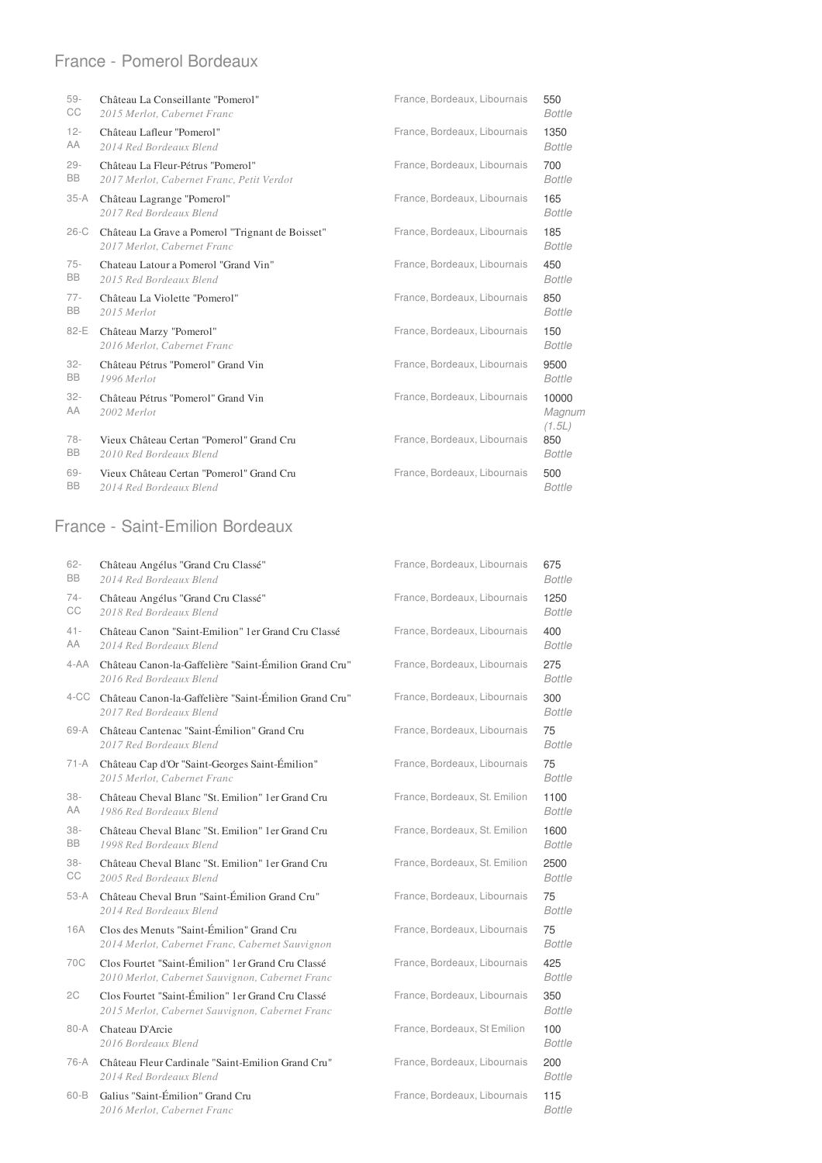#### France - Pomerol Bordeaux

| $59 -$       | Château La Conseillante "Pomerol"                                               | France, Bordeaux, Libournais | 550                       |
|--------------|---------------------------------------------------------------------------------|------------------------------|---------------------------|
| СC           | 2015 Merlot, Cabernet Franc                                                     |                              | <b>Bottle</b>             |
| $12 -$       | Château Lafleur "Pomerol"                                                       | France, Bordeaux, Libournais | 1350                      |
| AA           | 2014 Red Bordeaux Blend                                                         |                              | <b>Bottle</b>             |
| $29 -$       | Château La Fleur-Pétrus "Pomerol"                                               | France, Bordeaux, Libournais | 700                       |
| <b>BB</b>    | 2017 Merlot, Cabernet Franc, Petit Verdot                                       |                              | <b>Bottle</b>             |
| $35-A$       | Château Lagrange "Pomerol"<br>2017 Red Bordeaux Blend                           | France, Bordeaux, Libournais | 165<br><b>Bottle</b>      |
| $26-C$       | Château La Grave a Pomerol "Trignant de Boisset"<br>2017 Merlot, Cabernet Franc | France, Bordeaux, Libournais | 185<br><b>Bottle</b>      |
| $75 -$       | Chateau Latour a Pomerol "Grand Vin"                                            | France, Bordeaux, Libournais | 450                       |
| <b>BB</b>    | 2015 Red Bordeaux Blend                                                         |                              | <b>Bottle</b>             |
| $77-$        | Château La Violette "Pomerol"                                                   | France, Bordeaux, Libournais | 850                       |
| <b>BB</b>    | 2015 Merlot                                                                     |                              | <b>Bottle</b>             |
| 82-E         | Château Marzy "Pomerol"<br>2016 Merlot, Cabernet Franc                          | France, Bordeaux, Libournais | 150<br><b>Bottle</b>      |
| $32 -$       | Château Pétrus "Pomerol" Grand Vin                                              | France, Bordeaux, Libournais | 9500                      |
| BB           | 1996 Merlot                                                                     |                              | <b>Bottle</b>             |
| $32 -$<br>AA | Château Pétrus "Pomerol" Grand Vin<br>2002 Merlot                               | France, Bordeaux, Libournais | 10000<br>Magnum<br>(1.5L) |
| $78-$        | Vieux Château Certan "Pomerol" Grand Cru                                        | France, Bordeaux, Libournais | 850                       |
| BB           | 2010 Red Bordeaux Blend                                                         |                              | <b>Bottle</b>             |
| 69-          | Vieux Château Certan "Pomerol" Grand Cru                                        | France, Bordeaux, Libournais | 500                       |
| <b>BB</b>    | 2014 Red Bordeaux Blend                                                         |                              | <b>Bottle</b>             |

#### France - Saint-Emilion Bordeaux

| 62-<br>BB    | Château Angélus "Grand Cru Classé"<br>2014 Red Bordeaux Blend                                        | France, Bordeaux, Libournais  | 675<br><b>Bottle</b>  |
|--------------|------------------------------------------------------------------------------------------------------|-------------------------------|-----------------------|
| $74-$<br>CC  | Château Angélus "Grand Cru Classé"<br>2018 Red Bordeaux Blend                                        | France, Bordeaux, Libournais  | 1250<br><b>Bottle</b> |
| $41 -$<br>AA | Château Canon "Saint-Emilion" 1 er Grand Cru Classé<br>2014 Red Bordeaux Blend                       | France, Bordeaux, Libournais  | 400<br><b>Bottle</b>  |
| $4 - AA$     | Château Canon-la-Gaffelière "Saint-Émilion Grand Cru"<br>2016 Red Bordeaux Blend                     | France, Bordeaux, Libournais  | 275<br><b>Bottle</b>  |
|              | 4-CC Château Canon-la-Gaffelière "Saint-Émilion Grand Cru"<br>2017 Red Bordeaux Blend                | France, Bordeaux, Libournais  | 300<br><b>Bottle</b>  |
| 69-A         | Château Cantenac "Saint-Émilion" Grand Cru<br>2017 Red Bordeaux Blend                                | France, Bordeaux, Libournais  | 75<br><b>Bottle</b>   |
| 71-A         | Château Cap d'Or "Saint-Georges Saint-Émilion"<br>2015 Merlot, Cabernet Franc                        | France, Bordeaux, Libournais  | 75<br><b>Bottle</b>   |
| $38 -$<br>AA | Château Cheval Blanc "St. Emilion" 1 er Grand Cru<br>1986 Red Bordeaux Blend                         | France, Bordeaux, St. Emilion | 1100<br><b>Bottle</b> |
| $38 -$<br>BB | Château Cheval Blanc "St. Emilion" 1 er Grand Cru<br>1998 Red Bordeaux Blend                         | France, Bordeaux, St. Emilion | 1600<br><b>Bottle</b> |
| $38 -$<br>СC | Château Cheval Blanc "St. Emilion" 1 er Grand Cru<br>2005 Red Bordeaux Blend                         | France, Bordeaux, St. Emilion | 2500<br><b>Bottle</b> |
| $53-A$       | Château Cheval Brun "Saint-Émilion Grand Cru"<br>2014 Red Bordeaux Blend                             | France, Bordeaux, Libournais  | 75<br><b>Bottle</b>   |
| 16A          | Clos des Menuts "Saint-Émilion" Grand Cru<br>2014 Merlot, Cabernet Franc, Cabernet Sauvignon         | France, Bordeaux, Libournais  | 75<br><b>Bottle</b>   |
| 70C          | Clos Fourtet "Saint-Émilion" 1er Grand Cru Classé<br>2010 Merlot, Cabernet Sauvignon, Cabernet Franc | France, Bordeaux, Libournais  | 425<br><b>Bottle</b>  |
| 2C           | Clos Fourtet "Saint-Émilion" 1er Grand Cru Classé<br>2015 Merlot, Cabernet Sauvignon, Cabernet Franc | France, Bordeaux, Libournais  | 350<br><b>Bottle</b>  |
| $80 - A$     | Chateau D'Arcie<br>2016 Bordeaux Blend                                                               | France, Bordeaux, St Emilion  | 100<br><b>Bottle</b>  |
| 76-A         | Château Fleur Cardinale "Saint-Emilion Grand Cru"<br>2014 Red Bordeaux Blend                         | France, Bordeaux, Libournais  | 200<br><b>Bottle</b>  |
| $60 - B$     | Galius "Saint-Émilion" Grand Cru<br>2016 Merlot, Cabernet Franc                                      | France, Bordeaux, Libournais  | 115<br><b>Bottle</b>  |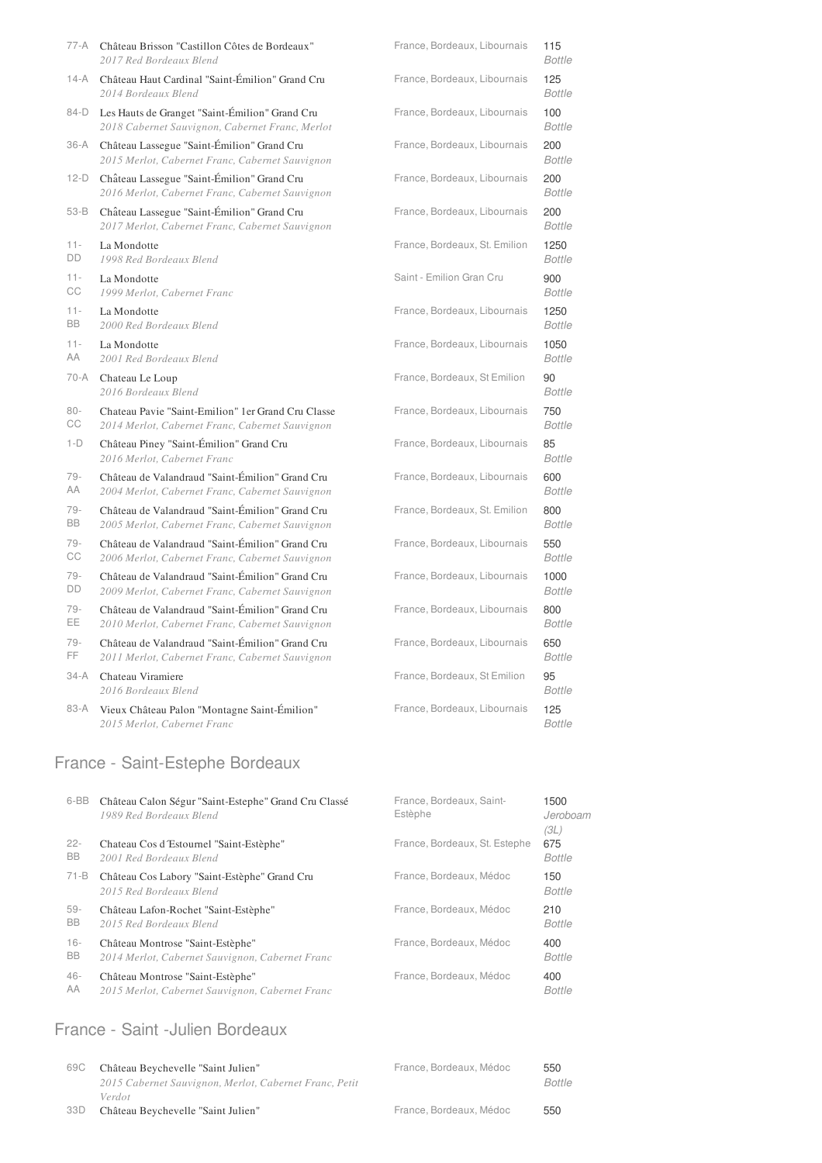|           | 77-A Château Brisson "Castillon Côtes de Bordeaux"<br>2017 Red Bordeaux Blend                     | France, Bordeaux, Libournais  | 115<br><b>Bottle</b> |
|-----------|---------------------------------------------------------------------------------------------------|-------------------------------|----------------------|
| 14-A      | Château Haut Cardinal "Saint-Émilion" Grand Cru<br>2014 Bordeaux Blend                            | France, Bordeaux, Libournais  | 125<br><b>Bottle</b> |
| 84-D      | Les Hauts de Granget "Saint-Émilion" Grand Cru<br>2018 Cabernet Sauvignon, Cabernet Franc, Merlot | France, Bordeaux, Libournais  | 100<br><b>Bottle</b> |
| 36-A      | Château Lassegue "Saint-Émilion" Grand Cru<br>2015 Merlot, Cabernet Franc, Cabernet Sauvignon     | France, Bordeaux, Libournais  | 200<br><b>Bottle</b> |
| $12-D$    | Château Lassegue "Saint-Émilion" Grand Cru<br>2016 Merlot, Cabernet Franc, Cabernet Sauvignon     | France, Bordeaux, Libournais  | 200<br><b>Bottle</b> |
| 53-B      | Château Lassegue "Saint-Émilion" Grand Cru<br>2017 Merlot, Cabernet Franc, Cabernet Sauvignon     | France, Bordeaux, Libournais  | 200<br><b>Bottle</b> |
| $11 -$    | La Mondotte                                                                                       | France, Bordeaux, St. Emilion | 1250                 |
| DD        | 1998 Red Bordeaux Blend                                                                           |                               | <b>Bottle</b>        |
| $11 -$    | La Mondotte                                                                                       | Saint - Emilion Gran Cru      | 900                  |
| СC        | 1999 Merlot, Cabernet Franc                                                                       |                               | <b>Bottle</b>        |
| $11 -$    | La Mondotte                                                                                       | France, Bordeaux, Libournais  | 1250                 |
| <b>BB</b> | 2000 Red Bordeaux Blend                                                                           |                               | <b>Bottle</b>        |
| $11 -$    | La Mondotte                                                                                       | France, Bordeaux, Libournais  | 1050                 |
| AA        | 2001 Red Bordeaux Blend                                                                           |                               | <b>Bottle</b>        |
| 70-A      | Chateau Le Loup<br>2016 Bordeaux Blend                                                            | France, Bordeaux, St Emilion  | 90<br><b>Bottle</b>  |
| $80 -$    | Chateau Pavie "Saint-Emilion" 1er Grand Cru Classe                                                | France, Bordeaux, Libournais  | 750                  |
| СC        | 2014 Merlot, Cabernet Franc, Cabernet Sauvignon                                                   |                               | <b>Bottle</b>        |
| $1-D$     | Château Piney "Saint-Émilion" Grand Cru<br>2016 Merlot, Cabernet Franc                            | France, Bordeaux, Libournais  | 85<br><b>Bottle</b>  |
| $79-$     | Château de Valandraud "Saint-Émilion" Grand Cru                                                   | France, Bordeaux, Libournais  | 600                  |
| AA        | 2004 Merlot, Cabernet Franc, Cabernet Sauvignon                                                   |                               | <b>Bottle</b>        |
| 79-       | Château de Valandraud "Saint-Émilion" Grand Cru                                                   | France, Bordeaux, St. Emilion | 800                  |
| <b>BB</b> | 2005 Merlot, Cabernet Franc, Cabernet Sauvignon                                                   |                               | <b>Bottle</b>        |
| 79-       | Château de Valandraud "Saint-Émilion" Grand Cru                                                   | France, Bordeaux, Libournais  | 550                  |
| СC        | 2006 Merlot, Cabernet Franc, Cabernet Sauvignon                                                   |                               | <b>Bottle</b>        |
| $79-$     | Château de Valandraud "Saint-Émilion" Grand Cru                                                   | France, Bordeaux, Libournais  | 1000                 |
| DD        | 2009 Merlot, Cabernet Franc, Cabernet Sauvignon                                                   |                               | <b>Bottle</b>        |
| $79-$     | Château de Valandraud "Saint-Émilion" Grand Cru                                                   | France, Bordeaux, Libournais  | 800                  |
| EE.       | 2010 Merlot, Cabernet Franc, Cabernet Sauvignon                                                   |                               | <b>Bottle</b>        |
| 79-       | Château de Valandraud "Saint-Émilion" Grand Cru                                                   | France, Bordeaux, Libournais  | 650                  |
| FF.       | 2011 Merlot, Cabernet Franc, Cabernet Sauvignon                                                   |                               | <b>Bottle</b>        |
| 34-A      | Chateau Viramiere<br>2016 Bordeaux Blend                                                          | France, Bordeaux, St Emilion  | 95<br><b>Bottle</b>  |
| 83-A      | Vieux Château Palon "Montagne Saint-Émilion"<br>2015 Merlot, Cabernet Franc                       | France, Bordeaux, Libournais  | 125<br><b>Bottle</b> |

# France - Saint-Estephe Bordeaux

| Château Calon Ségur "Saint-Estephe" Grand Cru Classé<br>1989 Red Bordeaux Blend     | France, Bordeaux, Saint-<br>Estèphe | 1500<br>Jeroboam<br>(3L) |
|-------------------------------------------------------------------------------------|-------------------------------------|--------------------------|
| Chateau Cos d'Estournel "Saint-Estèphe"<br>2001 Red Bordeaux Blend                  | France, Bordeaux, St. Estephe       | 675<br>Bottle            |
| Château Cos Labory "Saint-Estèphe" Grand Cru<br>2015 Red Bordeaux Blend             | France, Bordeaux, Médoc             | 150<br><b>Bottle</b>     |
| Château Lafon-Rochet "Saint-Estèphe"<br>2015 Red Bordeaux Blend                     | France, Bordeaux, Médoc             | 210<br><b>Bottle</b>     |
| Château Montrose "Saint-Estèphe"<br>2014 Merlot, Cabernet Sauvignon, Cabernet Franc | France, Bordeaux, Médoc             | 400<br><b>Bottle</b>     |
| Château Montrose "Saint-Estèphe"<br>2015 Merlot, Cabernet Sauvignon, Cabernet Franc | France, Bordeaux, Médoc             | 400<br><b>Bottle</b>     |
|                                                                                     |                                     |                          |

### France - Saint -Julien Bordeaux

| 69C | Château Beychevelle "Saint Julien"                     | France, Bordeaux, Médoc | 550    |
|-----|--------------------------------------------------------|-------------------------|--------|
|     | 2015 Cabernet Sauvignon, Merlot, Cabernet Franc, Petit |                         | Bottle |
|     | Verdot                                                 |                         |        |
| 33D | Château Beychevelle "Saint Julien"                     | France, Bordeaux, Médoc | 550    |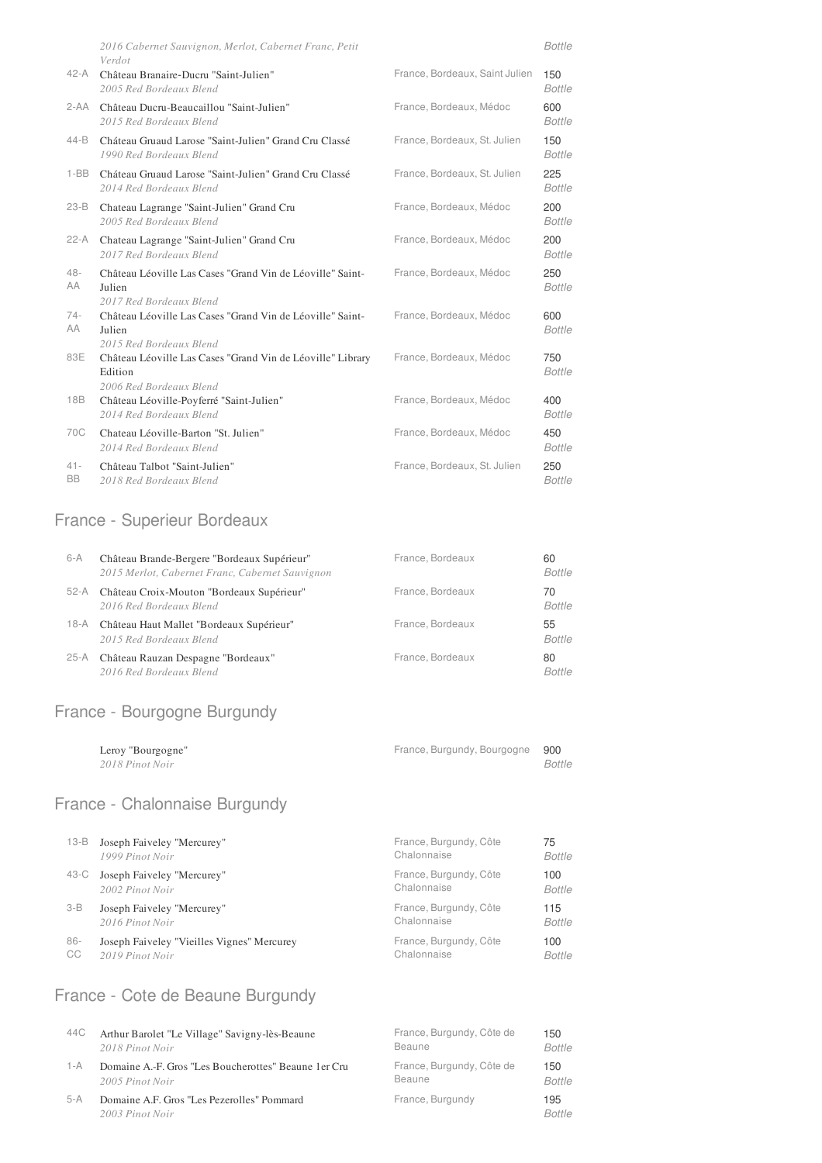|                     | 2016 Cabernet Sauvignon, Merlot, Cabernet Franc, Petit<br>Verdot                                 |                                | <b>Bottle</b>        |
|---------------------|--------------------------------------------------------------------------------------------------|--------------------------------|----------------------|
| $42 - A$            | Château Branaire-Ducru "Saint-Julien"<br>2005 Red Bordeaux Blend                                 | France, Bordeaux, Saint Julien | 150<br><b>Bottle</b> |
|                     | 2-AA Château Ducru-Beaucaillou "Saint-Julien"<br>2015 Red Bordeaux Blend                         | France, Bordeaux, Médoc        | 600<br><b>Bottle</b> |
| $44 - B$            | Cháteau Gruaud Larose "Saint-Julien" Grand Cru Classé<br>1990 Red Bordeaux Blend                 | France, Bordeaux, St. Julien   | 150<br><b>Bottle</b> |
| $1 - BB$            | Cháteau Gruaud Larose "Saint-Julien" Grand Cru Classé<br>2014 Red Bordeaux Blend                 | France, Bordeaux, St. Julien   | 225<br><b>Bottle</b> |
| $23-B$              | Chateau Lagrange "Saint-Julien" Grand Cru<br>2005 Red Bordeaux Blend                             | France, Bordeaux, Médoc        | 200<br><b>Bottle</b> |
| $22-A$              | Chateau Lagrange "Saint-Julien" Grand Cru<br>2017 Red Bordeaux Blend                             | France, Bordeaux, Médoc        | 200<br><b>Bottle</b> |
| $48 -$<br>AA        | Château Léoville Las Cases "Grand Vin de Léoville" Saint-<br>Julien<br>2017 Red Bordeaux Blend   | France, Bordeaux, Médoc        | 250<br><b>Bottle</b> |
| $74-$<br>AA         | Château Léoville Las Cases "Grand Vin de Léoville" Saint-<br>Julien<br>2015 Red Bordeaux Blend   | France, Bordeaux, Médoc        | 600<br><b>Bottle</b> |
| 83E                 | Château Léoville Las Cases "Grand Vin de Léoville" Library<br>Edition<br>2006 Red Bordeaux Blend | France, Bordeaux, Médoc        | 750<br><b>Bottle</b> |
| 18B                 | Château Léoville-Poyferré "Saint-Julien"<br>2014 Red Bordeaux Blend                              | France, Bordeaux, Médoc        | 400<br><b>Bottle</b> |
| 70C                 | Chateau Léoville-Barton "St. Julien"<br>2014 Red Bordeaux Blend                                  | France, Bordeaux, Médoc        | 450<br><b>Bottle</b> |
| $41 -$<br><b>BB</b> | Château Talbot "Saint-Julien"<br>2018 Red Bordeaux Blend                                         | France, Bordeaux, St. Julien   | 250<br><b>Bottle</b> |

### France - Superieur Bordeaux

*2018 Red Bordeaux Blend*

| $6-A$  | Château Brande-Bergere "Bordeaux Supérieur"<br>2015 Merlot, Cabernet Franc, Cabernet Sauvignon | France, Bordeaux | 60<br><b>Bottle</b> |
|--------|------------------------------------------------------------------------------------------------|------------------|---------------------|
| 52-A   | Château Croix-Mouton "Bordeaux Supérieur"<br>2016 Red Bordeaux Blend                           | France, Bordeaux | 70<br><b>Bottle</b> |
| 18-A   | Château Haut Mallet "Bordeaux Supérieur"<br>2015 Red Bordeaux Blend                            | France, Bordeaux | 55<br><b>Bottle</b> |
| $25-A$ | Château Rauzan Despagne "Bordeaux"<br>2016 Red Bordeaux Blend                                  | France, Bordeaux | 80<br><b>Bottle</b> |

# France - Bourgogne Burgundy

| Leroy "Bourgogne" | France, Burgundy, Bourgogne 900 |        |
|-------------------|---------------------------------|--------|
| 2018 Pinot Noir   |                                 | Bottle |

# France - Chalonnaise Burgundy

| $13 - B$ | Joseph Faiveley "Mercurey"                 | France, Burgundy, Côte | 75            |
|----------|--------------------------------------------|------------------------|---------------|
|          | 1999 Pinot Noir                            | Chalonnaise            | Bottle        |
| 43-C     | Joseph Faiveley "Mercurey"                 | France, Burgundy, Côte | 100           |
|          | 2002 Pinot Noir                            | Chalonnaise            | <b>Bottle</b> |
| $3-B$    | Joseph Faiveley "Mercurey"                 | France, Burgundy, Côte | 115           |
|          | 2016 Pinot Noir                            | Chalonnaise            | <b>Bottle</b> |
| $86-$    | Joseph Faiveley "Vieilles Vignes" Mercurey | France, Burgundy, Côte | 100           |
| CC       | 2019 Pinot Noir                            | Chalonnaise            | <b>Bottle</b> |

# France - Cote de Beaune Burgundy

| 44C   | Arthur Barolet "Le Village" Savigny-lès-Beaune                | France, Burgundy, Côte de | 150                  |
|-------|---------------------------------------------------------------|---------------------------|----------------------|
|       | 2018 Pinot Noir                                               | Beaune                    | <b>Bottle</b>        |
| 1 - A | Domaine A.-F. Gros "Les Boucherottes" Beaune 1 er Cru         | France, Burgundy, Côte de | 150                  |
|       | 2005 Pinot Noir                                               | Beaune                    | <b>Bottle</b>        |
| 5-A   | Domaine A.F. Gros "Les Pezerolles" Pommard<br>2003 Pinot Noir | France, Burgundy          | 195<br><b>Bottle</b> |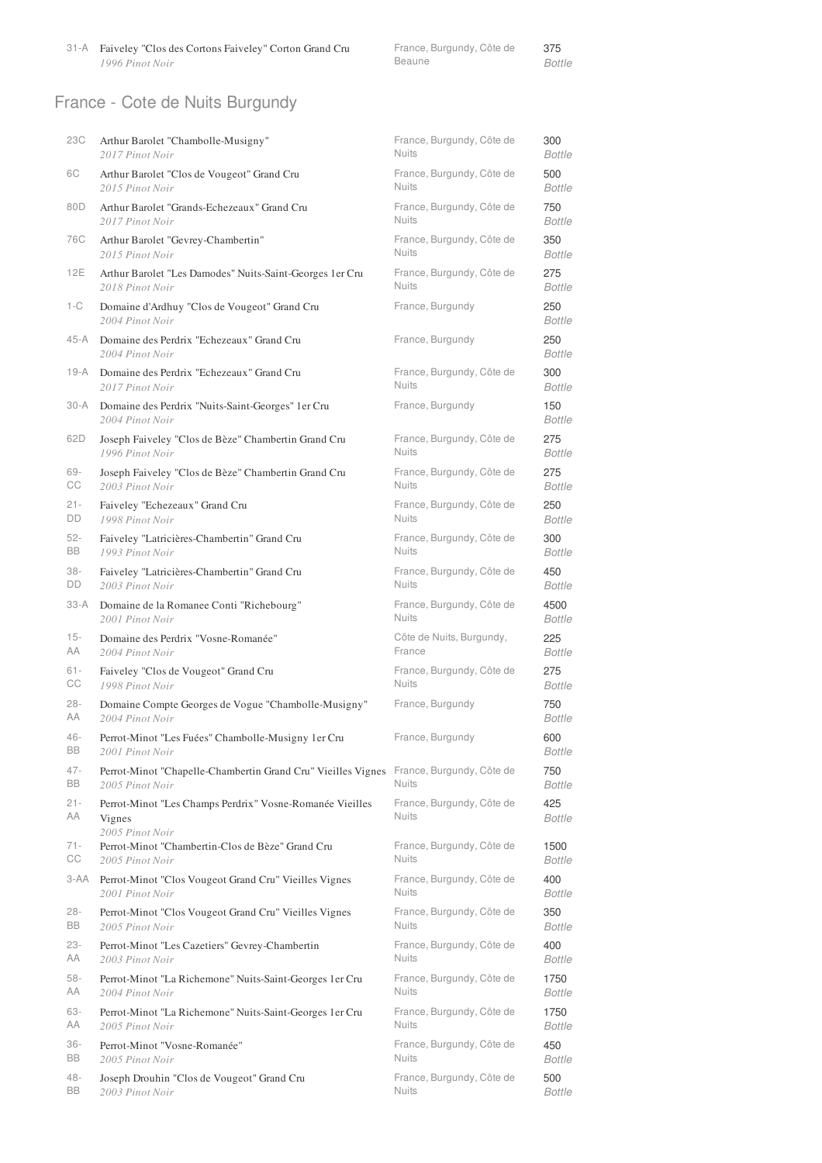31-A Faiveley "Clos des Cortons Faiveley" Corton Grand Cru *1996 Pinot Noir*

|        | France, Burgundy, Côte de | 375    |
|--------|---------------------------|--------|
| Beaune |                           | Bottle |

# France - Cote de Nuits Burgundy

| 23C          | Arthur Barolet "Chambolle-Musigny"                                                     | France, Burgundy, Côte de                 | 300                  |
|--------------|----------------------------------------------------------------------------------------|-------------------------------------------|----------------------|
|              | 2017 Pinot Noir                                                                        | <b>Nuits</b>                              | <b>Bottle</b>        |
| 6C           | Arthur Barolet "Clos de Vougeot" Grand Cru                                             | France, Burgundy, Côte de                 | 500                  |
|              | 2015 Pinot Noir                                                                        | <b>Nuits</b>                              | <b>Bottle</b>        |
| 80D          | Arthur Barolet "Grands-Echezeaux" Grand Cru                                            | France, Burgundy, Côte de                 | 750                  |
|              | 2017 Pinot Noir                                                                        | <b>Nuits</b>                              | <b>Bottle</b>        |
| 76C          | Arthur Barolet "Gevrey-Chambertin"                                                     | France, Burgundy, Côte de                 | 350                  |
|              | 2015 Pinot Noir                                                                        | <b>Nuits</b>                              | <b>Bottle</b>        |
| 12E          | Arthur Barolet "Les Damodes" Nuits-Saint-Georges 1er Cru                               | France, Burgundy, Côte de                 | 275                  |
|              | 2018 Pinot Noir                                                                        | <b>Nuits</b>                              | <b>Bottle</b>        |
| 1-C          | Domaine d'Ardhuy "Clos de Vougeot" Grand Cru<br>2004 Pinot Noir                        | France, Burgundy                          | 250<br><b>Bottle</b> |
| 45-A         | Domaine des Perdrix "Echezeaux" Grand Cru<br>2004 Pinot Noir                           | France, Burgundy                          | 250<br><b>Bottle</b> |
| 19-A         | Domaine des Perdrix "Echezeaux" Grand Cru                                              | France, Burgundy, Côte de                 | 300                  |
|              | 2017 Pinot Noir                                                                        | <b>Nuits</b>                              | Bottle               |
| $30-A$       | Domaine des Perdrix "Nuits-Saint-Georges" 1 er Cru<br>2004 Pinot Noir                  | France, Burgundy                          | 150<br><b>Bottle</b> |
| 62D          | Joseph Faiveley "Clos de Bèze" Chambertin Grand Cru                                    | France, Burgundy, Côte de                 | 275                  |
|              | 1996 Pinot Noir                                                                        | <b>Nuits</b>                              | Bottle               |
| 69-          | Joseph Faiveley "Clos de Bèze" Chambertin Grand Cru                                    | France, Burgundy, Côte de                 | 275                  |
| СC           | 2003 Pinot Noir                                                                        | <b>Nuits</b>                              | <b>Bottle</b>        |
| $21 -$       | Faiveley "Echezeaux" Grand Cru                                                         | France, Burgundy, Côte de                 | 250                  |
| DD           | 1998 Pinot Noir                                                                        | <b>Nuits</b>                              | Bottle               |
| $52 -$       | Faiveley "Latricières-Chambertin" Grand Cru                                            | France, Burgundy, Côte de                 | 300                  |
| <b>BB</b>    | 1993 Pinot Noir                                                                        | <b>Nuits</b>                              | Bottle               |
| $38 -$       | Faiveley "Latricières-Chambertin" Grand Cru                                            | France, Burgundy, Côte de                 | 450                  |
| DD           | 2003 Pinot Noir                                                                        | <b>Nuits</b>                              | <b>Bottle</b>        |
| $33-A$       | Domaine de la Romanee Conti "Richebourg"                                               | France, Burgundy, Côte de                 | 4500                 |
|              | 2001 Pinot Noir                                                                        | <b>Nuits</b>                              | <b>Bottle</b>        |
| $15 -$       | Domaine des Perdrix "Vosne-Romanée"                                                    | Côte de Nuits, Burgundy,                  | 225                  |
| AA           | 2004 Pinot Noir                                                                        | France                                    | Bottle               |
| $61 -$       | Faiveley "Clos de Vougeot" Grand Cru                                                   | France, Burgundy, Côte de                 | 275                  |
| СC           | 1998 Pinot Noir                                                                        | <b>Nuits</b>                              | Bottle               |
| $28 -$       | Domaine Compte Georges de Vogue "Chambolle-Musigny"                                    | France, Burgundy                          | 750                  |
| AA           | 2004 Pinot Noir                                                                        |                                           | Bottle               |
| 46-          | Perrot-Minot "Les Fuées" Chambolle-Musigny 1er Cru                                     | France, Burgundy                          | 600                  |
| BB           | 2001 Pinot Noir                                                                        |                                           | Bottle               |
| $47 -$       | Perrot-Minot "Chapelle-Chambertin Grand Cru" Vieilles Vignes France, Burgundy, Côte de | <b>Nuits</b>                              | 750                  |
| <b>BB</b>    | 2005 Pinot Noir                                                                        |                                           | Bottle               |
| $21 -$       | Perrot-Minot "Les Champs Perdrix" Vosne-Romanée Vieilles                               | France, Burgundy, Côte de                 | 425                  |
| AA           | Vignes                                                                                 | <b>Nuits</b>                              | <b>Bottle</b>        |
| $71 -$<br>СC | 2005 Pinot Noir<br>Perrot-Minot "Chambertin-Clos de Bèze" Grand Cru<br>2005 Pinot Noir | France, Burgundy, Côte de<br><b>Nuits</b> | 1500<br>Bottle       |
| 3-AA         | Perrot-Minot "Clos Vougeot Grand Cru" Vieilles Vignes                                  | France, Burgundy, Côte de                 | 400                  |
|              | 2001 Pinot Noir                                                                        | <b>Nuits</b>                              | Bottle               |
| $28 -$       | Perrot-Minot "Clos Vougeot Grand Cru" Vieilles Vignes                                  | France, Burgundy, Côte de                 | 350                  |
| BB           | 2005 Pinot Noir                                                                        | <b>Nuits</b>                              | Bottle               |
| $23 -$       | Perrot-Minot "Les Cazetiers" Gevrey-Chambertin                                         | France, Burgundy, Côte de                 | 400                  |
| AA           | 2003 Pinot Noir                                                                        | <b>Nuits</b>                              | Bottle               |
| 58-          | Perrot-Minot "La Richemone" Nuits-Saint-Georges 1 er Cru                               | France, Burgundy, Côte de                 | 1750                 |
| AA           | 2004 Pinot Noir                                                                        | <b>Nuits</b>                              | Bottle               |
| 63-          | Perrot-Minot "La Richemone" Nuits-Saint-Georges 1 er Cru                               | France, Burgundy, Côte de                 | 1750                 |
| AA           | 2005 Pinot Noir                                                                        | <b>Nuits</b>                              | Bottle               |
| $36 -$       | Perrot-Minot "Vosne-Romanée"                                                           | France, Burgundy, Côte de                 | 450                  |
| BB           | 2005 Pinot Noir                                                                        | <b>Nuits</b>                              | Bottle               |
| 48-          | Joseph Drouhin "Clos de Vougeot" Grand Cru                                             | France, Burgundy, Côte de                 | 500                  |
| BB           | 2003 Pinot Noir                                                                        | <b>Nuits</b>                              | Bottle               |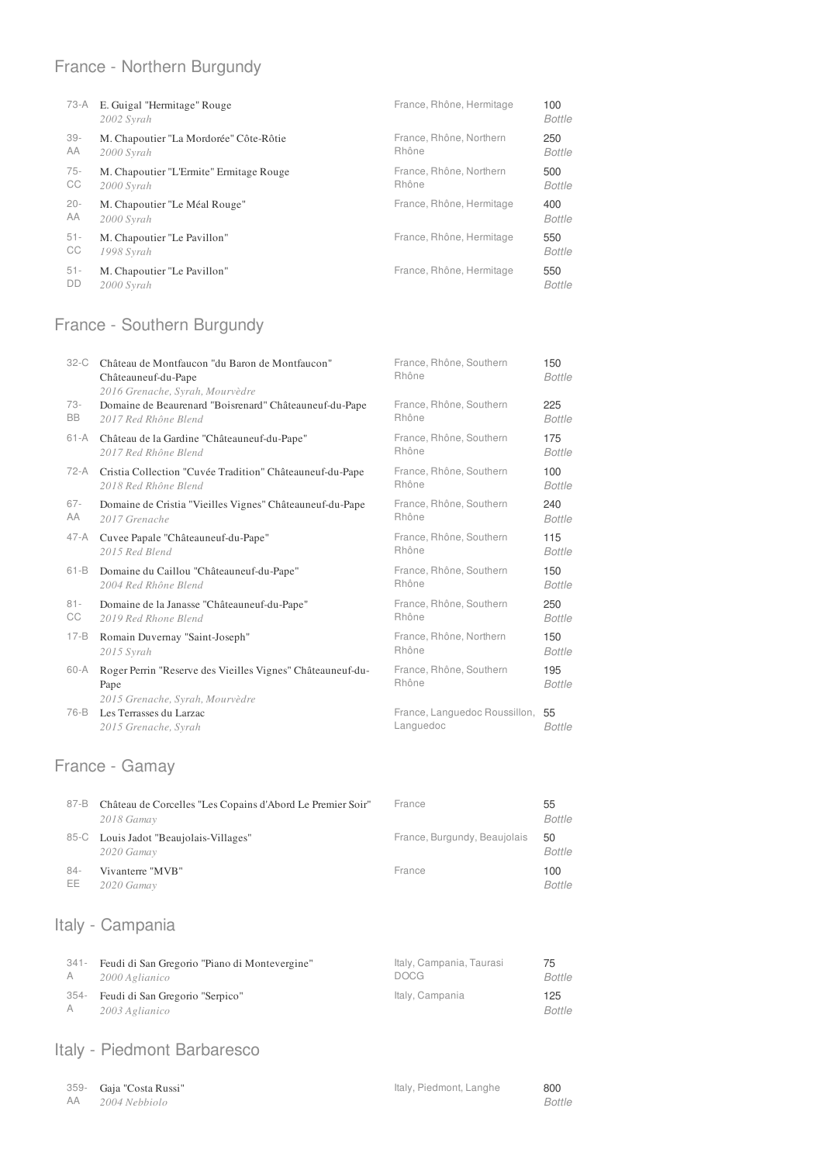### France - Northern Burgundy

| 73-A   | E. Guigal "Hermitage" Rouge<br>2002 Syrah | France, Rhône, Hermitage | 100<br><b>Bottle</b> |
|--------|-------------------------------------------|--------------------------|----------------------|
| $39 -$ | M. Chapoutier "La Mordorée" Côte-Rôtie    | France, Rhône, Northern  | 250                  |
| AA     | 2000 Syrah                                | Rhône                    | Bottle               |
| $75-$  | M. Chapoutier "L'Ermite" Ermitage Rouge   | France, Rhône, Northern  | 500                  |
| СC     | 2000 Syrah                                | Rhône                    | <b>Bottle</b>        |
| $20 -$ | M. Chapoutier "Le Méal Rouge"             | France, Rhône, Hermitage | 400                  |
| AA     | 2000 Syrah                                |                          | Bottle               |
| $51 -$ | M. Chapoutier "Le Pavillon"               | France, Rhône, Hermitage | 550                  |
| СC     | 1998 Syrah                                |                          | Bottle               |
| $51 -$ | M. Chapoutier "Le Pavillon"               | France, Rhône, Hermitage | 550                  |
| DD     | 2000 Syrah                                |                          | Bottle               |

### France - Southern Burgundy

| $32-C$   | Château de Montfaucon "du Baron de Montfaucon"<br>Châteauneuf-du-Pape<br>2016 Grenache, Syrah, Mourvèdre | France, Rhône, Southern<br>Rhône              | 150<br>Bottle        |
|----------|----------------------------------------------------------------------------------------------------------|-----------------------------------------------|----------------------|
| 73-      | Domaine de Beaurenard "Boisrenard" Châteauneuf-du-Pape                                                   | France, Rhône, Southern                       | 225                  |
| BB.      | 2017 Red Rhône Blend                                                                                     | Rhône                                         | <b>Bottle</b>        |
| 61-A     | Château de la Gardine "Châteauneuf-du-Pape"                                                              | France, Rhône, Southern                       | 175                  |
|          | 2017 Red Rhône Blend                                                                                     | Rhône                                         | Bottle               |
| 72-A     | Cristia Collection "Cuvée Tradition" Châteauneuf-du-Pape                                                 | France, Rhône, Southern                       | 100                  |
|          | 2018 Red Rhône Blend                                                                                     | Rhône                                         | Bottle               |
| $67 -$   | Domaine de Cristia "Vieilles Vignes" Châteauneuf-du-Pape                                                 | France, Rhône, Southern                       | 240                  |
| AA       | 2017 Grenache                                                                                            | Rhône                                         | Bottle               |
| 47-A     | Cuvee Papale "Châteauneuf-du-Pape"                                                                       | France, Rhône, Southern                       | 115                  |
|          | 2015 Red Blend                                                                                           | Rhône                                         | Bottle               |
| $61 - B$ | Domaine du Caillou "Châteauneuf-du-Pape"                                                                 | France, Rhône, Southern                       | 150                  |
|          | 2004 Red Rhône Blend                                                                                     | Rhône                                         | Bottle               |
| $81 -$   | Domaine de la Janasse "Châteauneuf-du-Pape"                                                              | France, Rhône, Southern                       | 250                  |
| СC       | 2019 Red Rhone Blend                                                                                     | Rhône                                         | Bottle               |
| $17 - B$ | Romain Duvernay "Saint-Joseph"                                                                           | France, Rhône, Northern                       | 150                  |
|          | 2015 Syrah                                                                                               | Rhône                                         | <b>Bottle</b>        |
| $60-A$   | Roger Perrin "Reserve des Vieilles Vignes" Châteauneuf-du-<br>Pape<br>2015 Grenache, Syrah, Mourvèdre    | France, Rhône, Southern<br>Rhône              | 195<br><b>Bottle</b> |
| 76-B     | Les Terrasses du Larzac<br>2015 Grenache, Syrah                                                          | France, Languedoc Roussillon, 55<br>Languedoc | Bottle               |

# France - Gamay

| 87-B         | Château de Corcelles "Les Copains d'Abord Le Premier Soir"<br>2018 Gamay | France                       | 55<br>Bottle        |
|--------------|--------------------------------------------------------------------------|------------------------------|---------------------|
|              | 85-C Louis Jadot "Beaujolais-Villages"<br>2020 Gamay                     | France, Burgundy, Beaujolais | 50<br><b>Bottle</b> |
| $84-$<br>EE. | Vivanterre "MVB"<br>2020 Gamay                                           | France                       | 100<br>Bottle       |

# Italy - Campania

| 341- | Feudi di San Gregorio "Piano di Montevergine"           | Italy, Campania, Taurasi | 75            |
|------|---------------------------------------------------------|--------------------------|---------------|
| A    | 2000 Aglianico                                          | <b>DOCG</b>              | Bottle        |
| A    | 354 - Feudi di San Gregorio "Serpico"<br>2003 Aglianico | Italy, Campania          | 125<br>Bottle |

#### Italy - Piedmont Barbaresco

|      | 359- Gaja "Costa Russi" | Italy, Piedmont, Langhe | 800           |
|------|-------------------------|-------------------------|---------------|
| - AA | 2004 Nebbiolo           |                         | <b>Bottle</b> |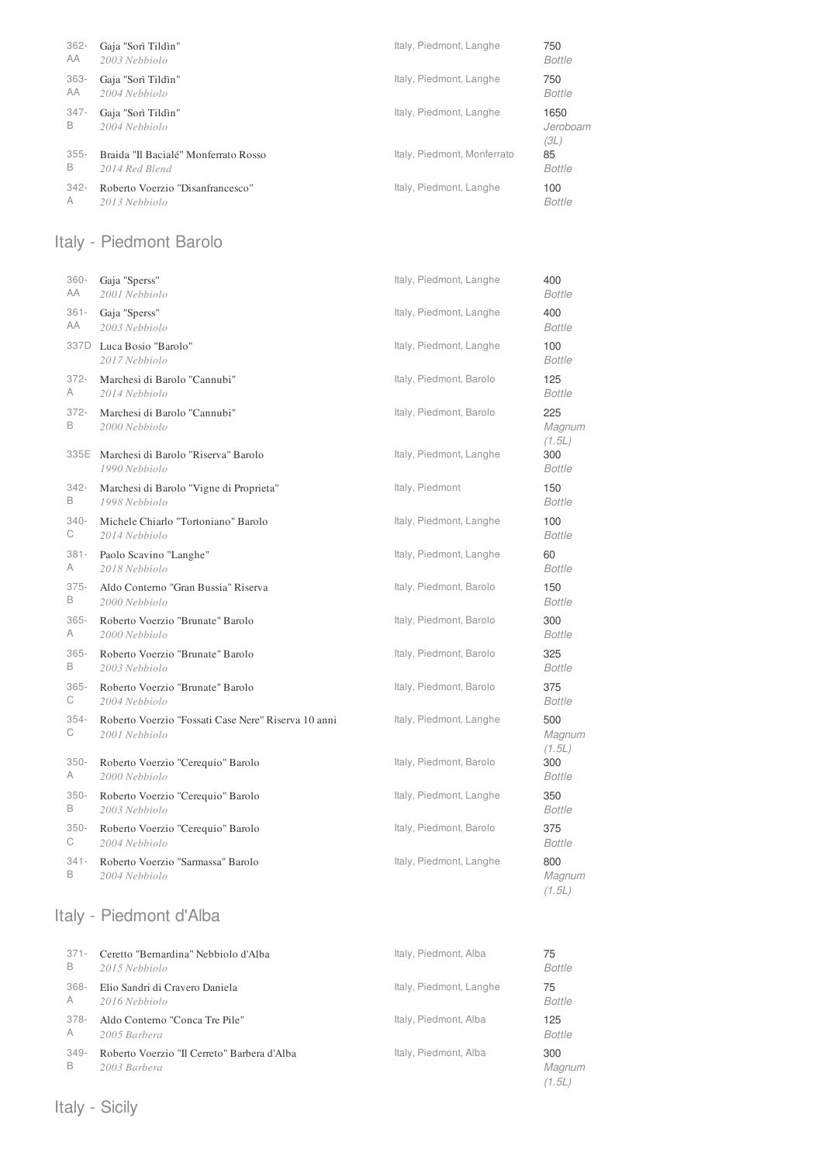| $362 -$      | Gaja "Sorì Tildìn"                   | Italy, Piedmont, Langhe     | 750                      |
|--------------|--------------------------------------|-----------------------------|--------------------------|
| AA           | 2003 Nebbiolo                        |                             | <b>Bottle</b>            |
| $363 -$      | Gaja "Sorì Tildìn"                   | Italy, Piedmont, Langhe     | 750                      |
| AA           | 2004 Nebbiolo                        |                             | Bottle                   |
| $347 -$<br>B | Gaja "Sorì Tildìn"<br>2004 Nebbiolo  | Italy, Piedmont, Langhe     | 1650<br>Jeroboam<br>(3L) |
| $355 -$      | Braida "Il Bacialé" Monferrato Rosso | Italy, Piedmont, Monferrato | 85                       |
| B            | 2014 Red Blend                       |                             | Bottle                   |
| $342 -$      | Roberto Voerzio "Disanfrancesco"     | Italy, Piedmont, Langhe     | 100                      |
| A            | 2013 Nebbiolo                        |                             | <b>Bottle</b>            |

### Italy - Piedmont Barolo

| $360 -$      | Gaja "Sperss"                                        | Italy, Piedmont, Langhe | 400                            |
|--------------|------------------------------------------------------|-------------------------|--------------------------------|
| AA           | 2001 Nebbiolo                                        |                         | <b>Bottle</b>                  |
| $361 -$      | Gaja "Sperss"                                        | Italy, Piedmont, Langhe | 400                            |
| АA           | 2003 Nebbiolo                                        |                         | <b>Bottle</b>                  |
|              | 337D Luca Bosio "Barolo"<br>2017 Nebbiolo            | Italy, Piedmont, Langhe | 100<br><b>Bottle</b>           |
| $372 -$      | Marchesi di Barolo "Cannubi"                         | Italy, Piedmont, Barolo | 125                            |
| A            | 2014 Nebbiolo                                        |                         | <b>Bottle</b>                  |
| 372-<br>B    | Marchesi di Barolo "Cannubi"<br>2000 Nebbiolo        | Italy, Piedmont, Barolo | 225<br>Magnum<br>(1.5L)        |
| 335E         | Marchesi di Barolo "Riserva" Barolo<br>1990 Nebbiolo | Italy, Piedmont, Langhe | 300<br><b>Bottle</b>           |
| 342-         | Marchesi di Barolo "Vigne di Proprieta"              | Italy, Piedmont         | 150                            |
| В            | 1998 Nebbiolo                                        |                         | <b>Bottle</b>                  |
| $340 -$      | Michele Chiarlo "Tortoniano" Barolo                  | Italy, Piedmont, Langhe | 100                            |
| С            | 2014 Nebbiolo                                        |                         | <b>Bottle</b>                  |
| $381 -$      | Paolo Scavino "Langhe"                               | Italy, Piedmont, Langhe | 60                             |
| Α            | 2018 Nebbiolo                                        |                         | <b>Bottle</b>                  |
| $375 -$      | Aldo Conterno "Gran Bussia" Riserva                  | Italy, Piedmont, Barolo | 150                            |
| B            | 2000 Nebbiolo                                        |                         | <b>Bottle</b>                  |
| $365 -$      | Roberto Voerzio "Brunate" Barolo                     | Italy, Piedmont, Barolo | 300                            |
| A            | 2000 Nebbiolo                                        |                         | <b>Bottle</b>                  |
| $365 -$      | Roberto Voerzio "Brunate" Barolo                     | Italy, Piedmont, Barolo | 325                            |
| B            | 2003 Nebbiolo                                        |                         | <b>Bottle</b>                  |
| $365 -$      | Roberto Voerzio "Brunate" Barolo                     | Italy, Piedmont, Barolo | 375                            |
| С            | 2004 Nebbiolo                                        |                         | <b>Bottle</b>                  |
| $354 -$      | Roberto Voerzio "Fossati Case Nere" Riserva 10 anni  | Italy, Piedmont, Langhe | 500                            |
| С            | 2001 Nebbiolo                                        |                         | Magnum                         |
| $350 -$<br>Α | Roberto Voerzio "Cerequio" Barolo<br>2000 Nebbiolo   | Italy, Piedmont, Barolo | (1.5L)<br>300<br><b>Bottle</b> |
| $350 -$      | Roberto Voerzio "Cerequio" Barolo                    | Italy, Piedmont, Langhe | 350                            |
| B            | 2003 Nebbiolo                                        |                         | <b>Bottle</b>                  |
| $350 -$      | Roberto Voerzio "Cerequio" Barolo                    | Italy, Piedmont, Barolo | 375                            |
| С            | 2004 Nebbiolo                                        |                         | <b>Bottle</b>                  |
| $341 -$<br>B | Roberto Voerzio "Sarmassa" Barolo<br>2004 Nebbiolo   | Italy, Piedmont, Langhe | 800<br>Magnum<br>(1.5L)        |

### Italy - Piedmont d'Alba

| $371 -$ | Ceretto "Bernardina" Nebbiolo d'Alba        | Italy, Piedmont, Alba   | 75            |
|---------|---------------------------------------------|-------------------------|---------------|
| B       | 2015 Nebbiolo                               |                         | <b>Bottle</b> |
| 368-    | Elio Sandri di Cravero Daniela              | Italy, Piedmont, Langhe | 75            |
| A       | 2016 Nebbiolo                               |                         | <b>Bottle</b> |
| 378-    | Aldo Conterno "Conca Tre Pile"              | Italy, Piedmont, Alba   | 125           |
| A       | 2005 Barbera                                |                         | <b>Bottle</b> |
| 349-    | Roberto Voerzio "Il Cerreto" Barbera d'Alba | Italy, Piedmont, Alba   | 300           |
| B       | 2003 Barbera                                |                         | Magnum        |

*(1.5L)*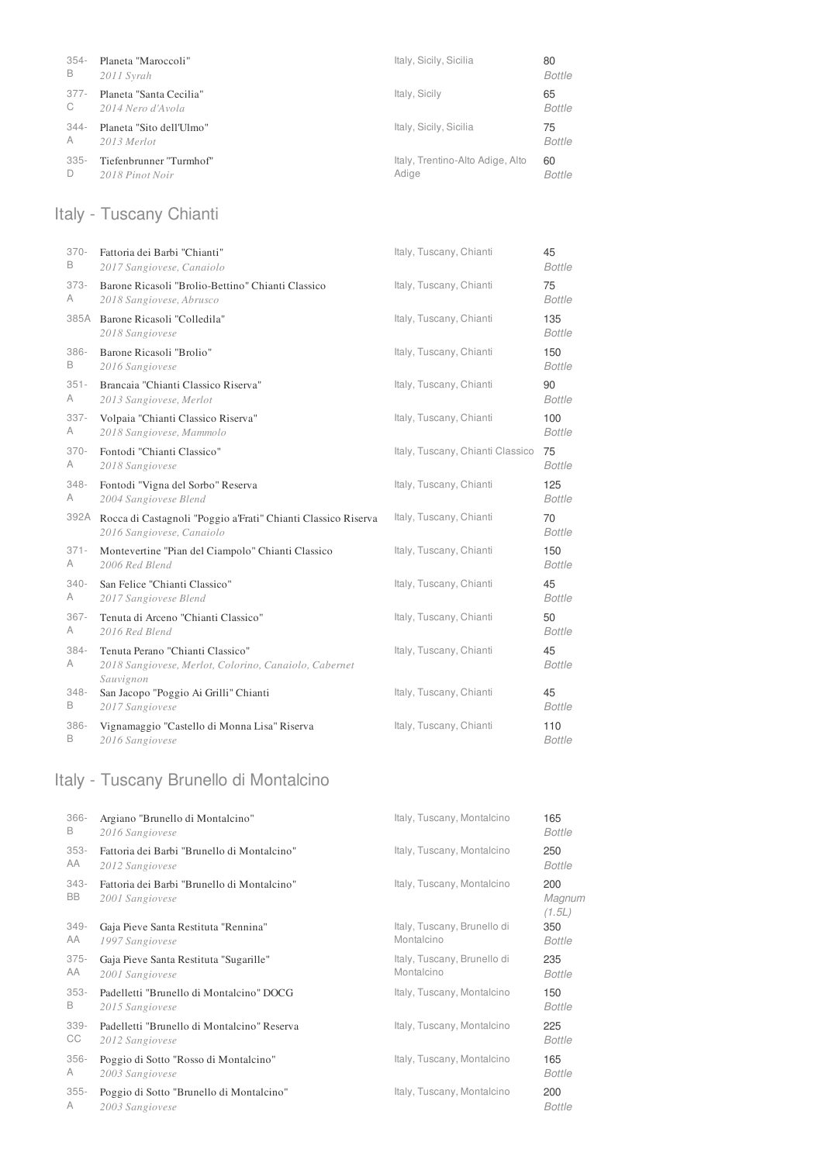| $354-$ | Planeta "Maroccoli"      | Italy, Sicily, Sicilia           | 80            |
|--------|--------------------------|----------------------------------|---------------|
| B      | 2011 Syrah               |                                  | <b>Bottle</b> |
| 377-   | Planeta "Santa Cecilia"  | Italy, Sicily                    | 65            |
| C      | 2014 Nero d'Avola        |                                  | <b>Bottle</b> |
| 344-   | Planeta "Sito dell'Ulmo" | Italy, Sicily, Sicilia           | 75            |
| A      | 2013 Merlot              |                                  | <b>Bottle</b> |
| 335-   | Tiefenbrunner "Turmhof"  | Italy, Trentino-Alto Adige, Alto | 60            |
| D      | 2018 Pinot Noir          | Adige                            | <b>Bottle</b> |

# Italy - Tuscany Chianti

| $370 -$   | Fattoria dei Barbi "Chianti"                                                                           | Italy, Tuscany, Chianti          | 45                   |
|-----------|--------------------------------------------------------------------------------------------------------|----------------------------------|----------------------|
| B         | 2017 Sangiovese, Canaiolo                                                                              |                                  | <b>Bottle</b>        |
| $373-$    | Barone Ricasoli "Brolio-Bettino" Chianti Classico                                                      | Italy, Tuscany, Chianti          | 75                   |
| A         | 2018 Sangiovese, Abrusco                                                                               |                                  | <b>Bottle</b>        |
|           | 385A Barone Ricasoli "Colledila"<br>2018 Sangiovese                                                    | Italy, Tuscany, Chianti          | 135<br><b>Bottle</b> |
| 386-      | Barone Ricasoli "Brolio"                                                                               | Italy, Tuscany, Chianti          | 150                  |
| B         | 2016 Sangiovese                                                                                        |                                  | <b>Bottle</b>        |
| $351 -$   | Brancaia "Chianti Classico Riserva"                                                                    | Italy, Tuscany, Chianti          | 90                   |
| A         | 2013 Sangiovese, Merlot                                                                                |                                  | <b>Bottle</b>        |
| $337 -$   | Volpaia "Chianti Classico Riserva"                                                                     | Italy, Tuscany, Chianti          | 100                  |
| A         | 2018 Sangiovese, Mammolo                                                                               |                                  | <b>Bottle</b>        |
| $370 -$   | Fontodi "Chianti Classico"                                                                             | Italy, Tuscany, Chianti Classico | 75                   |
| A         | 2018 Sangiovese                                                                                        |                                  | <b>Bottle</b>        |
| $348 -$   | Fontodi "Vigna del Sorbo" Reserva                                                                      | Italy, Tuscany, Chianti          | 125                  |
| A         | 2004 Sangiovese Blend                                                                                  |                                  | <b>Bottle</b>        |
| 392A      | Rocca di Castagnoli "Poggio a'Frati" Chianti Classico Riserva<br>2016 Sangiovese, Canaiolo             | Italy, Tuscany, Chianti          | 70<br><b>Bottle</b>  |
| $371 -$   | Montevertine "Pian del Ciampolo" Chianti Classico                                                      | Italy, Tuscany, Chianti          | 150                  |
| A         | 2006 Red Blend                                                                                         |                                  | <b>Bottle</b>        |
| $340 -$   | San Felice "Chianti Classico"                                                                          | Italy, Tuscany, Chianti          | 45                   |
| A         | 2017 Sangiovese Blend                                                                                  |                                  | <b>Bottle</b>        |
| $367 -$   | Tenuta di Arceno "Chianti Classico"                                                                    | Italy, Tuscany, Chianti          | 50                   |
| A         | 2016 Red Blend                                                                                         |                                  | <b>Bottle</b>        |
| 384-<br>A | Tenuta Perano "Chianti Classico"<br>2018 Sangiovese, Merlot, Colorino, Canaiolo, Cabernet<br>Sauvignon | Italy, Tuscany, Chianti          | 45<br><b>Bottle</b>  |
| $348 -$   | San Jacopo "Poggio Ai Grilli" Chianti                                                                  | Italy, Tuscany, Chianti          | 45                   |
| B         | 2017 Sangiovese                                                                                        |                                  | <b>Bottle</b>        |
| 386-      | Vignamaggio "Castello di Monna Lisa" Riserva                                                           | Italy, Tuscany, Chianti          | 110                  |
| B         | 2016 Sangiovese                                                                                        |                                  | <b>Bottle</b>        |

# Italy - Tuscany Brunello di Montalcino

| 366-         | Argiano "Brunello di Montalcino"                               | Italy, Tuscany, Montalcino  | 165                     |
|--------------|----------------------------------------------------------------|-----------------------------|-------------------------|
| В            | 2016 Sangiovese                                                |                             | Bottle                  |
| $353-$       | Fattoria dei Barbi "Brunello di Montalcino"                    | Italy, Tuscany, Montalcino  | 250                     |
| AA           | 2012 Sangiovese                                                |                             | Bottle                  |
| $343-$<br>BB | Fattoria dei Barbi "Brunello di Montalcino"<br>2001 Sangiovese | Italy, Tuscany, Montalcino  | 200<br>Magnum<br>(1.5L) |
| $349 -$      | Gaja Pieve Santa Restituta "Rennina"                           | Italy, Tuscany, Brunello di | 350                     |
| AA           | 1997 Sangiovese                                                | Montalcino                  | Bottle                  |
| $375 -$      | Gaja Pieve Santa Restituta "Sugarille"                         | Italy, Tuscany, Brunello di | 235                     |
| AA           | 2001 Sangiovese                                                | Montalcino                  | Bottle                  |
| $353-$       | Padelletti "Brunello di Montalcino" DOCG                       | Italy, Tuscany, Montalcino  | 150                     |
| B            | 2015 Sangiovese                                                |                             | Bottle                  |
| $339 -$      | Padelletti "Brunello di Montalcino" Reserva                    | Italy, Tuscany, Montalcino  | 225                     |
| СC           | 2012 Sangiovese                                                |                             | <b>Bottle</b>           |
| $356 -$      | Poggio di Sotto "Rosso di Montalcino"                          | Italy, Tuscany, Montalcino  | 165                     |
| A            | 2003 Sangiovese                                                |                             | <b>Bottle</b>           |
| $355 -$      | Poggio di Sotto "Brunello di Montalcino"                       | Italy, Tuscany, Montalcino  | 200                     |
| A            | 2003 Sangiovese                                                |                             | <b>Bottle</b>           |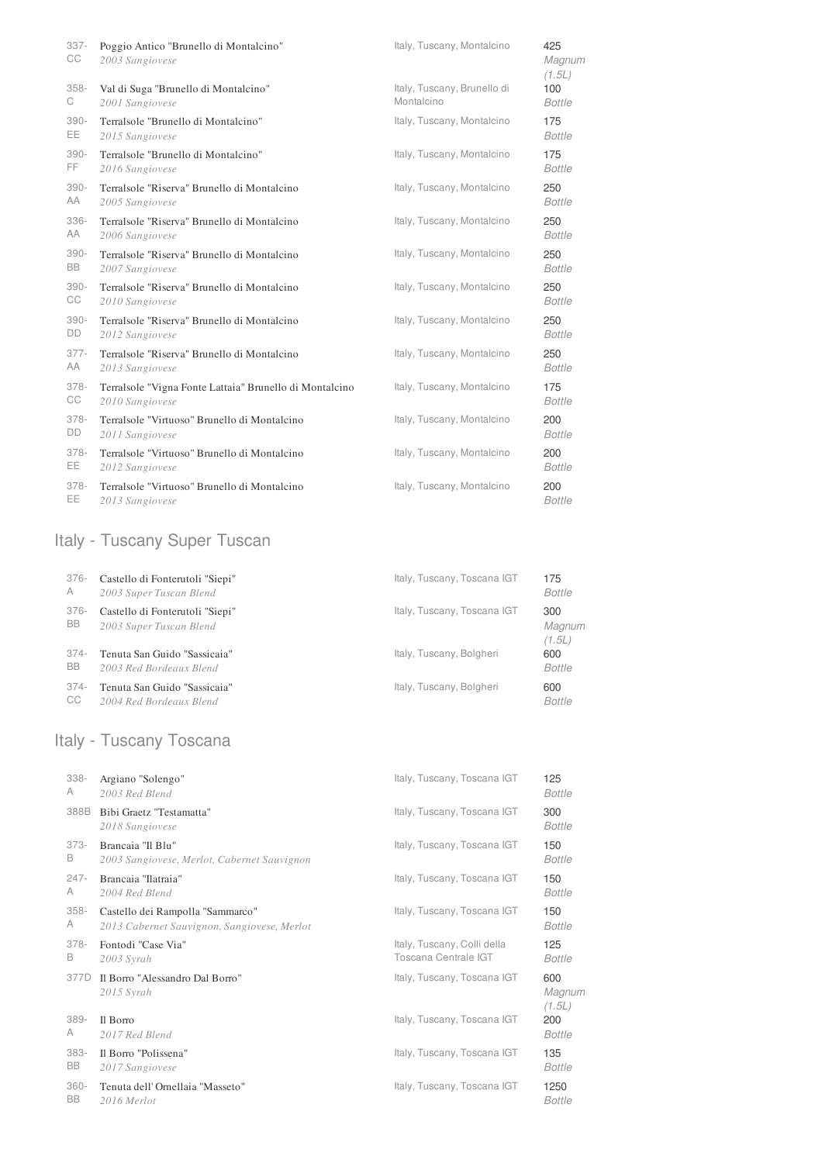| $337 -$<br>СC | Poggio Antico "Brunello di Montalcino"<br>2003 Sangiovese | Italy, Tuscany, Montalcino  | 425<br>Magnum<br>(1.5L) |
|---------------|-----------------------------------------------------------|-----------------------------|-------------------------|
| $358 -$       | Val di Suga "Brunello di Montalcino"                      | Italy, Tuscany, Brunello di | 100                     |
| С             | 2001 Sangiovese                                           | Montalcino                  | <b>Bottle</b>           |
| $390 -$       | Terralsole "Brunello di Montalcino"                       | Italy, Tuscany, Montalcino  | 175                     |
| EE.           | 2015 Sangiovese                                           |                             | <b>Bottle</b>           |
| $390 -$       | Terralsole "Brunello di Montalcino"                       | Italy, Tuscany, Montalcino  | 175                     |
| FF.           | 2016 Sangiovese                                           |                             | <b>Bottle</b>           |
| $390 -$       | Terralsole "Riserva" Brunello di Montalcino               | Italy, Tuscany, Montalcino  | 250                     |
| AA            | 2005 Sangiovese                                           |                             | <b>Bottle</b>           |
| 336-          | Terralsole "Riserva" Brunello di Montalcino               | Italy, Tuscany, Montalcino  | 250                     |
| AA            | 2006 Sangiovese                                           |                             | <b>Bottle</b>           |
| $390 -$       | Terralsole "Riserva" Brunello di Montalcino               | Italy, Tuscany, Montalcino  | 250                     |
| <b>BB</b>     | 2007 Sangiovese                                           |                             | <b>Bottle</b>           |
| $390 -$       | Terralsole "Riserva" Brunello di Montalcino               | Italy, Tuscany, Montalcino  | 250                     |
| СC            | 2010 Sangiovese                                           |                             | <b>Bottle</b>           |
| $390 -$       | Terralsole "Riserva" Brunello di Montalcino               | Italy, Tuscany, Montalcino  | 250                     |
| DD            | 2012 Sangiovese                                           |                             | <b>Bottle</b>           |
| $377 -$       | Terralsole "Riserva" Brunello di Montalcino               | Italy, Tuscany, Montalcino  | 250                     |
| AA            | 2013 Sangiovese                                           |                             | <b>Bottle</b>           |
| $378 -$       | Terralsole "Vigna Fonte Lattaia" Brunello di Montalcino   | Italy, Tuscany, Montalcino  | 175                     |
| СC            | 2010 Sangiovese                                           |                             | <b>Bottle</b>           |
| $378 -$       | Terralsole "Virtuoso" Brunello di Montalcino              | Italy, Tuscany, Montalcino  | 200                     |
| DD            | 2011 Sangiovese                                           |                             | <b>Bottle</b>           |
| $378 -$       | Terralsole "Virtuoso" Brunello di Montalcino              | Italy, Tuscany, Montalcino  | 200                     |
| EE.           | 2012 Sangiovese                                           |                             | <b>Bottle</b>           |
| $378 -$       | Terralsole "Virtuoso" Brunello di Montalcino              | Italy, Tuscany, Montalcino  | 200                     |
| EE.           | 2013 Sangiovese                                           |                             | <b>Bottle</b>           |

# Italy - Tuscany Super Tuscan

| 376-       | Castello di Fonterutoli "Siepi"                            | Italy, Tuscany, Toscana IGT | 175                     |
|------------|------------------------------------------------------------|-----------------------------|-------------------------|
| $\wedge$   | 2003 Super Tuscan Blend                                    |                             | <b>Bottle</b>           |
| 376-<br>BB | Castello di Fonterutoli "Siepi"<br>2003 Super Tuscan Blend | Italy, Tuscany, Toscana IGT | 300<br>Magnum<br>(1.5L) |
| 374-       | Tenuta San Guido "Sassicaia"                               | Italy, Tuscany, Bolgheri    | 600                     |
| <b>BB</b>  | 2003 Red Bordeaux Blend                                    |                             | <b>Bottle</b>           |
| 374-       | Tenuta San Guido "Sassicaia"                               | Italy, Tuscany, Bolgheri    | 600                     |
| CC         | 2004 Red Bordeaux Blend                                    |                             | <b>Bottle</b>           |

# Italy - Tuscany Toscana

| $338 -$              | Argiano "Solengo"                               | Italy, Tuscany, Toscana IGT | 125                     |
|----------------------|-------------------------------------------------|-----------------------------|-------------------------|
| A                    | 2003 Red Blend                                  |                             | <b>Bottle</b>           |
| 388B                 | Bibi Graetz "Testamatta"<br>2018 Sangiovese     | Italy, Tuscany, Toscana IGT | 300<br><b>Bottle</b>    |
| $373-$               | Brancaia "Il Blu"                               | Italy, Tuscany, Toscana IGT | 150                     |
| B                    | 2003 Sangiovese, Merlot, Cabernet Sauvignon     |                             | Bottle                  |
| $247 -$              | Brancaia "Ilatraia"                             | Italy, Tuscany, Toscana IGT | 150                     |
| A                    | 2004 Red Blend                                  |                             | <b>Bottle</b>           |
| $358 -$              | Castello dei Rampolla "Sammarco"                | Italy, Tuscany, Toscana IGT | 150                     |
| A                    | 2013 Cabernet Sauvignon, Sangiovese, Merlot     |                             | <b>Bottle</b>           |
| $378-$               | Fontodi "Case Via"                              | Italy, Tuscany, Colli della | 125                     |
| B                    | $2003$ Syrah                                    | Toscana Centrale IGT        | <b>Bottle</b>           |
| 377D                 | Il Borro "Alessandro Dal Borro"<br>$2015$ Syrah | Italy, Tuscany, Toscana IGT | 600<br>Magnum<br>(1.5L) |
| $389-$               | Il Borro                                        | Italy, Tuscany, Toscana IGT | 200                     |
| A                    | 2017 Red Blend                                  |                             | <b>Bottle</b>           |
| $383 -$              | Il Borro "Polissena"                            | Italy, Tuscany, Toscana IGT | 135                     |
| <b>BB</b>            | 2017 Sangiovese                                 |                             | <b>Bottle</b>           |
| $360 -$<br><b>BB</b> | Tenuta dell'Ornellaia "Masseto"                 | Italy, Tuscany, Toscana IGT | 1250                    |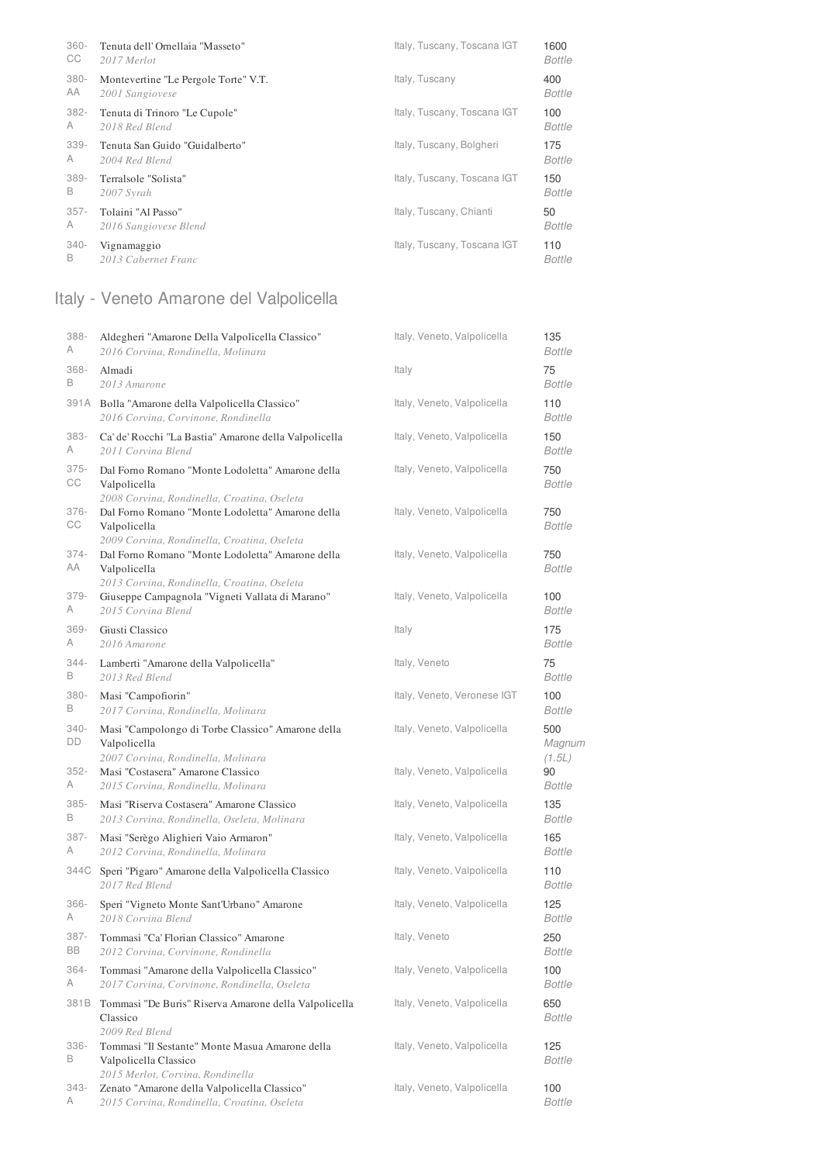| $360 -$ | Tenuta dell'Ornellaia "Masseto"      | Italy, Tuscany, Toscana IGT | 1600          |
|---------|--------------------------------------|-----------------------------|---------------|
| CC      | 2017 Merlot                          |                             | <b>Bottle</b> |
| $380 -$ | Montevertine "Le Pergole Torte" V.T. | Italy, Tuscany              | 400           |
| AA      | 2001 Sangiovese                      |                             | <b>Bottle</b> |
| 382-    | Tenuta di Trinoro "Le Cupole"        | Italy, Tuscany, Toscana IGT | 100           |
| A       | 2018 Red Blend                       |                             | <b>Bottle</b> |
| $339 -$ | Tenuta San Guido "Guidalberto"       | Italy, Tuscany, Bolgheri    | 175           |
| A       | 2004 Red Blend                       |                             | <b>Bottle</b> |
| $389 -$ | Terralsole "Solista"                 | Italy, Tuscany, Toscana IGT | 150           |
| B       | 2007 Syrah                           |                             | <b>Bottle</b> |
| $357 -$ | Tolaini "Al Passo"                   | Italy, Tuscany, Chianti     | 50            |
| A       | 2016 Sangiovese Blend                |                             | <b>Bottle</b> |
| $340 -$ | Vignamaggio                          | Italy, Tuscany, Toscana IGT | 110           |
| B       | 2013 Cabernet Franc                  |                             | <b>Bottle</b> |

# Italy - Veneto Amarone del Valpolicella

| 388-          | Aldegheri "Amarone Della Valpolicella Classico"                                                                 | Italy, Veneto, Valpolicella | 135                     |
|---------------|-----------------------------------------------------------------------------------------------------------------|-----------------------------|-------------------------|
| Α             | 2016 Corvina, Rondinella, Molinara                                                                              |                             | <b>Bottle</b>           |
| 368-          | Almadi                                                                                                          | Italy                       | 75                      |
| B             | 2013 Amarone                                                                                                    |                             | <b>Bottle</b>           |
|               | 391A Bolla "Amarone della Valpolicella Classico"<br>2016 Corvina, Corvinone, Rondinella                         | Italy, Veneto, Valpolicella | 110<br><b>Bottle</b>    |
| 383-          | Ca' de' Rocchi "La Bastia" Amarone della Valpolicella                                                           | Italy, Veneto, Valpolicella | 150                     |
| A             | 2011 Corvina Blend                                                                                              |                             | <b>Bottle</b>           |
| $375 -$<br>CС | Dal Forno Romano "Monte Lodoletta" Amarone della<br>Valpolicella<br>2008 Corvina, Rondinella, Croatina, Oseleta | Italy, Veneto, Valpolicella | 750<br><b>Bottle</b>    |
| $376 -$<br>СC | Dal Forno Romano "Monte Lodoletta" Amarone della<br>Valpolicella<br>2009 Corvina, Rondinella, Croatina, Oseleta | Italy, Veneto, Valpolicella | 750<br><b>Bottle</b>    |
| $374 -$<br>AA | Dal Forno Romano "Monte Lodoletta" Amarone della<br>Valpolicella<br>2013 Corvina, Rondinella, Croatina, Oseleta | Italy, Veneto, Valpolicella | 750<br><b>Bottle</b>    |
| 379-          | Giuseppe Campagnola "Vigneti Vallata di Marano"                                                                 | Italy, Veneto, Valpolicella | 100                     |
| A             | 2015 Corvina Blend                                                                                              |                             | <b>Bottle</b>           |
| $369 -$       | Giusti Classico                                                                                                 | Italy                       | 175                     |
| A             | 2016 Amarone                                                                                                    |                             | <b>Bottle</b>           |
| 344-          | Lamberti "Amarone della Valpolicella"                                                                           | Italy, Veneto               | 75                      |
| В             | 2013 Red Blend                                                                                                  |                             | <b>Bottle</b>           |
| $380 -$       | Masi "Campofiorin"                                                                                              | Italy, Veneto, Veronese IGT | 100                     |
| B             | 2017 Corvina, Rondinella, Molinara                                                                              |                             | <b>Bottle</b>           |
| 340-<br>DD    | Masi "Campolongo di Torbe Classico" Amarone della<br>Valpolicella<br>2007 Corvina, Rondinella, Molinara         | Italy, Veneto, Valpolicella | 500<br>Magnum<br>(1.5L) |
| $352 -$       | Masi "Costasera" Amarone Classico                                                                               | Italy, Veneto, Valpolicella | 90                      |
| А             | 2015 Corvina, Rondinella, Molinara                                                                              |                             | <b>Bottle</b>           |
| $385 -$       | Masi "Riserva Costasera" Amarone Classico                                                                       | Italy, Veneto, Valpolicella | 135                     |
| B             | 2013 Corvina, Rondinella, Oseleta, Molinara                                                                     |                             | <b>Bottle</b>           |
| 387-          | Masi "Serègo Alighieri Vaio Armaron"                                                                            | Italy, Veneto, Valpolicella | 165                     |
| A             | 2012 Corvina, Rondinella, Molinara                                                                              |                             | <b>Bottle</b>           |
| 344C          | Speri "Pigaro" Amarone della Valpolicella Classico<br>2017 Red Blend                                            | Italy, Veneto, Valpolicella | 110<br>Bottle           |
| $366 -$       | Speri "Vigneto Monte Sant'Urbano" Amarone                                                                       | Italy, Veneto, Valpolicella | 125                     |
| A             | 2018 Corvina Blend                                                                                              |                             | <b>Bottle</b>           |
| 387-          | Tommasi "Ca' Florian Classico" Amarone                                                                          | Italy, Veneto               | 250                     |
| BB            | 2012 Corvina, Corvinone, Rondinella                                                                             |                             | <b>Bottle</b>           |
| 364-          | Tommasi "Amarone della Valpolicella Classico"                                                                   | Italy, Veneto, Valpolicella | 100                     |
| А             | 2017 Corvina, Corvinone, Rondinella, Oseleta                                                                    |                             | Bottle                  |
| 381B          | Tommasi "De Buris" Riserva Amarone della Valpolicella<br>Classico<br>2009 Red Blend                             | Italy, Veneto, Valpolicella | 650<br>Bottle           |
| $336 -$<br>В  | Tommasi "Il Sestante" Monte Masua Amarone della<br>Valpolicella Classico<br>2015 Merlot, Corvina, Rondinella    | Italy, Veneto, Valpolicella | 125<br>Bottle           |
| 343-          | Zenato "Amarone della Valpolicella Classico"                                                                    | Italy, Veneto, Valpolicella | 100                     |
| A             | 2015 Corvina, Rondinella, Croatina, Oseleta                                                                     |                             | Bottle                  |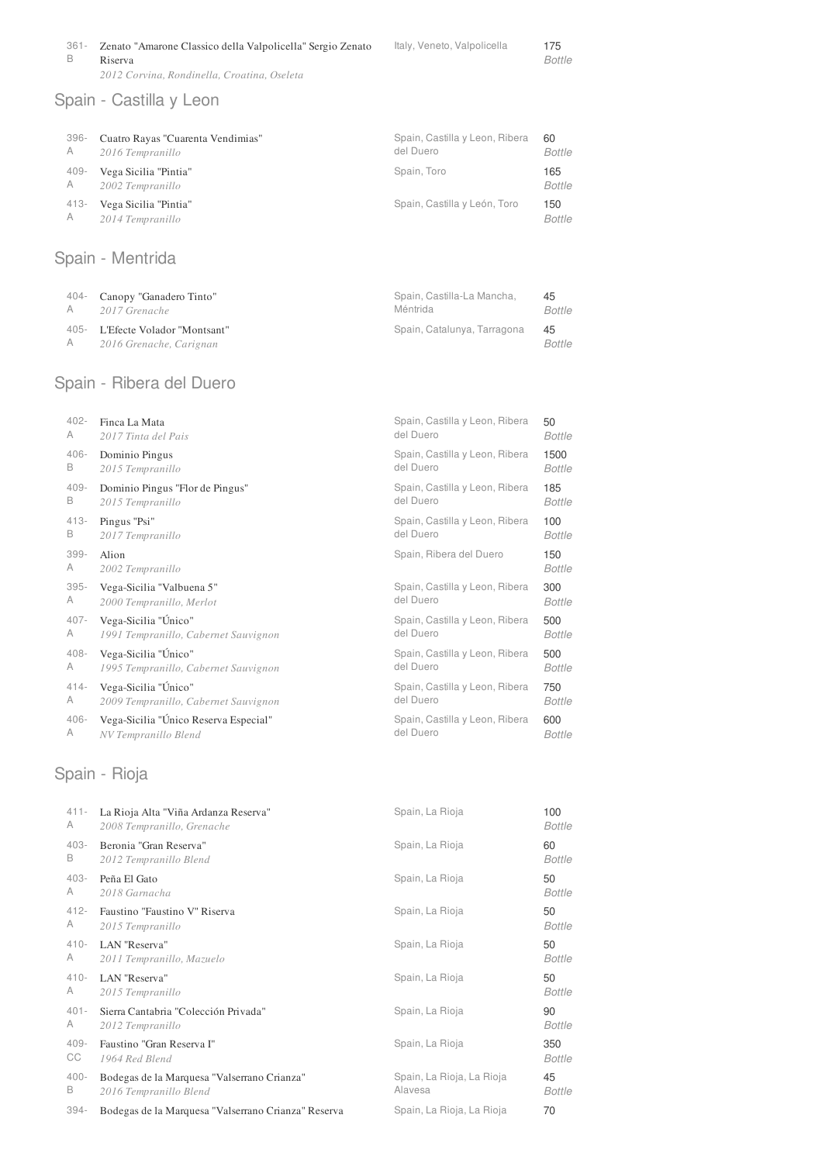| 361- | Zenato "Amarone Classico della Valpolicella" Sergio Zenato | Italy, Veneto, Valpolicella | 175    |
|------|------------------------------------------------------------|-----------------------------|--------|
| B    | Riserva                                                    |                             | Bottle |
|      | 2012 Corvina, Rondinella, Croatina, Oseleta                |                             |        |

# Spain - Castilla y Leon

| 396- | Cuatro Rayas "Cuarenta Vendimias" | Spain, Castilla y Leon, Ribera | 60            |
|------|-----------------------------------|--------------------------------|---------------|
| A    | 2016 Tempranillo                  | del Duero                      | <b>Bottle</b> |
| 409- | Vega Sicilia "Pintia"             | Spain, Toro                    | 165           |
| A    | 2002 Tempranillo                  |                                | Bottle        |
| 413- | Vega Sicilia "Pintia"             | Spain, Castilla y León, Toro   | 150           |
| A    | 2014 Tempranillo                  |                                | <b>Bottle</b> |

# Spain - Mentrida

|   | 404- Canopy "Ganadero Tinto"                                | Spain, Castilla-La Mancha,  | 45            |
|---|-------------------------------------------------------------|-----------------------------|---------------|
|   | A 2017 Grenache                                             | Méntrida                    | Bottle        |
| A | 405- L'Efecte Volador "Montsant"<br>2016 Grenache, Carignan | Spain, Catalunya, Tarragona | -45<br>Bottle |

# Spain - Ribera del Duero

| $402 -$ | Finca La Mata                         | Spain, Castilla y Leon, Ribera | 50            |
|---------|---------------------------------------|--------------------------------|---------------|
| A       | 2017 Tinta del Pais                   | del Duero                      | <b>Bottle</b> |
| $406 -$ | Dominio Pingus                        | Spain, Castilla y Leon, Ribera | 1500          |
| B       | 2015 Tempranillo                      | del Duero                      | <b>Bottle</b> |
| $409 -$ | Dominio Pingus "Flor de Pingus"       | Spain, Castilla y Leon, Ribera | 185           |
| B       | 2015 Tempranillo                      | del Duero                      | Bottle        |
| $413 -$ | Pingus "Psi"                          | Spain, Castilla y Leon, Ribera | 100           |
| В       | 2017 Tempranillo                      | del Duero                      | Bottle        |
| 399-    | Alion                                 | Spain, Ribera del Duero        | 150           |
| A       | 2002 Tempranillo                      |                                | <b>Bottle</b> |
| $395 -$ | Vega-Sicilia "Valbuena 5"             | Spain, Castilla y Leon, Ribera | 300           |
| A       | 2000 Tempranillo, Merlot              | del Duero                      | <b>Bottle</b> |
| $407 -$ | Vega-Sicilia "Único"                  | Spain, Castilla y Leon, Ribera | 500           |
| A       | 1991 Tempranillo, Cabernet Sauvignon  | del Duero                      | <b>Bottle</b> |
| $408 -$ | Vega-Sicilia "Único"                  | Spain, Castilla y Leon, Ribera | 500           |
| A       | 1995 Tempranillo, Cabernet Sauvignon  | del Duero                      | Bottle        |
| $414 -$ | Vega-Sicilia "Único"                  | Spain, Castilla y Leon, Ribera | 750           |
| A       | 2009 Tempranillo, Cabernet Sauvignon  | del Duero                      | Bottle        |
| $406 -$ | Vega-Sicilia "Único Reserva Especial" | Spain, Castilla y Leon, Ribera | 600           |
| A       | NV Tempranillo Blend                  | del Duero                      | <b>Bottle</b> |

# Spain - Rioja

| La Rioja Alta "Viña Ardanza Reserva"<br>2008 Tempranillo, Grenache    | Spain, La Rioja                      | 100<br><b>Bottle</b> |
|-----------------------------------------------------------------------|--------------------------------------|----------------------|
| Beronia "Gran Reserva"<br>2012 Tempranillo Blend                      | Spain, La Rioja                      | 60<br><b>Bottle</b>  |
| Peña El Gato<br>2018 Garnacha                                         | Spain, La Rioja                      | 50<br><b>Bottle</b>  |
| Faustino "Faustino V" Riserva<br>2015 Tempranillo                     | Spain, La Rioja                      | 50<br><b>Bottle</b>  |
| LAN "Reserva"<br>2011 Tempranillo, Mazuelo                            | Spain, La Rioja                      | 50<br><b>Bottle</b>  |
| LAN "Reserva"<br>2015 Tempranillo                                     | Spain, La Rioja                      | 50<br><b>Bottle</b>  |
| Sierra Cantabria "Colección Privada"<br>2012 Tempranillo              | Spain, La Rioja                      | 90<br><b>Bottle</b>  |
| Faustino "Gran Reserva I"<br>1964 Red Blend                           | Spain, La Rioja                      | 350<br><b>Bottle</b> |
| Bodegas de la Marquesa "Valserrano Crianza"<br>2016 Tempranillo Blend | Spain, La Rioja, La Rioja<br>Alavesa | 45<br><b>Bottle</b>  |
| Bodegas de la Marquesa "Valserrano Crianza" Reserva                   | Spain, La Rioja, La Rioja            | 70                   |
|                                                                       |                                      |                      |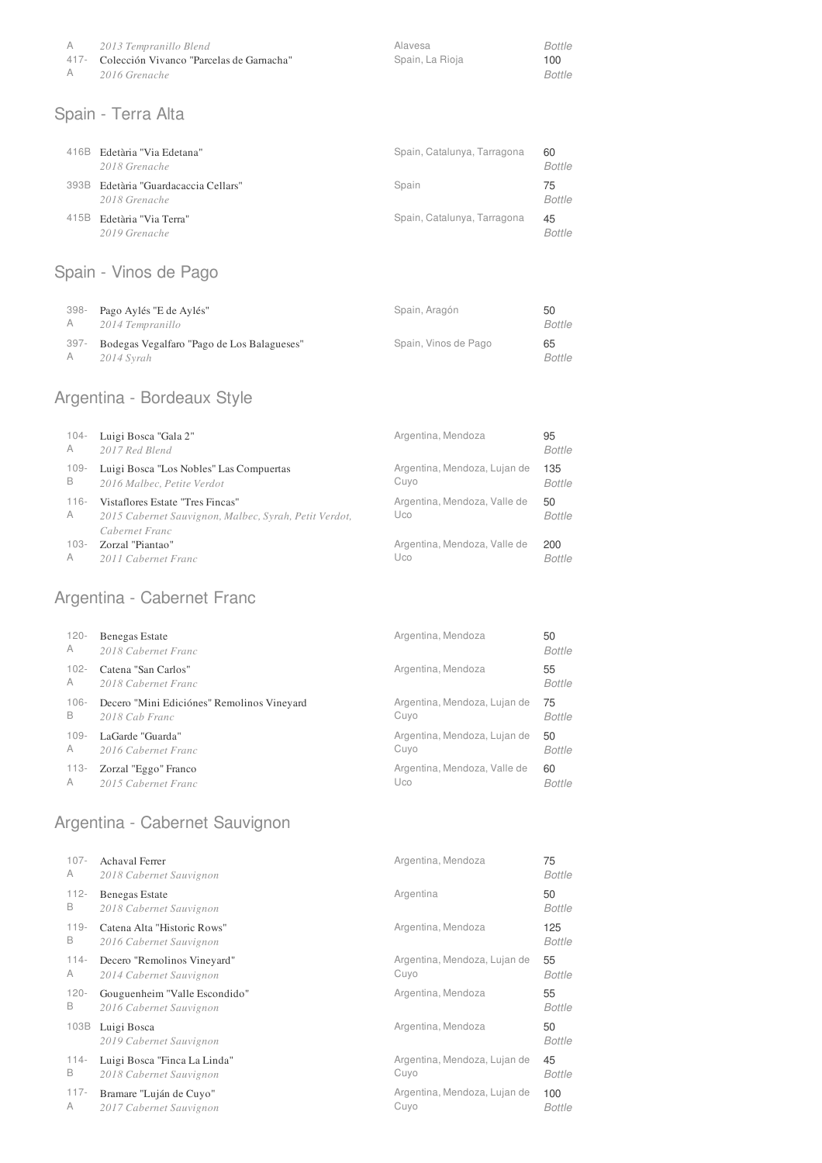| A              | 2013 Tempranillo Blend                         | Alavesa         | Bottle |
|----------------|------------------------------------------------|-----------------|--------|
|                | 417 - Colección Vivanco "Parcelas de Garnacha" | Spain. La Rioja | 100    |
| $\overline{A}$ | 2016 Grenache                                  |                 | Bottle |

#### Spain - Terra Alta

| 416B | Edetària "Via Edetana"<br>2018 Grenache          | Spain, Catalunya, Tarragona | 60<br><b>Bottle</b> |
|------|--------------------------------------------------|-----------------------------|---------------------|
| 393B | Edetària "Guardacaccia Cellars"<br>2018 Grenache | Spain                       | 75<br><b>Bottle</b> |
| 415B | Edetària "Via Terra"<br>2019 Grenache            | Spain, Catalunya, Tarragona | 45<br><b>Bottle</b> |

# Spain - Vinos de Pago

| 398- | Pago Aylés "E de Aylés"                    | Spain, Aragón        | 50     |
|------|--------------------------------------------|----------------------|--------|
| A    | 2014 Tempranillo                           |                      | Bottle |
| 397- | Bodegas Vegalfaro "Pago de Los Balagueses" | Spain, Vinos de Pago | 65     |
| A    | 2014 Syrah                                 |                      | Bottle |

# Argentina - Bordeaux Style

| $104 -$      | Luigi Bosca "Gala 2"                                                                                        | Argentina, Mendoza                  | 95            |
|--------------|-------------------------------------------------------------------------------------------------------------|-------------------------------------|---------------|
| A            | 2017 Red Blend                                                                                              |                                     | Bottle        |
| $109 -$      | Luigi Bosca "Los Nobles" Las Compuertas                                                                     | Argentina, Mendoza, Lujan de        | 135           |
| B            | 2016 Malbec, Petite Verdot                                                                                  | Cuyo                                | <b>Bottle</b> |
| $116 -$<br>A | Vistaflores Estate "Tres Fincas"<br>2015 Cabernet Sauvignon, Malbec, Syrah, Petit Verdot,<br>Cabernet Franc | Argentina, Mendoza, Valle de<br>Uco | 50<br>Bottle  |
| 103-         | Zorzal "Piantao"                                                                                            | Argentina, Mendoza, Valle de        | 200           |
| A            | 2011 Cabernet Franc                                                                                         | Uco                                 | Bottle        |

# Argentina - Cabernet Franc

| $120 -$ | Benegas Estate                             | Argentina, Mendoza           | 50     |
|---------|--------------------------------------------|------------------------------|--------|
| A       | 2018 Cabernet Franc                        |                              | Bottle |
| $102 -$ | Catena "San Carlos"                        | Argentina, Mendoza           | 55     |
| A       | 2018 Cabernet Franc                        |                              | Bottle |
| $106 -$ | Decero "Mini Ediciónes" Remolinos Vineyard | Argentina, Mendoza, Lujan de | 75     |
| B       | 2018 Cab Franc                             | Cuyo                         | Bottle |
| $109 -$ | LaGarde "Guarda"                           | Argentina, Mendoza, Lujan de | 50     |
| A       | 2016 Cabernet Franc                        | Cuyo                         | Bottle |
| 113-    | Zorzal "Eggo" Franco                       | Argentina, Mendoza, Valle de | 60     |
| A       | 2015 Cabernet Franc                        | Uco                          | Bottle |

### Argentina - Cabernet Sauvignon

| $107 -$ | <b>Achaval Ferrer</b>                  | Argentina, Mendoza           | 75            |
|---------|----------------------------------------|------------------------------|---------------|
| A       | 2018 Cabernet Sauvignon                |                              | Bottle        |
| $112 -$ | Benegas Estate                         | Argentina                    | 50            |
| B       | 2018 Cabernet Sauvignon                |                              | Bottle        |
| $119 -$ | Catena Alta "Historic Rows"            | Argentina, Mendoza           | 125           |
| B       | 2016 Cabernet Sauvignon                |                              | <b>Bottle</b> |
| $114 -$ | Decero "Remolinos Vineyard"            | Argentina, Mendoza, Lujan de | 55            |
| A       | 2014 Cabernet Sauvignon                | Cuyo                         | <b>Bottle</b> |
| $120 -$ | Gouguenheim "Valle Escondido"          | Argentina, Mendoza           | 55            |
| B       | 2016 Cabernet Sauvignon                |                              | Bottle        |
| 103B    | Luigi Bosca<br>2019 Cabernet Sauvignon | Argentina, Mendoza           | 50<br>Bottle  |
| $114 -$ | Luigi Bosca "Finca La Linda"           | Argentina, Mendoza, Lujan de | 45            |
| B       | 2018 Cabernet Sauvignon                | Cuyo                         | Bottle        |
| $117 -$ | Bramare "Luján de Cuyo"                | Argentina, Mendoza, Lujan de | 100           |
| A       | 2017 Cabernet Sauvignon                | Cuyo                         | <b>Bottle</b> |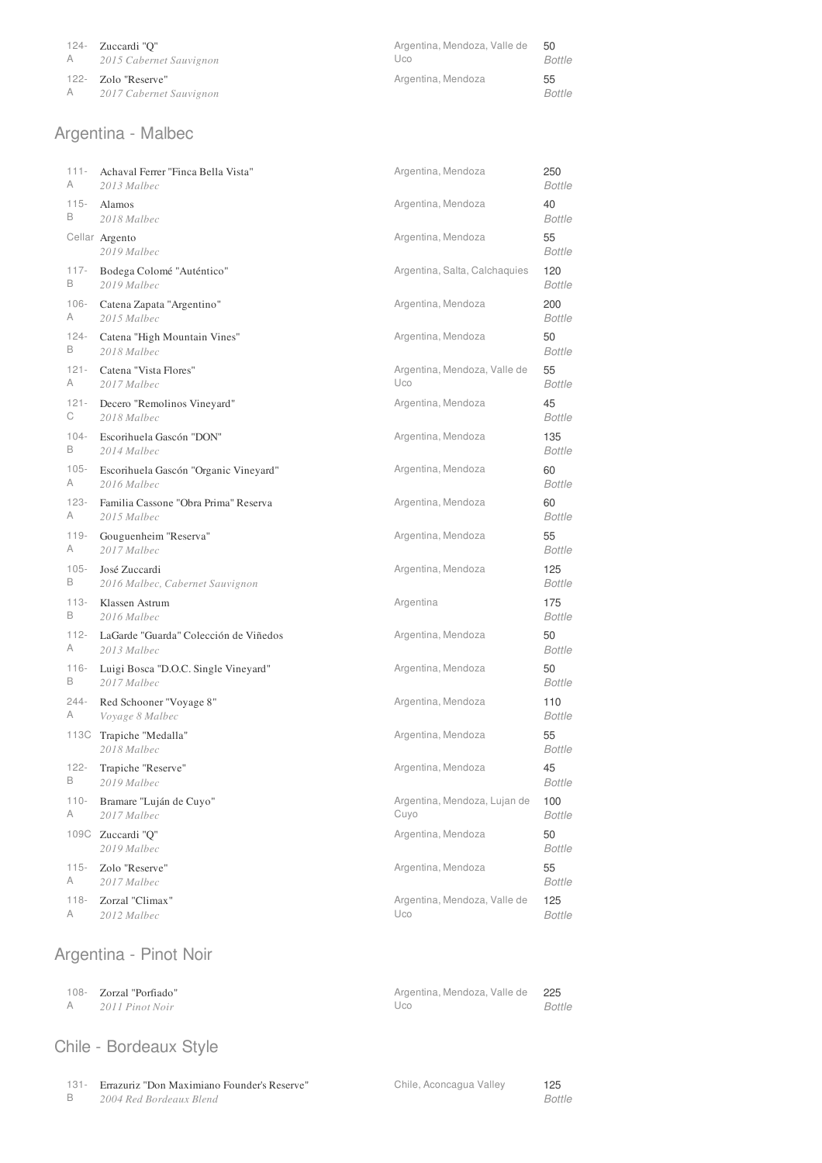| 124- Zuccardi "O"                                | Argentina, Mendoza, Valle de | 50            |
|--------------------------------------------------|------------------------------|---------------|
| A 2015 Cabernet Sauvignon                        | Uco                          | <b>Bottle</b> |
| 122- Zolo "Reserve"<br>A 2017 Cabernet Sauvignon | Argentina, Mendoza           |               |

# Argentina - Malbec

| $111 -$ | Achaval Ferrer "Finca Bella Vista"     | Argentina, Mendoza            | 250                 |
|---------|----------------------------------------|-------------------------------|---------------------|
| Α       | 2013 Malbec                            |                               | <b>Bottle</b>       |
| $115 -$ | Alamos                                 | Argentina, Mendoza            | 40                  |
| B       | 2018 Malbec                            |                               | <b>Bottle</b>       |
|         | Cellar Argento<br>2019 Malbec          | Argentina, Mendoza            | 55<br><b>Bottle</b> |
| $117 -$ | Bodega Colomé "Auténtico"              | Argentina, Salta, Calchaquies | 120                 |
| В       | 2019 Malbec                            |                               | Bottle              |
| $106 -$ | Catena Zapata "Argentino"              | Argentina, Mendoza            | 200                 |
| A       | 2015 Malbec                            |                               | <b>Bottle</b>       |
| $124 -$ | Catena "High Mountain Vines"           | Argentina, Mendoza            | 50                  |
| B       | 2018 Malbec                            |                               | <b>Bottle</b>       |
| $121 -$ | Catena "Vista Flores"                  | Argentina, Mendoza, Valle de  | 55                  |
| A       | 2017 Malbec                            | Uco                           | <b>Bottle</b>       |
| $121 -$ | Decero "Remolinos Vineyard"            | Argentina, Mendoza            | 45                  |
| С       | 2018 Malbec                            |                               | <b>Bottle</b>       |
| $104 -$ | Escorihuela Gascón "DON"               | Argentina, Mendoza            | 135                 |
| B       | 2014 Malbec                            |                               | <b>Bottle</b>       |
| $105 -$ | Escorihuela Gascón "Organic Vineyard"  | Argentina, Mendoza            | 60                  |
| A       | 2016 Malbec                            |                               | <b>Bottle</b>       |
| $123 -$ | Familia Cassone "Obra Prima" Reserva   | Argentina, Mendoza            | 60                  |
| A       | 2015 Malbec                            |                               | <b>Bottle</b>       |
| $119 -$ | Gouguenheim "Reserva"                  | Argentina, Mendoza            | 55                  |
| A       | 2017 Malbec                            |                               | <b>Bottle</b>       |
| $105 -$ | José Zuccardi                          | Argentina, Mendoza            | 125                 |
| B       | 2016 Malbec, Cabernet Sauvignon        |                               | <b>Bottle</b>       |
| $113 -$ | Klassen Astrum                         | Argentina                     | 175                 |
| B       | 2016 Malbec                            |                               | <b>Bottle</b>       |
| $112 -$ | LaGarde "Guarda" Colección de Viñedos  | Argentina, Mendoza            | 50                  |
| A       | 2013 Malbec                            |                               | <b>Bottle</b>       |
| $116 -$ | Luigi Bosca "D.O.C. Single Vineyard"   | Argentina, Mendoza            | 50                  |
| B       | 2017 Malbec                            |                               | <b>Bottle</b>       |
| $244 -$ | Red Schooner "Voyage 8"                | Argentina, Mendoza            | 110                 |
| A       | Voyage 8 Malbec                        |                               | <b>Bottle</b>       |
|         | 113C Trapiche "Medalla"<br>2018 Malbec | Argentina, Mendoza            | 55<br><b>Bottle</b> |
| $122 -$ | Trapiche "Reserve"                     | Argentina, Mendoza            | 45                  |
| В       | 2019 Malbec                            |                               | Bottle              |
| $110 -$ | Bramare "Luján de Cuyo"                | Argentina, Mendoza, Lujan de  | 100                 |
| A       | 2017 Malbec                            | Cuyo                          | <b>Bottle</b>       |
|         | 109C Zuccardi "Q"<br>2019 Malbec       | Argentina, Mendoza            | 50<br><b>Bottle</b> |
| $115 -$ | Zolo "Reserve"                         | Argentina, Mendoza            | 55                  |
| A       | 2017 Malbec                            |                               | <b>Bottle</b>       |
| $118 -$ | Zorzal "Climax"                        | Argentina, Mendoza, Valle de  | 125                 |
| A       | 2012 Malbec                            | Uco                           | <b>Bottle</b>       |

# Argentina - Pinot Noir

| 108- Zorzal "Porfiado" | Argentina, Mendoza, Valle de 225 |        |
|------------------------|----------------------------------|--------|
| 2011 Pinot Noir        | Uco                              | Bottle |

# Chile - Bordeaux Style

131- Errazuriz "Don Maximiano Founder's Reserve"

B *2004 Red Bordeaux Blend* *Bottle* 125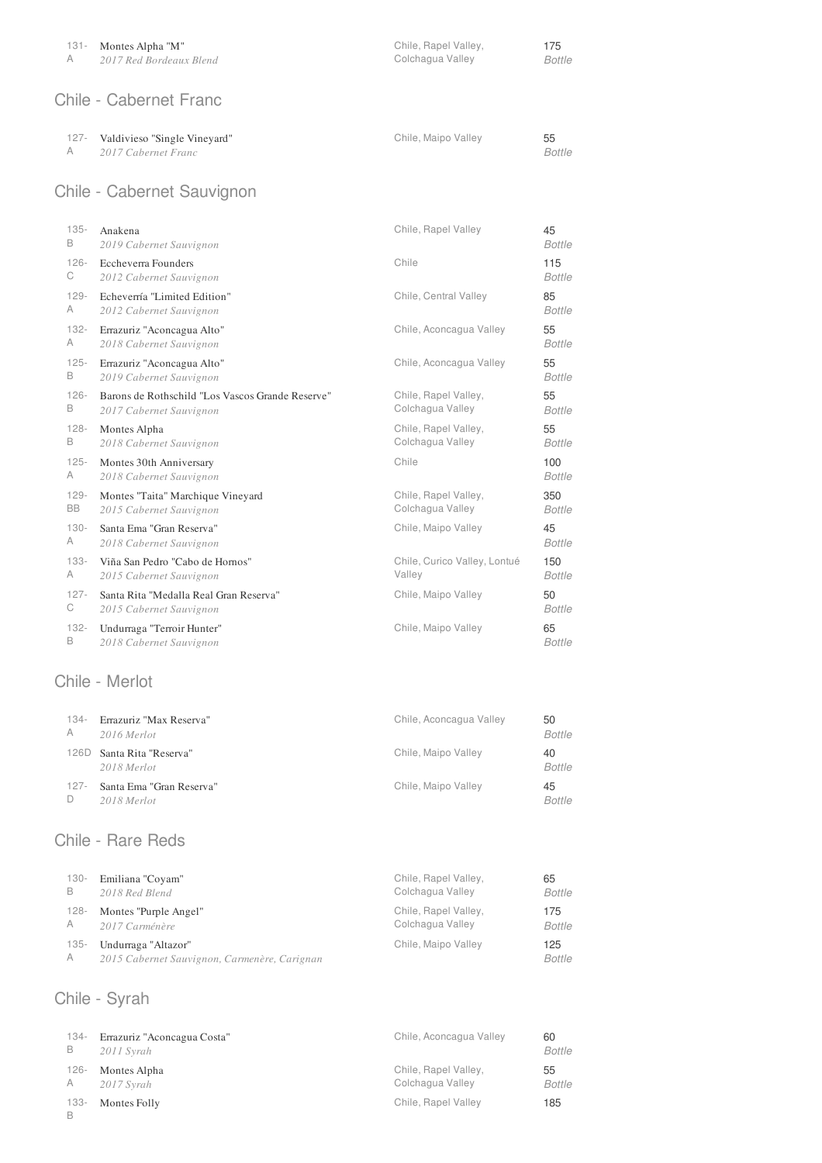#### Chile - Cabernet Franc

| 127- | Valdivieso "Single Vineyard" |  |  |
|------|------------------------------|--|--|
|------|------------------------------|--|--|

A *2017 Cabernet Franc* Chile, Maipo Valley

Colchagua Valley *Bottle*

Chile, Rapel Valley,

*Bottle* 55

175

### Chile - Cabernet Sauvignon

| $135 -$   | Anakena                                          | Chile, Rapel Valley          | 45            |
|-----------|--------------------------------------------------|------------------------------|---------------|
| B         | 2019 Cabernet Sauvignon                          |                              | <b>Bottle</b> |
| $126 -$   | <b>Eccheverra Founders</b>                       | Chile                        | 115           |
| C         | 2012 Cabernet Sauvignon                          |                              | <b>Bottle</b> |
| $129 -$   | Echeverría "Limited Edition"                     | Chile, Central Valley        | 85            |
| A         | 2012 Cabernet Sauvignon                          |                              | <b>Bottle</b> |
| $132 -$   | Errazuriz "Aconcagua Alto"                       | Chile, Aconcagua Valley      | 55            |
| A         | 2018 Cabernet Sauvignon                          |                              | <b>Bottle</b> |
| $125 -$   | Errazuriz "Aconcagua Alto"                       | Chile, Aconcagua Valley      | 55            |
| B         | 2019 Cabernet Sauvignon                          |                              | Bottle        |
| $126 -$   | Barons de Rothschild "Los Vascos Grande Reserve" | Chile, Rapel Valley,         | 55            |
| B         | 2017 Cabernet Sauvignon                          | Colchagua Valley             | <b>Bottle</b> |
| $128 -$   | Montes Alpha                                     | Chile, Rapel Valley,         | 55            |
| B         | 2018 Cabernet Sauvignon                          | Colchagua Valley             | <b>Bottle</b> |
| $125 -$   | Montes 30th Anniversary                          | Chile                        | 100           |
| A         | 2018 Cabernet Sauvignon                          |                              | <b>Bottle</b> |
| $129 -$   | Montes "Taita" Marchique Vineyard                | Chile, Rapel Valley,         | 350           |
| <b>BB</b> | 2015 Cabernet Sauvignon                          | Colchagua Valley             | <b>Bottle</b> |
| $130 -$   | Santa Ema "Gran Reserva"                         | Chile, Maipo Valley          | 45            |
| A         | 2018 Cabernet Sauvignon                          |                              | <b>Bottle</b> |
| $133 -$   | Viña San Pedro "Cabo de Hornos"                  | Chile, Curico Valley, Lontué | 150           |
| A         | 2015 Cabernet Sauvignon                          | Valley                       | <b>Bottle</b> |
| $127 -$   | Santa Rita "Medalla Real Gran Reserva"           | Chile, Maipo Valley          | 50            |
| С         | 2015 Cabernet Sauvignon                          |                              | <b>Bottle</b> |
| $132 -$   | Undurraga "Terroir Hunter"                       | Chile, Maipo Valley          | 65            |
| B         | 2018 Cabernet Sauvignon                          |                              | <b>Bottle</b> |

#### Chile - Merlot

| 134-<br>A | Errazuriz "Max Reserva"<br>2016 Merlot  | Chile, Aconcagua Valley | 50<br><b>Bottle</b> |
|-----------|-----------------------------------------|-------------------------|---------------------|
| 126D      | Santa Rita "Reserva"<br>2018 Merlot     | Chile, Maipo Valley     | 40<br><b>Bottle</b> |
| $127 -$   | Santa Ema "Gran Reserva"<br>2018 Merlot | Chile, Maipo Valley     | 45<br><b>Bottle</b> |

#### Chile - Rare Reds

| 130- | Emiliana "Coyam"                             | Chile, Rapel Valley, | 65     |
|------|----------------------------------------------|----------------------|--------|
| B    | 2018 Red Blend                               | Colchagua Valley     | Bottle |
| 128- | Montes "Purple Angel"                        | Chile, Rapel Valley, | 175    |
| A    | 2017 Carménère                               | Colchagua Valley     | Bottle |
| 135- | Undurraga "Altazor"                          | Chile, Maipo Valley  | 125    |
| A    | 2015 Cabernet Sauvignon, Carmenère, Carignan |                      | Bottle |

### Chile - Syrah

| 134-    | Errazuriz "Aconcagua Costa" | Chile, Aconcagua Valley | 60     |
|---------|-----------------------------|-------------------------|--------|
| в       | 2011 Syrah                  |                         | Bottle |
| 126-    | Montes Alpha                | Chile, Rapel Valley,    | 55     |
| A       | $2017$ Syrah                | Colchagua Valley        | Bottle |
| $133 -$ | Montes Folly                | Chile, Rapel Valley     | 185    |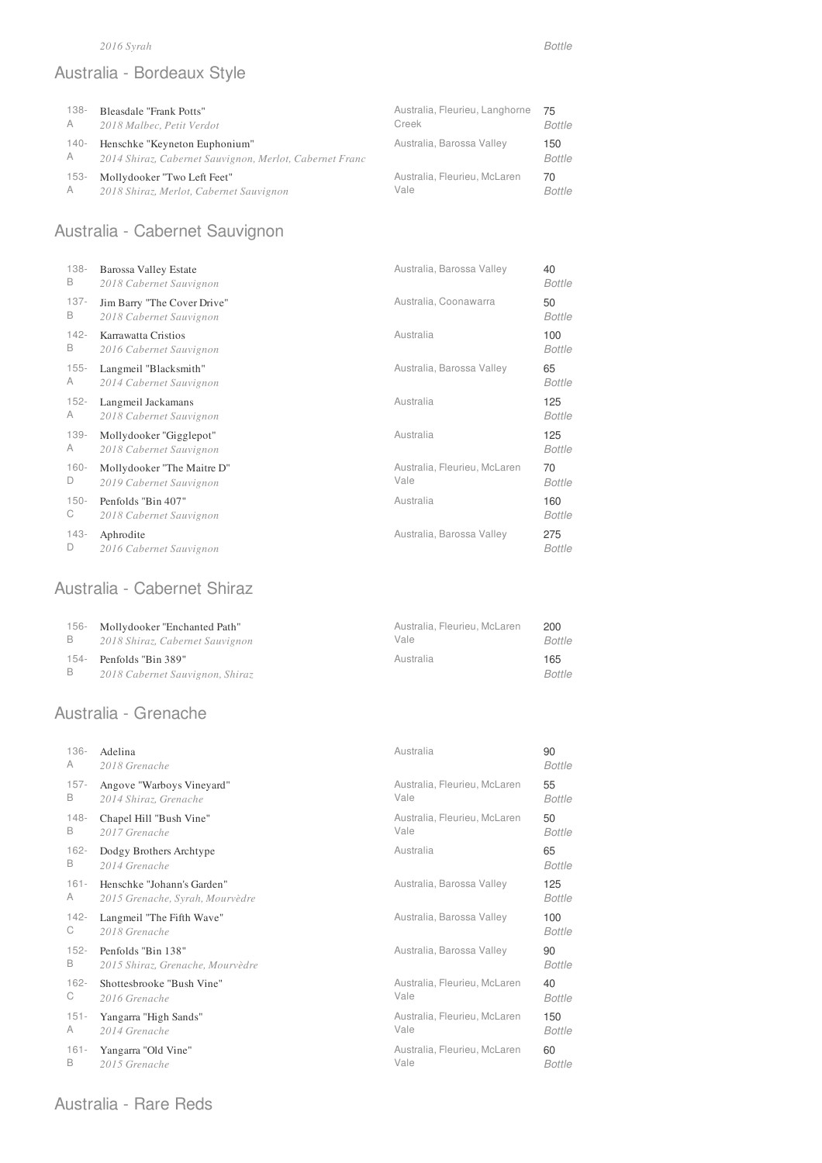#### *2016 Syrah Bottle*

# Australia - Bordeaux Style

| $138 -$ | Bleasdale "Frank Potts"                                 | Australia, Fleurieu, Langhorne | 75            |
|---------|---------------------------------------------------------|--------------------------------|---------------|
| A       | 2018 Malbec, Petit Verdot                               | Creek                          | <b>Bottle</b> |
| -140    | Henschke "Keyneton Euphonium"                           | Australia, Barossa Valley      | 150           |
| A       | 2014 Shiraz, Cabernet Sauvignon, Merlot, Cabernet Franc |                                | Bottle        |
| $153-$  | Mollydooker "Two Left Feet"                             | Australia, Fleurieu, McLaren   | 70            |
| A       | 2018 Shiraz, Merlot, Cabernet Sauvignon                 | Vale                           | Bottle        |

# Australia - Cabernet Sauvignon

| $138 -$ | Barossa Valley Estate                | Australia, Barossa Valley    | 40                   |
|---------|--------------------------------------|------------------------------|----------------------|
| B       | 2018 Cabernet Sauvignon              |                              | <b>Bottle</b>        |
| $137 -$ | Jim Barry "The Cover Drive"          | Australia, Coonawarra        | 50                   |
| B       | 2018 Cabernet Sauvignon              |                              | <b>Bottle</b>        |
| $142 -$ | Karrawatta Cristios                  | Australia                    | 100                  |
| В       | 2016 Cabernet Sauvignon              |                              | Bottle               |
| $155 -$ | Langmeil "Blacksmith"                | Australia, Barossa Valley    | 65                   |
| A       | 2014 Cabernet Sauvignon              |                              | <b>Bottle</b>        |
| $152 -$ | Langmeil Jackamans                   | Australia                    | 125                  |
| A       | 2018 Cabernet Sauvignon              |                              | <b>Bottle</b>        |
| 139-    | Mollydooker "Gigglepot"              | Australia                    | 125                  |
| A       | 2018 Cabernet Sauvignon              |                              | <b>Bottle</b>        |
| $160 -$ | Mollydooker "The Maitre D"           | Australia, Fleurieu, McLaren | 70                   |
| D       | 2019 Cabernet Sauvignon              | Vale                         | <b>Bottle</b>        |
| $150 -$ | Penfolds "Bin 407"                   | Australia                    | 160                  |
| С       | 2018 Cabernet Sauvignon              |                              | Bottle               |
| 143-    | Aphrodite<br>2016 Cabernet Sauvignon | Australia, Barossa Valley    | 275<br><b>Bottle</b> |

### Australia - Cabernet Shiraz

| 156- | Mollydooker "Enchanted Path"    | Australia, Fleurieu, McLaren | 200    |
|------|---------------------------------|------------------------------|--------|
| B    | 2018 Shiraz, Cabernet Sauvignon | Vale                         | Bottle |
| 154- | Penfolds "Bin 389"              | Australia                    | 165    |
| B.   | 2018 Cabernet Sauvignon, Shiraz |                              | Bottle |

### Australia - Grenache

| $136 -$ | Adelina                          | Australia                    | 90            |
|---------|----------------------------------|------------------------------|---------------|
| A       | 2018 Grenache                    |                              | <b>Bottle</b> |
| $157 -$ | Angove "Warboys Vineyard"        | Australia, Fleurieu, McLaren | 55            |
| B       | 2014 Shiraz, Grenache            | Vale                         | <b>Bottle</b> |
| $148 -$ | Chapel Hill "Bush Vine"          | Australia, Fleurieu, McLaren | 50            |
| В       | 2017 Grenache                    | Vale                         | <b>Bottle</b> |
| $162 -$ | Dodgy Brothers Archtype          | Australia                    | 65            |
| B       | 2014 Grenache                    |                              | Bottle        |
| $161 -$ | Henschke "Johann's Garden"       | Australia, Barossa Valley    | 125           |
| A       | 2015 Grenache, Syrah, Mourvèdre  |                              | <b>Bottle</b> |
| $142 -$ | Langmeil "The Fifth Wave"        | Australia, Barossa Valley    | 100           |
| С       | 2018 Grenache                    |                              | <b>Bottle</b> |
| $152 -$ | Penfolds "Bin 138"               | Australia, Barossa Valley    | 90            |
| В       | 2015 Shiraz, Grenache, Mourvèdre |                              | <b>Bottle</b> |
| $162 -$ | Shottesbrooke "Bush Vine"        | Australia, Fleurieu, McLaren | 40            |
| С       | 2016 Grenache                    | Vale                         | <b>Bottle</b> |
| $151 -$ | Yangarra "High Sands"            | Australia, Fleurieu, McLaren | 150           |
| A       | 2014 Grenache                    | Vale                         | <b>Bottle</b> |
| $161 -$ | Yangarra "Old Vine"              | Australia, Fleurieu, McLaren | 60            |
| B       | 2015 Grenache                    | Vale                         | <b>Bottle</b> |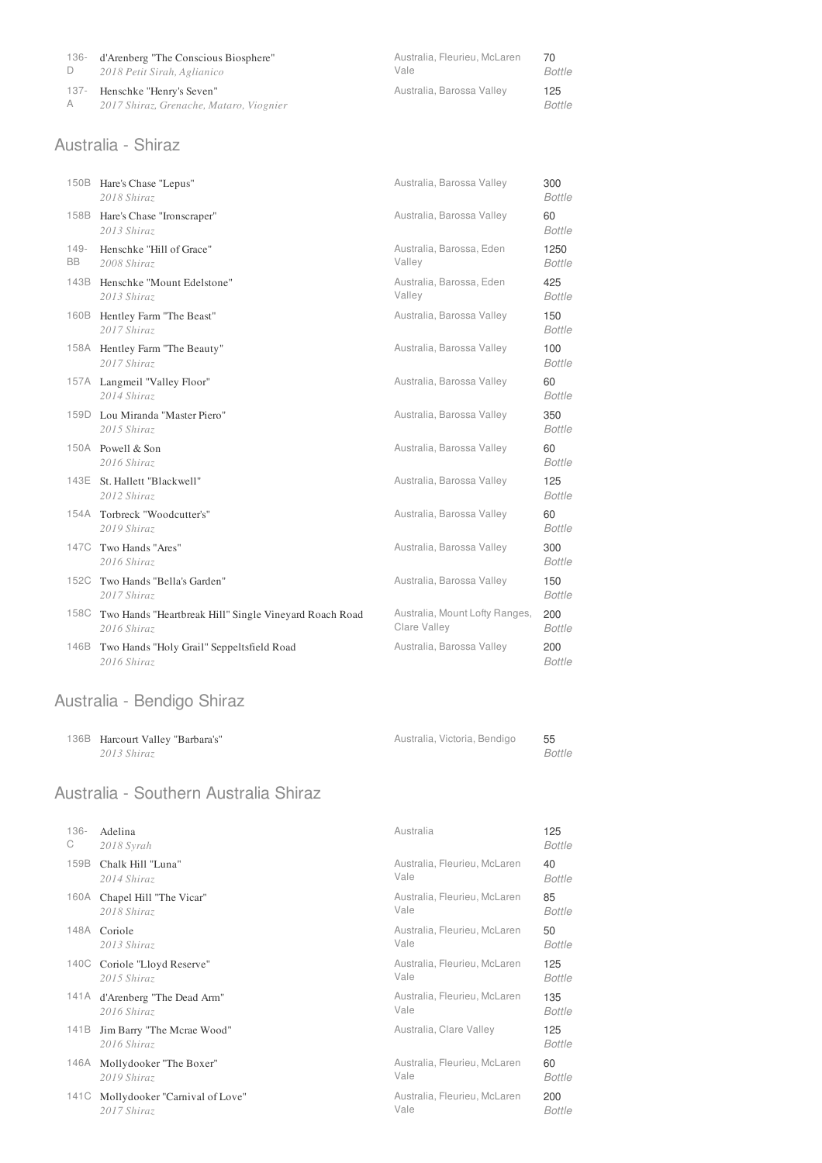| 136- | d'Arenberg "The Conscious Biosphere"    | Australia, Fleurieu, McLaren | 70     |
|------|-----------------------------------------|------------------------------|--------|
|      | 2018 Petit Sirah, Aglianico             | Vale                         | Bottle |
| 137- | Henschke "Henry's Seven"                | Australia, Barossa Valley    | 125    |
| A    | 2017 Shiraz, Grenache, Mataro, Viognier |                              | Bottle |

#### Australia - Shiraz

|               | 150B Hare's Chase "Lepus"<br>2018 Shiraz                              | Australia, Barossa Valley                      | 300<br><b>Bottle</b>  |
|---------------|-----------------------------------------------------------------------|------------------------------------------------|-----------------------|
| 158B          | Hare's Chase "Ironscraper"<br>2013 Shiraz                             | Australia, Barossa Valley                      | 60<br><b>Bottle</b>   |
| $149 -$<br>BB | Henschke "Hill of Grace"<br>2008 Shiraz                               | Australia, Barossa, Eden<br>Valley             | 1250<br><b>Bottle</b> |
|               | 143B Henschke "Mount Edelstone"<br>2013 Shiraz                        | Australia, Barossa, Eden<br>Valley             | 425<br><b>Bottle</b>  |
|               | 160B Hentley Farm "The Beast"<br>2017 Shiraz                          | Australia, Barossa Valley                      | 150<br><b>Bottle</b>  |
|               | 158A Hentley Farm "The Beauty"<br>2017 Shiraz                         | Australia, Barossa Valley                      | 100<br><b>Bottle</b>  |
|               | 157A Langmeil "Valley Floor"<br>2014 Shiraz                           | Australia, Barossa Valley                      | 60<br><b>Bottle</b>   |
|               | 159D Lou Miranda "Master Piero"<br>2015 Shiraz                        | Australia, Barossa Valley                      | 350<br><b>Bottle</b>  |
|               | 150A Powell & Son<br>2016 Shiraz                                      | Australia, Barossa Valley                      | 60<br><b>Bottle</b>   |
|               | 143E St. Hallett "Blackwell"<br>2012 Shiraz                           | Australia, Barossa Valley                      | 125<br><b>Bottle</b>  |
|               | 154A Torbreck "Woodcutter's"<br>2019 Shiraz                           | Australia, Barossa Valley                      | 60<br><b>Bottle</b>   |
|               | 147C Two Hands "Ares"<br>2016 Shiraz                                  | Australia, Barossa Valley                      | 300<br><b>Bottle</b>  |
|               | 152C Two Hands "Bella's Garden"<br>2017 Shiraz                        | Australia, Barossa Valley                      | 150<br><b>Bottle</b>  |
| 158C          | Two Hands "Heartbreak Hill" Single Vineyard Roach Road<br>2016 Shiraz | Australia, Mount Lofty Ranges,<br>Clare Valley | 200<br><b>Bottle</b>  |
| 146B          | Two Hands "Holy Grail" Seppeltsfield Road<br>2016 Shiraz              | Australia, Barossa Valley                      | 200<br><b>Bottle</b>  |

# Australia - Bendigo Shiraz

| 136B Harcourt Valley "Barbara's" | Australia, Victoria, Bendigo | - 55   |
|----------------------------------|------------------------------|--------|
| 2013 Shiraz                      |                              | Bottle |

### Australia - Southern Australia Shiraz

| $136 -$ | Adelina                                   | Australia                    | 125                  |
|---------|-------------------------------------------|------------------------------|----------------------|
| С       | 2018 Syrah                                |                              | <b>Bottle</b>        |
| 159B    | Chalk Hill "Luna"                         | Australia, Fleurieu, McLaren | 40                   |
|         | 2014 Shiraz                               | Vale                         | <b>Bottle</b>        |
| 160A    | Chapel Hill "The Vicar"                   | Australia, Fleurieu, McLaren | 85                   |
|         | 2018 Shiraz                               | Vale                         | <b>Bottle</b>        |
| 148A    | Coriole                                   | Australia, Fleurieu, McLaren | 50                   |
|         | 2013 Shiraz                               | Vale                         | <b>Bottle</b>        |
| 140C    | Coriole "Lloyd Reserve"                   | Australia, Fleurieu, McLaren | 125                  |
|         | 2015 Shiraz                               | Vale                         | <b>Bottle</b>        |
| 141 A   | d'Arenberg "The Dead Arm"                 | Australia, Fleurieu, McLaren | 135                  |
|         | 2016 Shiraz                               | Vale                         | Bottle               |
| 141B    | Jim Barry "The Mcrae Wood"<br>2016 Shiraz | Australia, Clare Valley      | 125<br><b>Bottle</b> |
|         | 146A Mollydooker "The Boxer"              | Australia, Fleurieu, McLaren | 60                   |
|         | 2019 Shiraz                               | Vale                         | <b>Bottle</b>        |
| 141C    | Mollydooker "Carnival of Love"            | Australia, Fleurieu, McLaren | 200                  |
|         | 2017 Shiraz                               | Vale                         | <b>Bottle</b>        |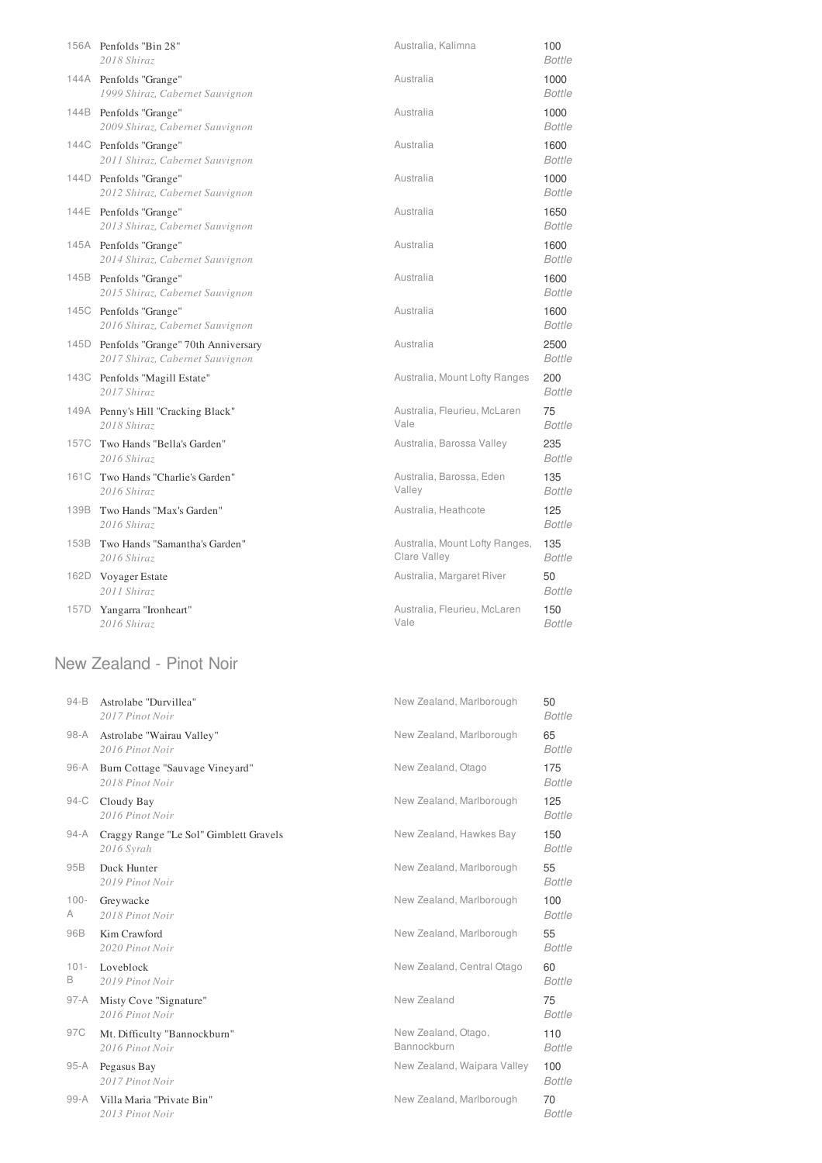|      | 156A Penfolds "Bin 28"<br>2018 Shiraz                                      | Australia, Kalimna                             | 100<br><b>Bottle</b>  |
|------|----------------------------------------------------------------------------|------------------------------------------------|-----------------------|
|      | 144A Penfolds "Grange"<br>1999 Shiraz, Cabernet Sauvignon                  | Australia                                      | 1000<br><b>Bottle</b> |
|      | 144B Penfolds "Grange"<br>2009 Shiraz, Cabernet Sauvignon                  | Australia                                      | 1000<br><b>Bottle</b> |
|      | 144C Penfolds "Grange"<br>2011 Shiraz, Cabernet Sauvignon                  | Australia                                      | 1600<br><b>Bottle</b> |
|      | 144D Penfolds "Grange"<br>2012 Shiraz, Cabernet Sauvignon                  | Australia                                      | 1000<br><b>Bottle</b> |
|      | 144E Penfolds "Grange"<br>2013 Shiraz, Cabernet Sauvignon                  | Australia                                      | 1650<br><b>Bottle</b> |
|      | 145A Penfolds "Grange"<br>2014 Shiraz, Cabernet Sauvignon                  | Australia                                      | 1600<br><b>Bottle</b> |
|      | 145B Penfolds "Grange"<br>2015 Shiraz, Cabernet Sauvignon                  | Australia                                      | 1600<br><b>Bottle</b> |
|      | 145C Penfolds "Grange"<br>2016 Shiraz, Cabernet Sauvignon                  | Australia                                      | 1600<br><b>Bottle</b> |
|      | 145D Penfolds "Grange" 70th Anniversary<br>2017 Shiraz, Cabernet Sauvignon | Australia                                      | 2500<br><b>Bottle</b> |
|      | 143C Penfolds "Magill Estate"<br>2017 Shiraz                               | Australia, Mount Lofty Ranges                  | 200<br><b>Bottle</b>  |
|      | 149A Penny's Hill "Cracking Black"<br>2018 Shiraz                          | Australia, Fleurieu, McLaren<br>Vale           | 75<br><b>Bottle</b>   |
|      | 157C Two Hands "Bella's Garden"<br>2016 Shiraz                             | Australia, Barossa Valley                      | 235<br><b>Bottle</b>  |
|      | 161C Two Hands "Charlie's Garden"<br>2016 Shiraz                           | Australia, Barossa, Eden<br>Valley             | 135<br><b>Bottle</b>  |
|      | 139B Two Hands "Max's Garden"<br>2016 Shiraz                               | Australia, Heathcote                           | 125<br><b>Bottle</b>  |
|      | 153B Two Hands "Samantha's Garden"<br>2016 Shiraz                          | Australia, Mount Lofty Ranges,<br>Clare Valley | 135<br><b>Bottle</b>  |
|      | 162D Voyager Estate<br>2011 Shiraz                                         | Australia, Margaret River                      | 50<br><b>Bottle</b>   |
| 157D | Yangarra "Ironheart"<br>2016 Shiraz                                        | Australia, Fleurieu, McLaren<br>Vale           | 150<br><b>Bottle</b>  |

### New Zealand - Pinot Noir

| $94 - B$     | Astrolabe "Durvillea"<br>2017 Pinot Noir             | New Zealand, Marlborough           | 50<br><b>Bottle</b>  |
|--------------|------------------------------------------------------|------------------------------------|----------------------|
| $98-A$       | Astrolabe "Wairau Valley"<br>2016 Pinot Noir         | New Zealand, Marlborough           | 65<br>Bottle         |
| 96-A         | Burn Cottage "Sauvage Vineyard"<br>2018 Pinot Noir   | New Zealand, Otago                 | 175<br><b>Bottle</b> |
| $94-C$       | Cloudy Bay<br>2016 Pinot Noir                        | New Zealand, Marlborough           | 125<br><b>Bottle</b> |
| 94-A         | Craggy Range "Le Sol" Gimblett Gravels<br>2016 Syrah | New Zealand, Hawkes Bay            | 150<br><b>Bottle</b> |
| 95B          | Duck Hunter<br>2019 Pinot Noir                       | New Zealand, Marlborough           | 55<br><b>Bottle</b>  |
| $100 -$<br>A | Greywacke<br>2018 Pinot Noir                         | New Zealand, Marlborough           | 100<br><b>Bottle</b> |
| 96B          | Kim Crawford<br>2020 Pinot Noir                      | New Zealand, Marlborough           | 55<br><b>Bottle</b>  |
| $101 -$<br>B | Loveblock<br>2019 Pinot Noir                         | New Zealand, Central Otago         | 60<br><b>Bottle</b>  |
| $97-A$       | Misty Cove "Signature"<br>2016 Pinot Noir            | New Zealand                        | 75<br><b>Bottle</b>  |
| 97C          | Mt. Difficulty "Bannockburn"<br>2016 Pinot Noir      | New Zealand, Otago,<br>Bannockburn | 110<br>Bottle        |
| 95-A         | Pegasus Bay<br>2017 Pinot Noir                       | New Zealand, Waipara Valley        | 100<br><b>Bottle</b> |
| $99-A$       | Villa Maria "Private Bin"<br>2013 Pinot Noir         | New Zealand, Marlborough           | 70<br><b>Bottle</b>  |
|              |                                                      |                                    |                      |